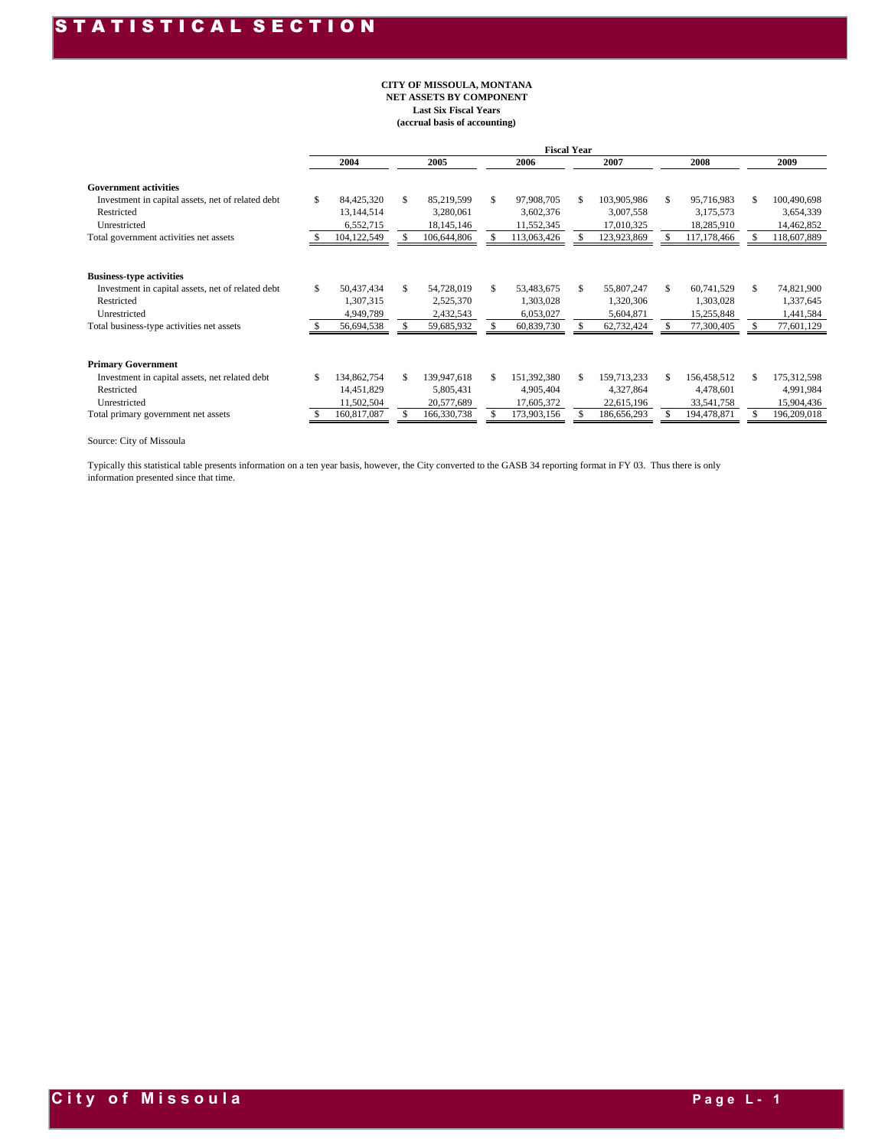#### **(accrual basis of accounting) CITY OF MISSOULA, MONTANA NET ASSETS BY COMPONENT Last Six Fiscal Years**

|                                                   |                   |     |             |     | <b>Fiscal Year</b> |    |             |     |             |     |             |
|---------------------------------------------------|-------------------|-----|-------------|-----|--------------------|----|-------------|-----|-------------|-----|-------------|
|                                                   | 2004              |     | 2005        |     | 2006               |    | 2007        |     | 2008        |     | 2009        |
| <b>Government activities</b>                      |                   |     |             |     |                    |    |             |     |             |     |             |
| Investment in capital assets, net of related debt | \$<br>84,425,320  | \$. | 85,219,599  | \$. | 97,908,705         | \$ | 103,905,986 | \$. | 95,716,983  | S   | 100,490,698 |
| Restricted                                        | 13,144,514        |     | 3,280,061   |     | 3,602,376          |    | 3,007,558   |     | 3,175,573   |     | 3,654,339   |
| Unrestricted                                      | 6,552,715         |     | 18,145,146  |     | 11,552,345         |    | 17,010,325  |     | 18,285,910  |     | 14,462,852  |
| Total government activities net assets            | 104,122,549       |     | 106,644,806 |     | 113,063,426        |    | 123,923,869 |     | 117,178,466 |     | 118,607,889 |
|                                                   |                   |     |             |     |                    |    |             |     |             |     |             |
| <b>Business-type activities</b>                   |                   |     |             |     |                    |    |             |     |             |     |             |
| Investment in capital assets, net of related debt | \$<br>50,437,434  | \$. | 54,728,019  | S.  | 53,483,675         | S. | 55,807,247  | \$. | 60,741,529  | S   | 74,821,900  |
| Restricted                                        | 1,307,315         |     | 2,525,370   |     | 1,303,028          |    | 1,320,306   |     | 1,303,028   |     | 1,337,645   |
| Unrestricted                                      | 4,949,789         |     | 2,432,543   |     | 6,053,027          |    | 5,604,871   |     | 15,255,848  |     | 1,441,584   |
| Total business-type activities net assets         | 56,694,538        |     | 59,685,932  |     | 60,839,730         |    | 62,732,424  |     | 77,300,405  |     | 77,601,129  |
|                                                   |                   |     |             |     |                    |    |             |     |             |     |             |
| <b>Primary Government</b>                         |                   |     |             |     |                    |    |             |     |             |     |             |
| Investment in capital assets, net related debt    | \$<br>134,862,754 | S.  | 139,947,618 | S.  | 151,392,380        | \$ | 159,713,233 |     | 156,458,512 | \$. | 175,312,598 |
| Restricted                                        | 14,451,829        |     | 5,805,431   |     | 4,905,404          |    | 4,327,864   |     | 4,478,601   |     | 4,991,984   |
| Unrestricted                                      | 11,502,504        |     | 20,577,689  |     | 17,605,372         |    | 22,615,196  |     | 33,541,758  |     | 15,904,436  |
| Total primary government net assets               | 160,817,087       |     | 166,330,738 |     | 173,903,156        |    | 186,656,293 |     | 194,478,871 |     | 196,209,018 |

Source: City of Missoula

Typically this statistical table presents information on a ten year basis, however, the City converted to the GASB 34 reporting format in FY 03. Thus there is only information presented since that time.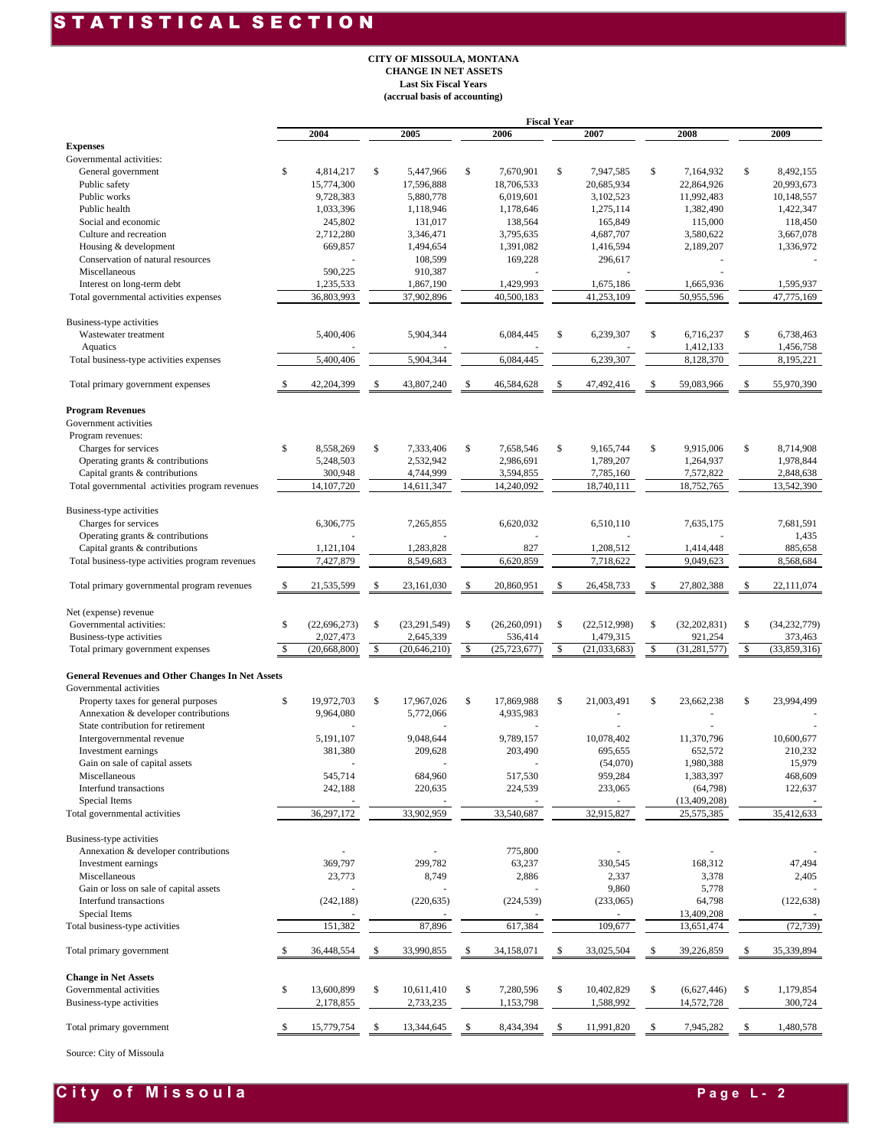#### S T A T I S T I C A L S E C T I O N

#### **CITY OF MISSOULA, MONTANA CHANGE IN NET ASSETS Last Six Fiscal Years (accrual basis of accounting)**

|                                                         |               |                |     |                |          |                | <b>Fiscal Year</b> |                |                      |              |                |
|---------------------------------------------------------|---------------|----------------|-----|----------------|----------|----------------|--------------------|----------------|----------------------|--------------|----------------|
|                                                         |               | 2004           |     | 2005           |          | 2006           |                    | 2007           | 2008                 |              | 2009           |
| <b>Expenses</b>                                         |               |                |     |                |          |                |                    |                |                      |              |                |
| Governmental activities:                                |               |                |     |                |          |                |                    |                |                      |              |                |
| General government                                      | \$            | 4,814,217      | \$  | 5,447,966      | \$       | 7,670,901      | \$                 | 7,947,585      | \$<br>7,164,932      | $\mathbb{S}$ | 8,492,155      |
| Public safety                                           |               | 15,774,300     |     | 17,596,888     |          | 18,706,533     |                    | 20,685,934     | 22,864,926           |              | 20,993,673     |
| Public works                                            |               | 9,728,383      |     | 5,880,778      |          | 6,019,601      |                    | 3,102,523      | 11,992,483           |              | 10,148,557     |
| Public health                                           |               | 1,033,396      |     | 1,118,946      |          | 1,178,646      |                    | 1,275,114      | 1,382,490            |              | 1,422,347      |
| Social and economic                                     |               | 245,802        |     | 131,017        |          | 138,564        |                    | 165,849        | 115,000              |              | 118,450        |
| Culture and recreation                                  |               | 2,712,280      |     | 3,346,471      |          | 3,795,635      |                    | 4,687,707      | 3,580,622            |              | 3,667,078      |
| Housing & development                                   |               | 669,857        |     | 1,494,654      |          | 1,391,082      |                    | 1,416,594      | 2,189,207            |              | 1,336,972      |
| Conservation of natural resources                       |               |                |     | 108,599        |          | 169,228        |                    | 296,617        |                      |              |                |
| Miscellaneous                                           |               | 590,225        |     | 910,387        |          |                |                    |                |                      |              |                |
| Interest on long-term debt                              |               | 1,235,533      |     | 1,867,190      |          | 1,429,993      |                    | 1,675,186      | 1,665,936            |              | 1,595,937      |
| Total governmental activities expenses                  |               | 36,803,993     |     | 37,902,896     |          | 40,500,183     |                    | 41,253,109     | 50,955,596           |              | 47,775,169     |
| Business-type activities                                |               |                |     |                |          |                |                    |                |                      |              |                |
| Wastewater treatment                                    |               | 5,400,406      |     | 5,904,344      |          | 6,084,445      | \$                 | 6,239,307      | \$<br>6,716,237      | \$           | 6,738,463      |
| Aquatics                                                |               |                |     |                |          |                |                    |                | 1,412,133            |              | 1,456,758      |
| Total business-type activities expenses                 |               | 5,400,406      |     | 5,904,344      |          | 6,084,445      |                    | 6,239,307      | 8,128,370            |              | 8,195,221      |
| Total primary government expenses                       | <sup>\$</sup> | 42,204,399     | S   | 43,807,240     | \$       | 46,584,628     | \$.                | 47,492,416     | \$<br>59,083,966     | S            | 55,970,390     |
| <b>Program Revenues</b>                                 |               |                |     |                |          |                |                    |                |                      |              |                |
| Government activities                                   |               |                |     |                |          |                |                    |                |                      |              |                |
|                                                         |               |                |     |                |          |                |                    |                |                      |              |                |
| Program revenues:                                       |               |                |     |                |          |                |                    |                |                      |              |                |
| Charges for services                                    | \$            | 8,558,269      | \$  | 7,333,406      | \$       | 7,658,546      | \$                 | 9,165,744      | \$<br>9,915,006      | \$           | 8,714,908      |
| Operating grants & contributions                        |               | 5,248,503      |     | 2,532,942      |          | 2,986,691      |                    | 1,789,207      | 1,264,937            |              | 1,978,844      |
| Capital grants & contributions                          |               | 300,948        |     | 4,744,999      |          | 3,594,855      |                    | 7,785,160      | 7,572,822            |              | 2,848,638      |
| Total governmental activities program revenues          |               | 14,107,720     |     | 14,611,347     |          | 14,240,092     |                    | 18,740,111     | 18,752,765           |              | 13,542,390     |
| Business-type activities                                |               |                |     |                |          |                |                    |                |                      |              |                |
| Charges for services                                    |               | 6,306,775      |     | 7,265,855      |          | 6,620,032      |                    | 6,510,110      | 7,635,175            |              | 7,681,591      |
| Operating grants & contributions                        |               |                |     |                |          |                |                    |                |                      |              | 1,435          |
| Capital grants & contributions                          |               | 1,121,104      |     | 1,283,828      |          | 827            |                    | 1,208,512      | 1,414,448            |              | 885,658        |
| Total business-type activities program revenues         |               | 7,427,879      |     | 8,549,683      |          | 6,620,859      |                    | 7,718,622      | 9,049,623            |              | 8,568,684      |
| Total primary governmental program revenues             | <sup>\$</sup> | 21,535,599     | S   | 23,161,030     | \$       | 20,860,951     | S                  | 26,458,733     | \$<br>27,802,388     | S            | 22,111,074     |
|                                                         |               |                |     |                |          |                |                    |                |                      |              |                |
| Net (expense) revenue                                   |               |                |     |                |          |                |                    |                |                      |              |                |
| Governmental activities:                                | \$            | (22, 696, 273) | \$  | (23, 291, 549) | \$       | (26, 260, 091) | \$                 | (22, 512, 998) | \$<br>(32, 202, 831) | \$           | (34, 232, 779) |
| Business-type activities                                |               | 2,027,473      |     | 2,645,339      |          | 536,414        |                    | 1,479,315      | 921,254              |              | 373,463        |
| Total primary government expenses                       | <sup>\$</sup> | (20, 668, 800) | \$  | (20, 646, 210) | <b>S</b> | (25, 723, 677) | \$                 | (21, 033, 683) | \$<br>(31, 281, 577) | $\mathbb{S}$ | (33,859,316)   |
| <b>General Revenues and Other Changes In Net Assets</b> |               |                |     |                |          |                |                    |                |                      |              |                |
| Governmental activities                                 |               |                |     |                |          |                |                    |                |                      |              |                |
| Property taxes for general purposes                     | \$            | 19,972,703     | \$  | 17,967,026     | \$       | 17,869,988     | \$                 | 21,003,491     | \$<br>23,662,238     | \$           | 23.994.499     |
| Annexation & developer contributions                    |               | 9,964,080      |     | 5,772,066      |          | 4,935,983      |                    |                |                      |              |                |
| State contribution for retirement                       |               |                |     |                |          |                |                    |                |                      |              |                |
| Intergovernmental revenue                               |               | 5,191,107      |     | 9,048,644      |          | 9,789,157      |                    | 10,078,402     | 11,370,796           |              | 10,600,677     |
| Investment earnings                                     |               | 381,380        |     | 209,628        |          | 203,490        |                    | 695,655        | 652,572              |              | 210,232        |
| Gain on sale of capital assets                          |               |                |     |                |          |                |                    | (54,070)       | 1,980,388            |              | 15,979         |
| Miscellaneous                                           |               | 545,714        |     | 684,960        |          | 517,530        |                    | 959,284        | 1,383,397            |              | 468,609        |
| Interfund transactions                                  |               | 242,188        |     | 220,635        |          | 224,539        |                    | 233,065        | (64, 798)            |              | 122,637        |
| Special Items                                           |               |                |     |                |          |                |                    |                | (13, 409, 208)       |              |                |
| Total governmental activities                           |               | 36,297,172     |     | 33,902,959     |          | 33,540,687     |                    | 32,915,827     | 25,575,385           |              | 35,412,633     |
|                                                         |               |                |     |                |          |                |                    |                |                      |              |                |
| Business-type activities                                |               |                |     |                |          |                |                    |                |                      |              |                |
| Annexation & developer contributions                    |               |                |     |                |          | 775,800        |                    |                |                      |              |                |
| Investment earnings                                     |               | 369,797        |     | 299,782        |          | 63,237         |                    | 330,545        | 168,312              |              | 47,494         |
| Miscellaneous                                           |               | 23,773         |     | 8,749          |          | 2,886          |                    | 2,337          | 3,378                |              | 2,405          |
| Gain or loss on sale of capital assets                  |               |                |     |                |          |                |                    | 9,860          | 5,778                |              |                |
| Interfund transactions                                  |               | (242, 188)     |     | (220, 635)     |          | (224, 539)     |                    | (233,065)      | 64,798               |              | (122, 638)     |
| Special Items                                           |               |                |     |                |          |                |                    |                | 13,409,208           |              |                |
| Total business-type activities                          |               | 151,382        |     | 87,896         |          | 617,384        |                    | 109,677        | 13,651,474           |              | (72, 739)      |
|                                                         |               | 36,448,554     | S   |                |          |                |                    | 33,025,504     |                      | S            | 35,339,894     |
| Total primary government                                |               |                |     | 33,990,855     | \$       | 34,158,071     | S                  |                | \$<br>39,226,859     |              |                |
| <b>Change in Net Assets</b>                             |               |                |     |                |          |                |                    |                |                      |              |                |
| Governmental activities                                 | \$            | 13,600,899     | \$  | 10,611,410     | \$       | 7,280,596      | \$                 | 10,402,829     | \$<br>(6,627,446)    | \$           | 1,179,854      |
| Business-type activities                                |               | 2,178,855      |     | 2,733,235      |          | 1,153,798      |                    | 1,588,992      | 14,572,728           |              | 300,724        |
| Total primary government                                |               | 15,779,754     | \$. | 13,344,645     | \$       | 8,434,394      |                    | 11,991,820     | \$<br>7,945,282      | -S           | 1,480,578      |
|                                                         |               |                |     |                |          |                |                    |                |                      |              |                |

Source: City of Missoula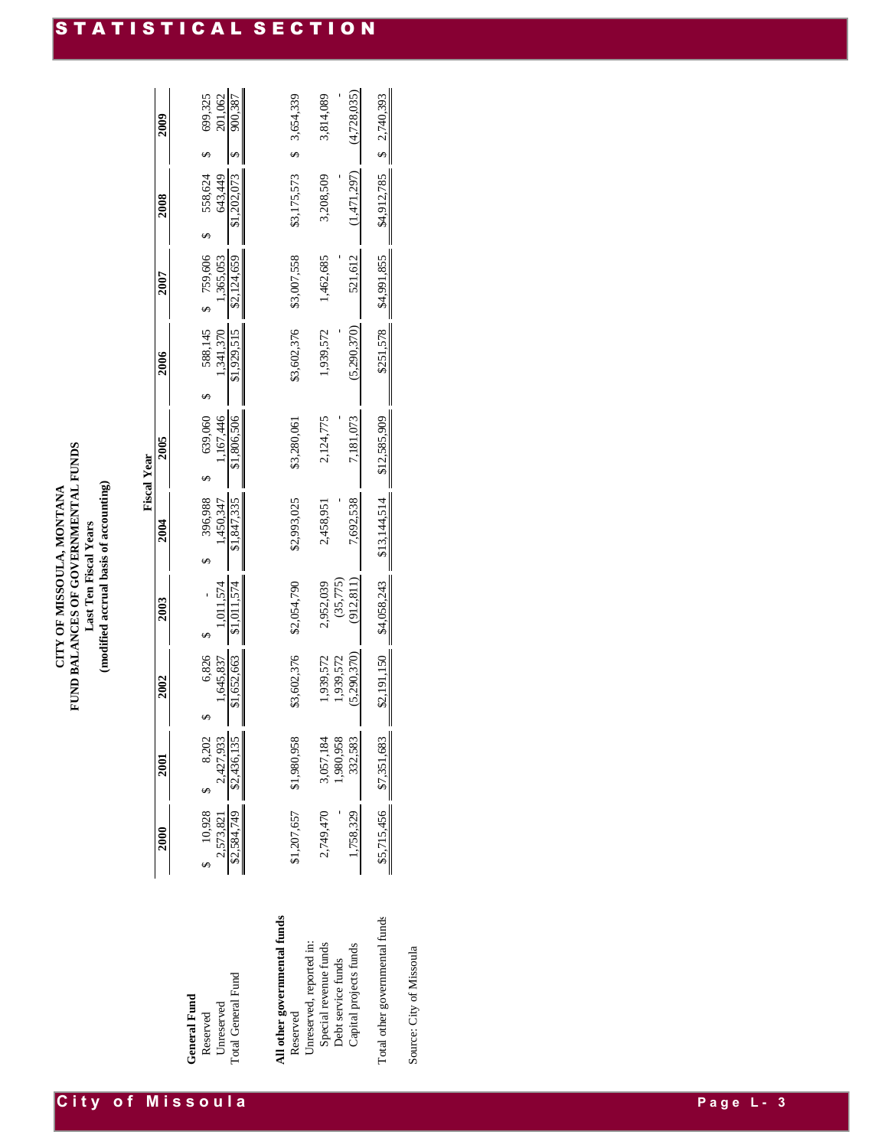| FUND BALANCES OF GOVERNMENTAL FUNDS<br>CITY OF MISSOULA, MONTANA | Last Ten Fiscal Years | modified accrual basis of accounting |
|------------------------------------------------------------------|-----------------------|--------------------------------------|
|------------------------------------------------------------------|-----------------------|--------------------------------------|

|                                               |                           |                         |                    |             |                      | <b>Fiscal Year</b>   |                      |                      |                    |             |                    |
|-----------------------------------------------|---------------------------|-------------------------|--------------------|-------------|----------------------|----------------------|----------------------|----------------------|--------------------|-------------|--------------------|
|                                               | 2000                      | 2001                    | 2002               | 2003        | $\frac{200}{4}$      | 2005                 | 2006                 | 2007                 | 2008               |             | 2009               |
| <b>General Fund</b><br>Unreserved<br>Reserved | $$10,928$ \$<br>2,573,821 | 2,427,933<br>8,202      | 6,826<br>1,645,837 | 1,011,574   | 396,988<br>1,450,347 | 1,167,446<br>639,060 | 588,145<br>1,341,370 | 759,606<br>1.365.053 | 558,624<br>643,449 |             | 699,325<br>201,062 |
| Total General Fund                            | \$2,584,749               | \$2,436,135             | \$1,652,663        |             | \$1,847,335          | \$1,806,506          | \$1,929,515          | \$2,124,659          | \$1,202,073        |             | 900,387            |
| All other governmental funds                  |                           |                         |                    |             |                      |                      |                      |                      |                    |             |                    |
| Reserved                                      | \$1,207,657               | \$1,980,958             | \$3,602,376        | \$2,054,790 | \$2,993,025          | \$3,280,061          | \$3,602,376          | \$3,007,558          | \$3,175,573        |             | 3,654,339          |
| Unreserved, reported in:                      |                           |                         |                    |             |                      |                      |                      |                      |                    |             |                    |
| Special revenue funds                         | 2,749,470                 | 3,057,184               | 1,939,572          | 2,952,039   | 2,458,951            | 2,124,775            | 1,939,572            | 1,462,685            | 3,208,509          |             | 3,814,089          |
| Debt service funds                            |                           | 1,980,958               | 1,939,572          | (35,775)    |                      |                      |                      |                      |                    |             |                    |
| Capital projects funds                        | 1,758,329                 | 332,583                 | (5.290.370)        | (912, 811)  | 7,692,538            | 7,181,073            | (5.290.370)          | 521,612              | (1,471,297)        |             | (4.728.035)        |
|                                               |                           |                         |                    |             |                      |                      |                      |                      |                    |             |                    |
| Total other governmental funds                |                           | \$5,715,456 \$7,351,683 | \$2,191,150        | \$4,058,243 | \$13,144,514         | \$12,585,909         | \$251,578            | \$4,991,855          | \$4,912,785        | \$2,740,393 |                    |
|                                               |                           |                         |                    |             |                      |                      |                      |                      |                    |             |                    |

Source: City of Missoula Source: City of Missoula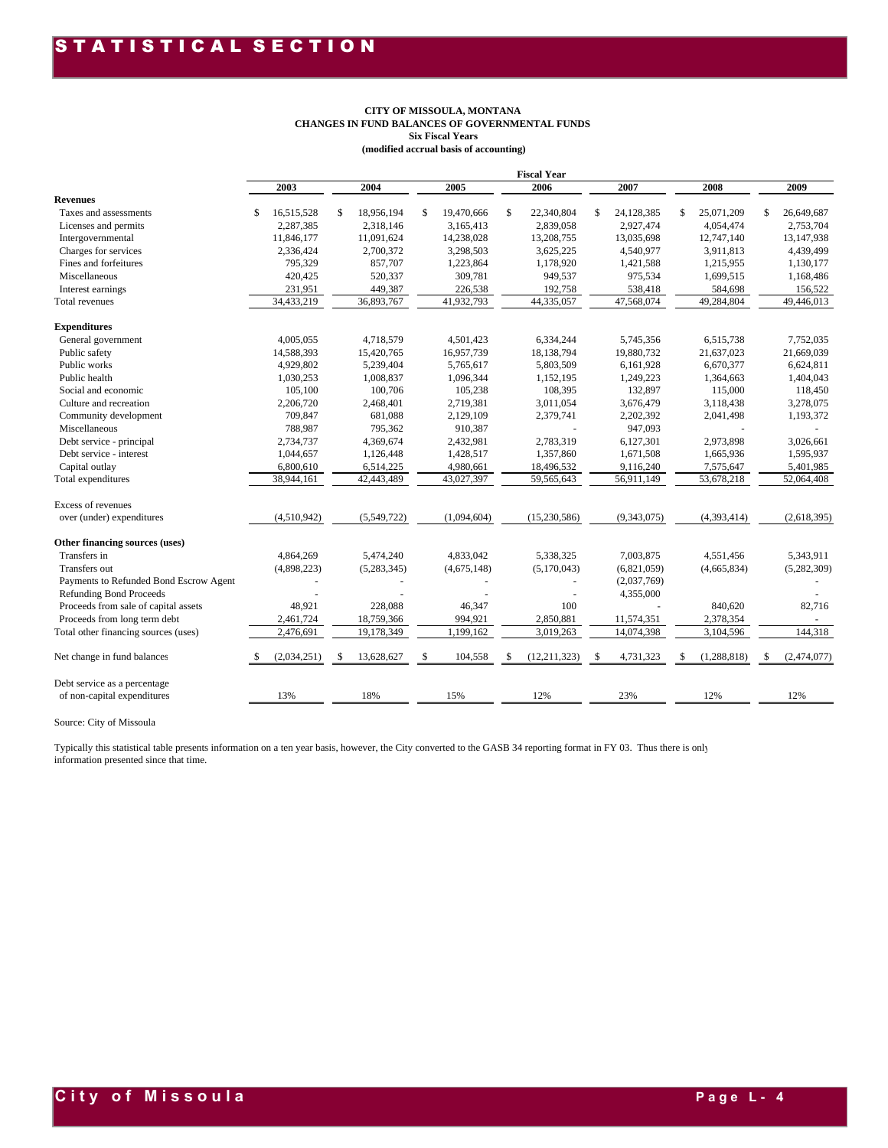#### **CITY OF MISSOULA, MONTANA CHANGES IN FUND BALANCES OF GOVERNMENTAL FUNDS Six Fiscal Years (modified accrual basis of accounting)**

|                                                                                                                                                                                                               |                         |                         |    | <b>CITY OF MISSOULA, MONTANA</b><br><b>Six Fiscal Years</b><br>(modified accrual basis of accounting) | <b>CHANGES IN FUND BALANCES OF GOVERNMENTAL FUNDS</b> |    |                         |    |                         |    |                         |
|---------------------------------------------------------------------------------------------------------------------------------------------------------------------------------------------------------------|-------------------------|-------------------------|----|-------------------------------------------------------------------------------------------------------|-------------------------------------------------------|----|-------------------------|----|-------------------------|----|-------------------------|
|                                                                                                                                                                                                               |                         |                         |    |                                                                                                       | <b>Fiscal Year</b>                                    |    |                         |    |                         |    |                         |
| <b>Revenues</b>                                                                                                                                                                                               | 2003                    | 2004                    |    | 2005                                                                                                  | 2006                                                  |    | 2007                    |    | 2008                    |    | 2009                    |
| Taxes and assessments                                                                                                                                                                                         | \$<br>16,515,528        | \$<br>18,956,194        | \$ | 19,470,666                                                                                            | \$<br>22,340,804                                      | \$ | 24,128,385              | \$ | 25,071,209              | \$ | 26,649,687              |
| Licenses and permits                                                                                                                                                                                          | 2,287,385               | 2,318,146               |    | 3,165,413                                                                                             | 2,839,058                                             |    | 2,927,474               |    | 4,054,474               |    | 2,753,704               |
| Intergovernmental<br>Charges for services                                                                                                                                                                     | 11,846,177<br>2,336,424 | 11,091,624<br>2,700,372 |    | 14,238,028<br>3,298,503                                                                               | 13,208,755<br>3,625,225                               |    | 13,035,698<br>4,540,977 |    | 12,747,140<br>3,911,813 |    | 13,147,938<br>4,439,499 |
| Fines and forfeitures                                                                                                                                                                                         | 795,329                 | 857,707                 |    | 1,223,864                                                                                             | 1,178,920                                             |    | 1,421,588               |    | 1,215,955               |    | 1,130,177               |
| Miscellaneous                                                                                                                                                                                                 | 420,425                 | 520,337                 |    | 309,781                                                                                               | 949,537                                               |    | 975,534                 |    | 1,699,515               |    | 1,168,486               |
| Interest earnings                                                                                                                                                                                             | 231,951                 | 449,387                 |    | 226,538                                                                                               | 192,758                                               |    | 538,418                 |    | 584,698                 |    | 156,522                 |
| Total revenues                                                                                                                                                                                                | 34,433,219              | 36,893,767              |    | 41,932,793                                                                                            | 44,335,057                                            |    | 47,568,074              |    | 49,284,804              |    | 49,446,013              |
|                                                                                                                                                                                                               |                         |                         |    |                                                                                                       |                                                       |    |                         |    |                         |    |                         |
| <b>Expenditures</b>                                                                                                                                                                                           |                         |                         |    |                                                                                                       |                                                       |    |                         |    |                         |    |                         |
| General government<br>Public safety                                                                                                                                                                           | 4,005,055<br>14,588,393 | 4,718,579<br>15,420,765 |    | 4,501,423<br>16,957,739                                                                               | 6,334,244<br>18,138,794                               |    | 5,745,356<br>19,880,732 |    | 6,515,738<br>21,637,023 |    | 7,752,035<br>21,669,039 |
| Public works                                                                                                                                                                                                  | 4,929,802               | 5,239,404               |    | 5,765,617                                                                                             | 5,803,509                                             |    | 6,161,928               |    | 6,670,377               |    | 6,624,811               |
| Public health                                                                                                                                                                                                 | 1,030,253               | 1,008,837               |    | 1,096,344                                                                                             | 1,152,195                                             |    | 1,249,223               |    | 1,364,663               |    | 1,404,043               |
| Social and economic                                                                                                                                                                                           | 105,100                 | 100,706                 |    | 105,238                                                                                               | 108,395                                               |    | 132,897                 |    | 115,000                 |    | 118,450                 |
| Culture and recreation                                                                                                                                                                                        | 2,206,720               | 2,468,401               |    | 2,719,381                                                                                             | 3,011,054                                             |    | 3,676,479               |    | 3,118,438               |    | 3,278,075               |
| Community development                                                                                                                                                                                         | 709,847                 | 681,088                 |    | 2,129,109                                                                                             | 2,379,741                                             |    | 2,202,392               |    | 2,041,498               |    | 1,193,372               |
| Miscellaneous                                                                                                                                                                                                 | 788,987                 | 795,362                 |    | 910,387                                                                                               |                                                       |    | 947,093                 |    |                         |    |                         |
| Debt service - principal                                                                                                                                                                                      | 2,734,737               | 4,369,674               |    | 2,432,981                                                                                             | 2.783.319                                             |    | 6,127,301               |    | 2,973,898               |    | 3,026,661               |
| Debt service - interest                                                                                                                                                                                       | 1,044,657               | 1,126,448               |    | 1,428,517                                                                                             | 1,357,860                                             |    | 1,671,508               |    | 1,665,936               |    | 1,595,937               |
| Capital outlay<br>Total expenditures                                                                                                                                                                          | 6,800,610<br>38,944,161 | 6,514,225<br>42,443,489 |    | 4,980,661<br>43,027,397                                                                               | 18,496,532<br>59,565,643                              |    | 9,116,240<br>56,911,149 |    | 7,575,647<br>53,678,218 |    | 5,401,985<br>52,064,408 |
|                                                                                                                                                                                                               |                         |                         |    |                                                                                                       |                                                       |    |                         |    |                         |    |                         |
| Excess of revenues<br>over (under) expenditures                                                                                                                                                               | (4,510,942)             | (5,549,722)             |    | (1,094,604)                                                                                           | (15,230,586)                                          |    | (9,343,075)             |    | (4,393,414)             |    | (2,618,395)             |
|                                                                                                                                                                                                               |                         |                         |    |                                                                                                       |                                                       |    |                         |    |                         |    |                         |
| Other financing sources (uses)<br>Transfers in                                                                                                                                                                | 4,864,269               | 5,474,240               |    | 4,833,042                                                                                             | 5,338,325                                             |    | 7,003,875               |    | 4,551,456               |    | 5,343,911               |
| Transfers out                                                                                                                                                                                                 | (4,898,223)             | (5,283,345)             |    | (4,675,148)                                                                                           | (5,170,043)                                           |    | (6,821,059)             |    | (4,665,834)             |    | (5,282,309)             |
| Payments to Refunded Bond Escrow Agent                                                                                                                                                                        |                         |                         |    |                                                                                                       |                                                       |    | (2,037,769)             |    |                         |    |                         |
| <b>Refunding Bond Proceeds</b>                                                                                                                                                                                |                         |                         |    |                                                                                                       |                                                       |    | 4,355,000               |    |                         |    |                         |
| Proceeds from sale of capital assets                                                                                                                                                                          | 48,921                  | 228,088                 |    | 46,347                                                                                                | 100                                                   |    |                         |    | 840,620                 |    | 82,716                  |
| Proceeds from long term debt                                                                                                                                                                                  | 2,461,724               | 18,759,366              |    | 994,921                                                                                               | 2,850,881                                             |    | 11,574,351              |    | 2,378,354               |    |                         |
| Total other financing sources (uses)                                                                                                                                                                          | 2,476,691               | 19,178,349              |    | 1,199,162                                                                                             | 3,019,263                                             |    | 14,074,398              |    | 3,104,596               |    | 144,318                 |
| Net change in fund balances                                                                                                                                                                                   | (2,034,251)             | 13,628,627              | S  | 104,558                                                                                               | (12, 211, 323)                                        | -S | 4,731,323               | S  | (1, 288, 818)           | S  | (2,474,077)             |
| Debt service as a percentage<br>of non-capital expenditures                                                                                                                                                   | 13%                     | 18%                     |    | 15%                                                                                                   | 12%                                                   |    | 23%                     |    | 12%                     |    | 12%                     |
| Source: City of Missoula                                                                                                                                                                                      |                         |                         |    |                                                                                                       |                                                       |    |                         |    |                         |    |                         |
| Typically this statistical table presents information on a ten year basis, however, the City converted to the GASB 34 reporting format in FY 03. Thus there is only<br>information presented since that time. |                         |                         |    |                                                                                                       |                                                       |    |                         |    |                         |    |                         |
|                                                                                                                                                                                                               |                         |                         |    |                                                                                                       |                                                       |    |                         |    |                         |    |                         |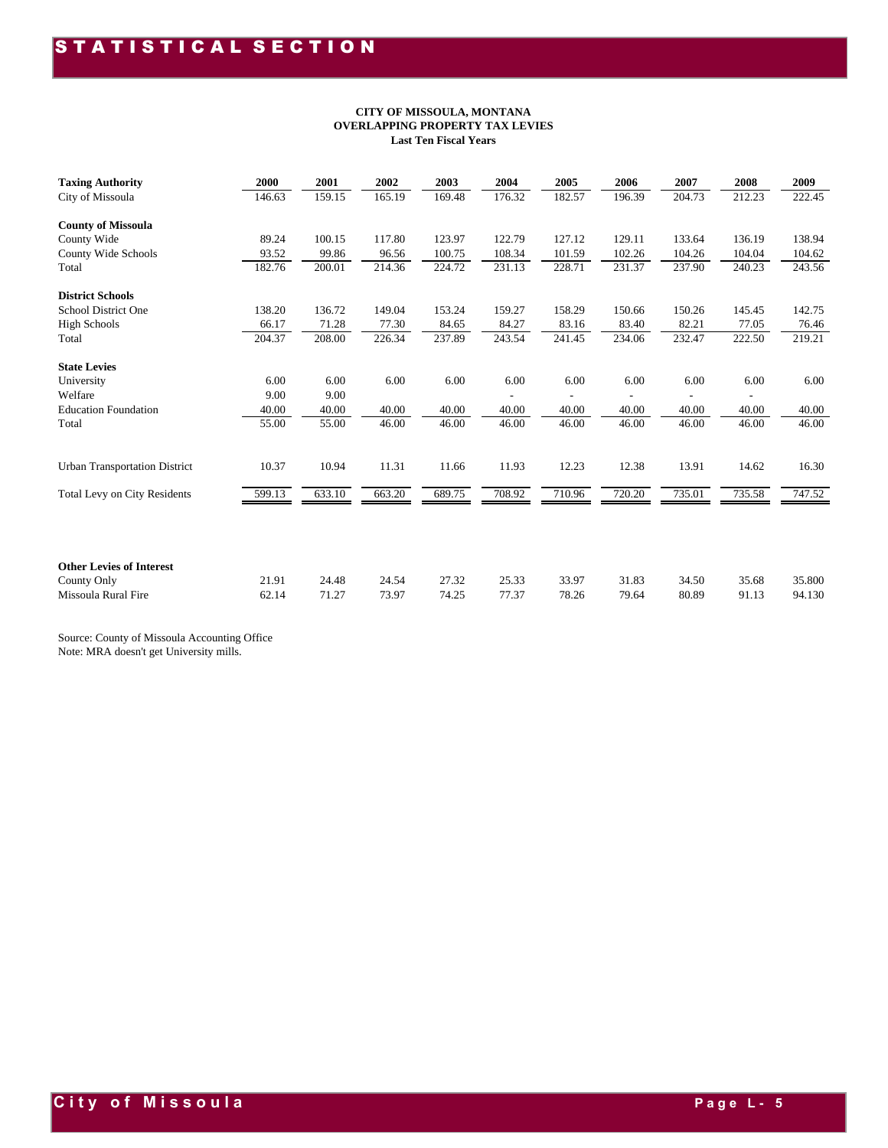#### **CITY OF MISSOULA, MONTANA OVERLAPPING PROPERTY TAX LEVIES Last Ten Fiscal Years**

| <b>Taxing Authority</b>                        | 2000   | 2001   | 2002   | 2003   | 2004   | 2005   | 2006   | 2007   | 2008   | 2009   |
|------------------------------------------------|--------|--------|--------|--------|--------|--------|--------|--------|--------|--------|
| City of Missoula                               | 146.63 | 159.15 | 165.19 | 169.48 | 176.32 | 182.57 | 196.39 | 204.73 | 212.23 | 222.45 |
| <b>County of Missoula</b>                      |        |        |        |        |        |        |        |        |        |        |
| County Wide                                    | 89.24  | 100.15 | 117.80 | 123.97 | 122.79 | 127.12 | 129.11 | 133.64 | 136.19 | 138.94 |
| County Wide Schools                            | 93.52  | 99.86  | 96.56  | 100.75 | 108.34 | 101.59 | 102.26 | 104.26 | 104.04 | 104.62 |
| Total                                          | 182.76 | 200.01 | 214.36 | 224.72 | 231.13 | 228.71 | 231.37 | 237.90 | 240.23 | 243.56 |
| <b>District Schools</b>                        |        |        |        |        |        |        |        |        |        |        |
| School District One                            | 138.20 | 136.72 | 149.04 | 153.24 | 159.27 | 158.29 | 150.66 | 150.26 | 145.45 | 142.75 |
| <b>High Schools</b>                            | 66.17  | 71.28  | 77.30  | 84.65  | 84.27  | 83.16  | 83.40  | 82.21  | 77.05  | 76.46  |
| Total                                          | 204.37 | 208.00 | 226.34 | 237.89 | 243.54 | 241.45 | 234.06 | 232.47 | 222.50 | 219.21 |
| <b>State Levies</b>                            |        |        |        |        |        |        |        |        |        |        |
| University                                     | 6.00   | 6.00   | 6.00   | 6.00   | 6.00   | 6.00   | 6.00   | 6.00   | 6.00   | 6.00   |
| Welfare                                        | 9.00   | 9.00   |        |        |        |        |        |        |        |        |
| <b>Education Foundation</b>                    | 40.00  | 40.00  | 40.00  | 40.00  | 40.00  | 40.00  | 40.00  | 40.00  | 40.00  | 40.00  |
| Total                                          | 55.00  | 55.00  | 46.00  | 46.00  | 46.00  | 46.00  | 46.00  | 46.00  | 46.00  | 46.00  |
|                                                |        |        |        |        |        |        |        |        |        |        |
| <b>Urban Transportation District</b>           | 10.37  | 10.94  | 11.31  | 11.66  | 11.93  | 12.23  | 12.38  | 13.91  | 14.62  | 16.30  |
| <b>Total Levy on City Residents</b>            | 599.13 | 633.10 | 663.20 | 689.75 | 708.92 | 710.96 | 720.20 | 735.01 | 735.58 | 747.52 |
|                                                |        |        |        |        |        |        |        |        |        |        |
|                                                |        |        |        |        |        |        |        |        |        |        |
| <b>Other Levies of Interest</b><br>County Only | 21.91  | 24.48  | 24.54  | 27.32  | 25.33  | 33.97  | 31.83  | 34.50  | 35.68  | 35.800 |
| Missoula Rural Fire                            | 62.14  | 71.27  | 73.97  | 74.25  | 77.37  | 78.26  | 79.64  | 80.89  | 91.13  | 94.130 |
|                                                |        |        |        |        |        |        |        |        |        |        |

Source: County of Missoula Accounting Office

Note: MRA doesn't get University mills.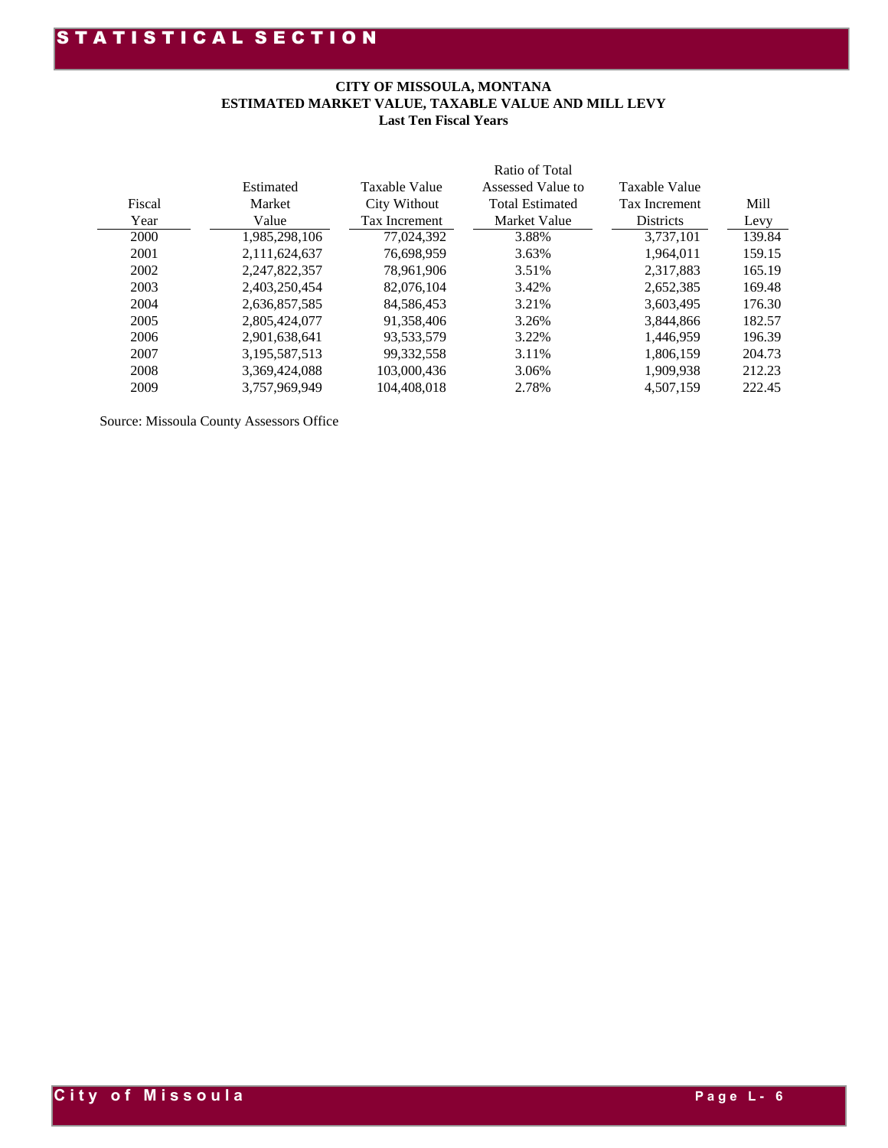#### **CITY OF MISSOULA, MONTANA ESTIMATED MARKET VALUE, TAXABLE VALUE AND MILL LEVY Last Ten Fiscal Years**

|        |               |               | Ratio of Total         |                  |        |
|--------|---------------|---------------|------------------------|------------------|--------|
|        | Estimated     | Taxable Value | Assessed Value to      | Taxable Value    |        |
| Fiscal | Market        | City Without  | <b>Total Estimated</b> | Tax Increment    | Mill   |
| Year   | Value         | Tax Increment | Market Value           | <b>Districts</b> | Levy   |
| 2000   | 1,985,298,106 | 77.024.392    | 3.88%                  | 3,737,101        | 139.84 |
| 2001   | 2.111.624.637 | 76.698.959    | 3.63%                  | 1.964.011        | 159.15 |
| 2002   | 2,247,822,357 | 78.961.906    | 3.51%                  | 2.317.883        | 165.19 |
| 2003   | 2,403,250,454 | 82,076,104    | 3.42%                  | 2,652,385        | 169.48 |
| 2004   | 2.636.857.585 | 84,586,453    | 3.21%                  | 3.603.495        | 176.30 |
| 2005   | 2,805,424,077 | 91,358,406    | 3.26%                  | 3.844.866        | 182.57 |
| 2006   | 2,901,638,641 | 93,533,579    | 3.22%                  | 1.446.959        | 196.39 |
| 2007   | 3,195,587,513 | 99,332,558    | 3.11%                  | 1,806,159        | 204.73 |
| 2008   | 3,369,424,088 | 103,000,436   | 3.06%                  | 1.909.938        | 212.23 |
| 2009   | 3.757.969.949 | 104.408.018   | 2.78%                  | 4.507.159        | 222.45 |
|        |               |               |                        |                  |        |

Source: Missoula County Assessors Office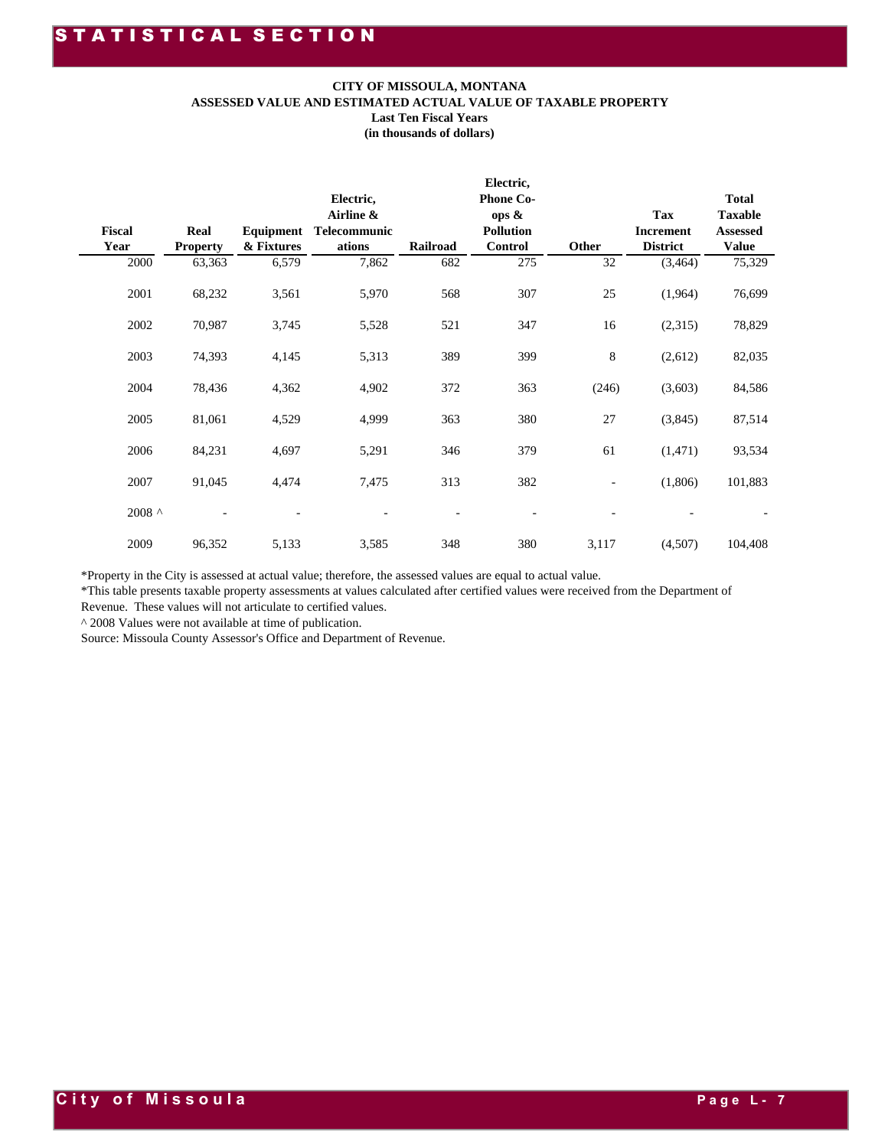#### **CITY OF MISSOULA, MONTANA**

|                                                                    |                                   |                     | ASSESSED VALUE AND ESTIMATED ACTUAL VALUE OF TAXABLE PROPERTY                                                                                                                                                                                                                                                        | CITY OF MISSOULA, MONTANA<br><b>Last Ten Fiscal Years</b><br>(in thousands of dollars) |                                                                              |             |                                                |                                                                      |
|--------------------------------------------------------------------|-----------------------------------|---------------------|----------------------------------------------------------------------------------------------------------------------------------------------------------------------------------------------------------------------------------------------------------------------------------------------------------------------|----------------------------------------------------------------------------------------|------------------------------------------------------------------------------|-------------|------------------------------------------------|----------------------------------------------------------------------|
| Fiscal<br>Year<br>2000                                             | Real<br><b>Property</b><br>63,363 | & Fixtures<br>6,579 | Electric,<br>Airline &<br>Equipment Telecommunic<br>ations<br>7,862                                                                                                                                                                                                                                                  | Railroad<br>682                                                                        | Electric,<br><b>Phone Co-</b><br>ops &<br><b>Pollution</b><br>Control<br>275 | Other<br>32 | Tax<br>Increment<br><b>District</b><br>(3,464) | <b>Total</b><br><b>Taxable</b><br>Assessed<br><b>Value</b><br>75,329 |
| 2001                                                               | 68,232                            | 3,561               | 5,970                                                                                                                                                                                                                                                                                                                | 568                                                                                    | 307                                                                          | 25          | (1,964)                                        | 76,699                                                               |
| 2002                                                               | 70,987                            | 3,745               | 5,528                                                                                                                                                                                                                                                                                                                | 521                                                                                    | 347                                                                          | 16          | (2,315)                                        | 78,829                                                               |
| 2003                                                               | 74,393                            | 4,145               | 5,313                                                                                                                                                                                                                                                                                                                | 389                                                                                    | 399                                                                          | 8           | (2,612)                                        | 82,035                                                               |
| 2004                                                               | 78,436                            | 4,362               | 4,902                                                                                                                                                                                                                                                                                                                | 372                                                                                    | 363                                                                          | (246)       | (3,603)                                        | 84,586                                                               |
| 2005                                                               | 81,061                            | 4,529               | 4,999                                                                                                                                                                                                                                                                                                                | 363                                                                                    | 380                                                                          | 27          | (3,845)                                        | 87,514                                                               |
| 2006                                                               | 84,231                            | 4,697               | 5,291                                                                                                                                                                                                                                                                                                                | 346                                                                                    | 379                                                                          | 61          | (1, 471)                                       | 93,534                                                               |
| 2007                                                               | 91,045                            | 4,474               | 7,475                                                                                                                                                                                                                                                                                                                | 313                                                                                    | 382                                                                          |             | (1,806)                                        | 101,883                                                              |
| 2008 $^{\circ}$                                                    |                                   |                     |                                                                                                                                                                                                                                                                                                                      |                                                                                        |                                                                              |             |                                                |                                                                      |
| 2009                                                               | 96,352                            | 5,133               | 3,585                                                                                                                                                                                                                                                                                                                | 348                                                                                    | 380                                                                          | 3,117       | (4,507)                                        | 104,408                                                              |
| $^{\wedge}$ 2008 Values were not available at time of publication. |                                   |                     | *Property in the City is assessed at actual value; therefore, the assessed values are equal to actual value.<br>*This table presents taxable property assessments at values calculated after certified values were received from the Department of<br>Revenue. These values will not articulate to certified values. |                                                                                        |                                                                              |             |                                                |                                                                      |
|                                                                    |                                   |                     | Source: Missoula County Assessor's Office and Department of Revenue.                                                                                                                                                                                                                                                 |                                                                                        |                                                                              |             |                                                |                                                                      |
|                                                                    |                                   |                     |                                                                                                                                                                                                                                                                                                                      |                                                                                        |                                                                              |             |                                                |                                                                      |
|                                                                    |                                   |                     |                                                                                                                                                                                                                                                                                                                      |                                                                                        |                                                                              |             |                                                |                                                                      |
|                                                                    |                                   |                     |                                                                                                                                                                                                                                                                                                                      |                                                                                        |                                                                              |             |                                                |                                                                      |
|                                                                    |                                   |                     |                                                                                                                                                                                                                                                                                                                      |                                                                                        |                                                                              |             |                                                |                                                                      |
|                                                                    |                                   |                     |                                                                                                                                                                                                                                                                                                                      |                                                                                        |                                                                              |             |                                                |                                                                      |
|                                                                    |                                   |                     |                                                                                                                                                                                                                                                                                                                      |                                                                                        |                                                                              |             |                                                |                                                                      |
|                                                                    |                                   |                     |                                                                                                                                                                                                                                                                                                                      |                                                                                        |                                                                              |             |                                                |                                                                      |
|                                                                    |                                   |                     |                                                                                                                                                                                                                                                                                                                      |                                                                                        |                                                                              |             |                                                |                                                                      |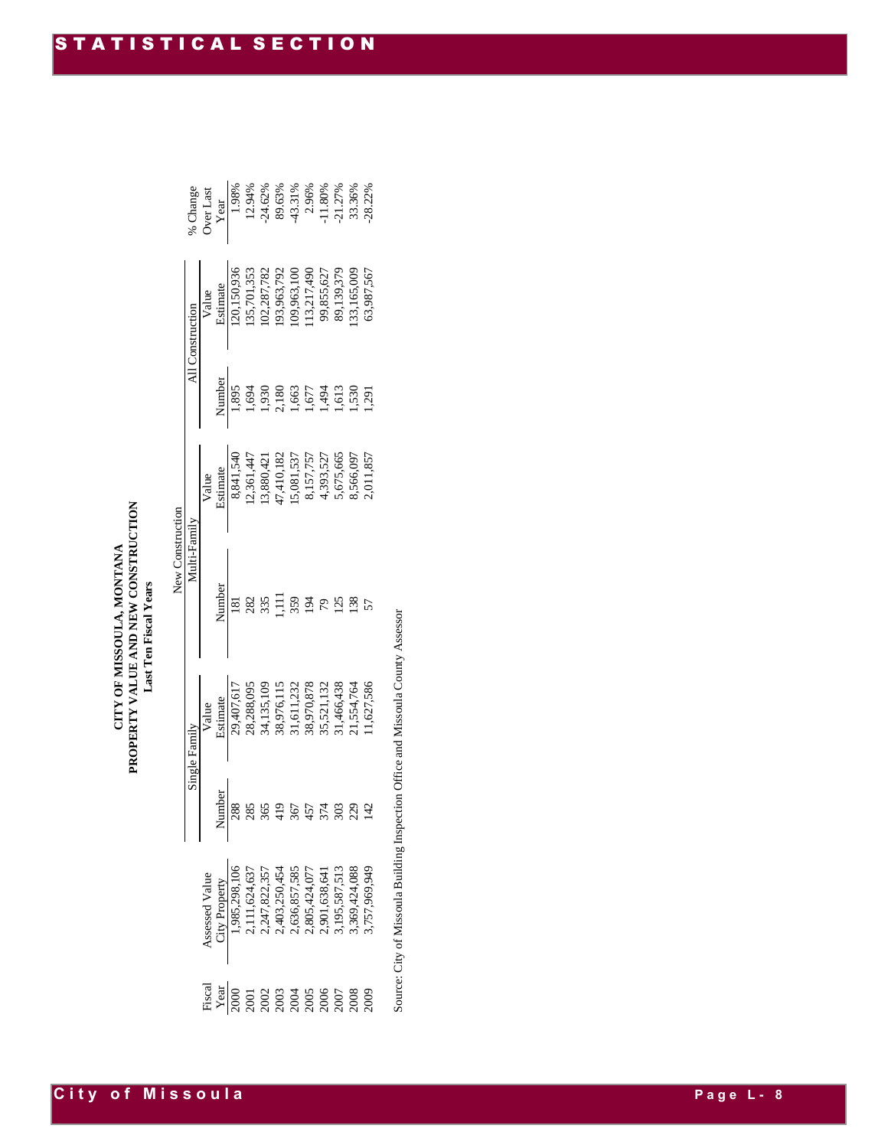|                  | All Construction |        |               |  | Value<br>Value<br>Estimate<br>120,150,936<br>135,701,353<br>135,701,353<br>109,287,792<br>109,855,627<br>113,117,490<br>99,855,627<br>99,855,627<br>133,165,009<br>89,139,379                                                                                                                                                                                   |                      |  |  |
|------------------|------------------|--------|---------------|--|-----------------------------------------------------------------------------------------------------------------------------------------------------------------------------------------------------------------------------------------------------------------------------------------------------------------------------------------------------------------|----------------------|--|--|
|                  |                  |        |               |  | Number<br>1,895<br>1,694<br>1,693<br>1,693<br>1,530<br>1,530<br>1,530<br>1,530                                                                                                                                                                                                                                                                                  |                      |  |  |
|                  |                  |        |               |  | Value<br>Estimate<br>Estimate<br>8,841,540<br>8,841,540<br>12,361,447<br>13,880,421<br>14,410,182<br>15,075,557<br>8,157,757<br>8,565,665<br>8,565,665<br>8,565,665<br>8,565,665                                                                                                                                                                                |                      |  |  |
| New Construction | Multi-Family     |        |               |  | $\frac{\sum_{n=1}^{n} a_n}{\sum_{i=1}^{n} a_i} \sum_{i=1}^{n} a_i \sum_{i=1}^{n} a_i \sum_{i=1}^{n} a_i \sum_{i=1}^{n} a_i \sum_{i=1}^{n} a_i \sum_{i=1}^{n} a_i \sum_{i=1}^{n} a_i \sum_{i=1}^{n} a_i \sum_{i=1}^{n} a_i \sum_{i=1}^{n} a_i \sum_{i=1}^{n} a_i \sum_{i=1}^{n} a_i \sum_{i=1}^{n} a_i \sum_{i=1}^{n} a_i \sum_{i=1}^{n} a_i \sum_{i=1}^{n} a_i$ |                      |  |  |
|                  | Single Family    |        |               |  | Value<br>Estimate<br>29,407,617<br>29,407,617<br>28,288,095<br>38,376,115<br>38,970,878<br>31,466,438<br>35,521,132<br>31,466,438<br>31,554,764<br>31,554,764                                                                                                                                                                                                   |                      |  |  |
|                  |                  | $\leq$ | Vumber<br>288 |  |                                                                                                                                                                                                                                                                                                                                                                 | 574<br>9884<br>48841 |  |  |
|                  |                  |        |               |  | Assessed Value<br>City Property<br>1,985,298,106<br>2,111,624,637<br>2,147,822,357<br>2,403,250,454<br>2,636,857,585<br>2,805,424,077<br>3,195,587,513<br>3,369,424,088<br>3,369,424,088                                                                                                                                                                        |                      |  |  |
|                  |                  |        |               |  |                                                                                                                                                                                                                                                                                                                                                                 |                      |  |  |

Source: City of Missoula Building Inspection Office and Missoula County Assessor Source: City of Missoula Building Inspection Office and Missoula County Assessor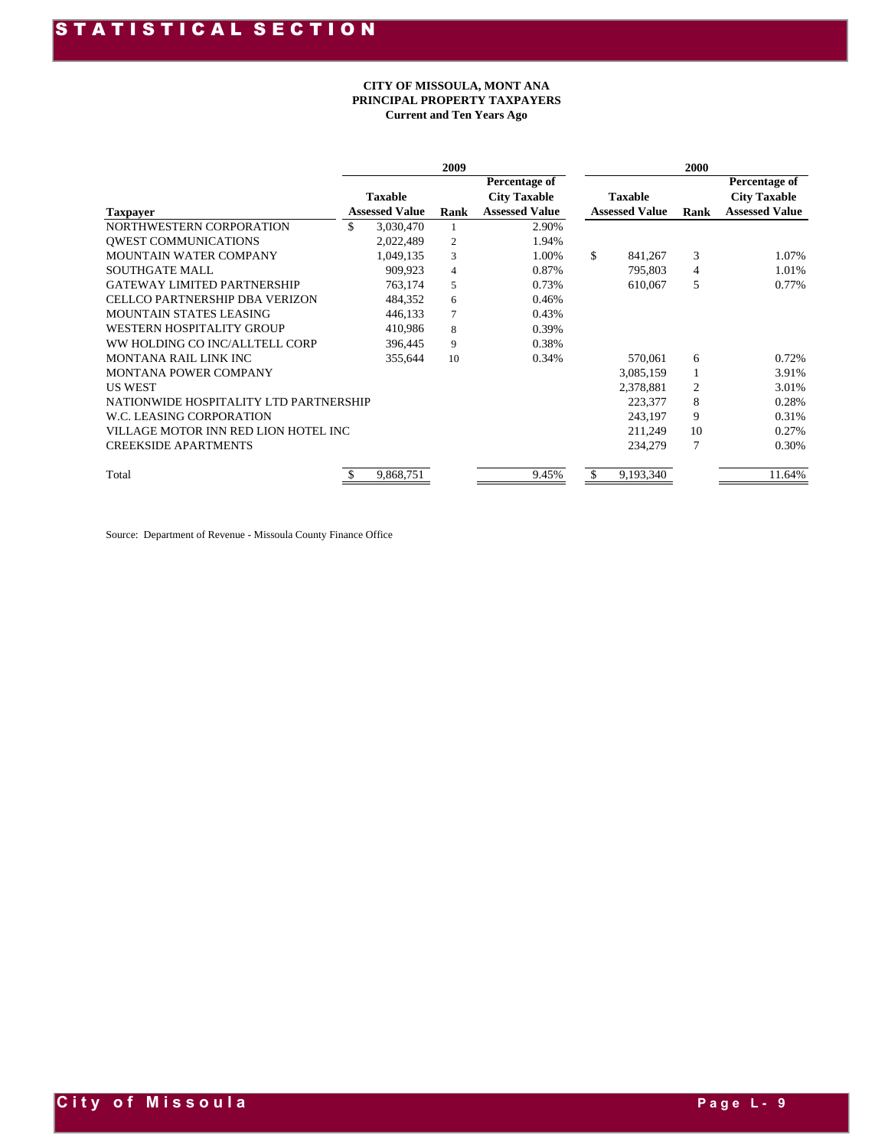#### **CITY OF MISSOULA, MONT ANA PRINCIPAL PROPERTY TAXPAYERS Current and Ten Years Ago**

|                                        |     |                       | 2009           |                                      |                       | 2000 |                                      |
|----------------------------------------|-----|-----------------------|----------------|--------------------------------------|-----------------------|------|--------------------------------------|
|                                        |     | <b>Taxable</b>        |                | Percentage of<br><b>City Taxable</b> | <b>Taxable</b>        |      | Percentage of<br><b>City Taxable</b> |
| <b>Taxpayer</b>                        |     | <b>Assessed Value</b> | Rank           | <b>Assessed Value</b>                | <b>Assessed Value</b> | Rank | <b>Assessed Value</b>                |
| NORTHWESTERN CORPORATION               | \$. | 3,030,470             |                | 2.90%                                |                       |      |                                      |
| <b>OWEST COMMUNICATIONS</b>            |     | 2,022,489             | $\overline{2}$ | 1.94%                                |                       |      |                                      |
| <b>MOUNTAIN WATER COMPANY</b>          |     | 1,049,135             | 3              | 1.00%                                | \$<br>841,267         | 3    | 1.07%                                |
| <b>SOUTHGATE MALL</b>                  |     | 909.923               | $\overline{4}$ | 0.87%                                | 795,803               | 4    | 1.01%                                |
| <b>GATEWAY LIMITED PARTNERSHIP</b>     |     | 763,174               | 5              | 0.73%                                | 610,067               | 5    | 0.77%                                |
| <b>CELLCO PARTNERSHIP DBA VERIZON</b>  |     | 484,352               | 6              | 0.46%                                |                       |      |                                      |
| <b>MOUNTAIN STATES LEASING</b>         |     | 446.133               | 7              | 0.43%                                |                       |      |                                      |
| <b>WESTERN HOSPITALITY GROUP</b>       |     | 410,986               | 8              | 0.39%                                |                       |      |                                      |
| WW HOLDING CO INC/ALLTELL CORP         |     | 396,445               | 9              | 0.38%                                |                       |      |                                      |
| MONTANA RAIL LINK INC                  |     | 355,644               | 10             | 0.34%                                | 570,061               | 6    | 0.72%                                |
| <b>MONTANA POWER COMPANY</b>           |     |                       |                |                                      | 3,085,159             |      | 3.91%                                |
| <b>US WEST</b>                         |     |                       |                |                                      | 2,378,881             | 2    | 3.01%                                |
| NATIONWIDE HOSPITALITY LTD PARTNERSHIP |     |                       |                |                                      | 223,377               | 8    | 0.28%                                |
| W.C. LEASING CORPORATION               |     |                       |                |                                      | 243,197               | 9    | 0.31%                                |
| VILLAGE MOTOR INN RED LION HOTEL INC   |     |                       |                |                                      | 211.249               | 10   | 0.27%                                |
| <b>CREEKSIDE APARTMENTS</b>            |     |                       |                |                                      | 234,279               |      | 0.30%                                |
| Total                                  |     | 9,868,751             |                | 9.45%                                | \$<br>9,193,340       |      | 11.64%                               |

Source: Department of Revenue - Missoula County Finance Office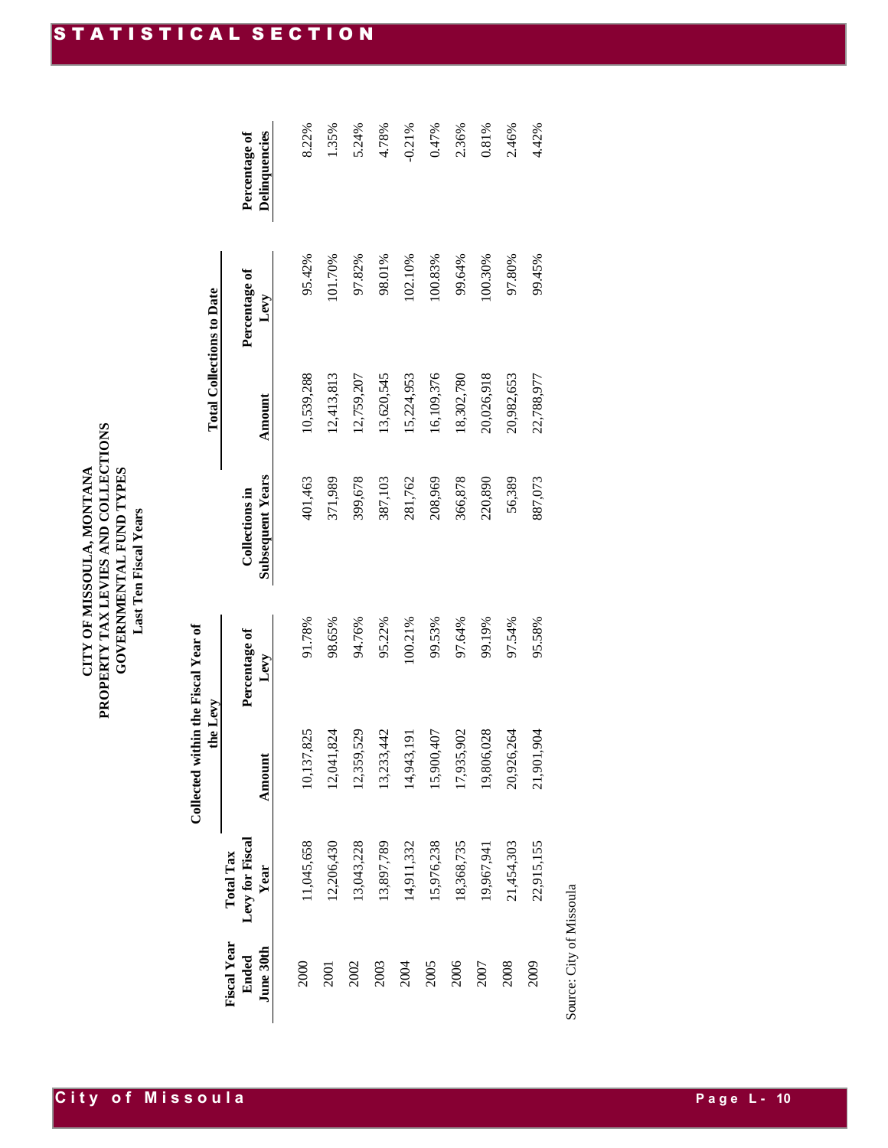### PROPERTY TAX LEVIES AND COLLECTIONS<br>GOVERNMENTAL FUND TYPES **PROPERTY TAX LEVIES AND COLLECTIONS** CITY OF MISSOULA, MONTANA **CITY OF MISSOULA, MONTANA GOVERNMENTAL FUND TYPES** Last Ten Fiscal Years **Last Ten Fiscal Years**

**the Levy Total Collections to Date** Collected within the Fiscal Year of **Collected within the Fiscal Year of**  the Levy

**City of Missoula** 

| <b>Fiscal Year</b> | <b>Total Tax</b> |            |               |                         |            |               |               |
|--------------------|------------------|------------|---------------|-------------------------|------------|---------------|---------------|
| Ended              | Levy for Fiscal  |            | Percentage of | <b>Collections</b> in   |            | Percentage of | Percentage of |
| June 30th          | Year             | Amount     | Levy          | <b>Subsequent Years</b> | Amount     | Levy          | Delinquencies |
|                    |                  |            |               |                         |            |               |               |
| 2000               | 11,045,658       | 10,137,825 | 91.78%        | 401,463                 | 10,539,288 | 95.42%        | 8.22%         |
| 2001               | 12,206,430       | 12,041,824 | 98.65%        | 371,989                 | 12,413,813 | 101.70%       | 1.35%         |
| 2002               | 13,043,228       | 12,359,529 | 94.76%        | 399,678                 | 12,759,207 | 97.82%        | 5.24%         |
| 2003               | 13,897,789       | 13,233,442 | 95.22%        | 387,103                 | 13,620,545 | 98.01%        | 4.78%         |
| <b>2004</b>        | 14,911,332       | 14,943,191 | 100.21%       | 281,762                 | 15,224,953 | 102.10%       | $-0.21%$      |
| 2005               | 15,976,238       | 15,900,407 | 99.53%        | 208,969                 | 16,109,376 | 100.83%       | 0.47%         |
| 2006               | 18,368,735       | 17,935,902 | 97.64%        | 366,878                 | 18,302,780 | 99.64%        | 2.36%         |
| 2007               | 19,967,941       | 19,806,028 | 99.19%        | 220,890                 | 20,026,918 | 00.30%        | 0.81%         |
| 2008               | 21,454,303       | 20,926,264 | 97.54%        | 56,389                  | 20,982,653 | 97.80%        | 2.46%         |
| 2009               | 22,915,155       | 21,901,904 | 95.58%        | 887,073                 | 22,788,977 | 99.45%        | 4.42%         |
|                    |                  |            |               |                         |            |               |               |

Source: City of Missoula Source: City of Missoula

**Total Collections to Date**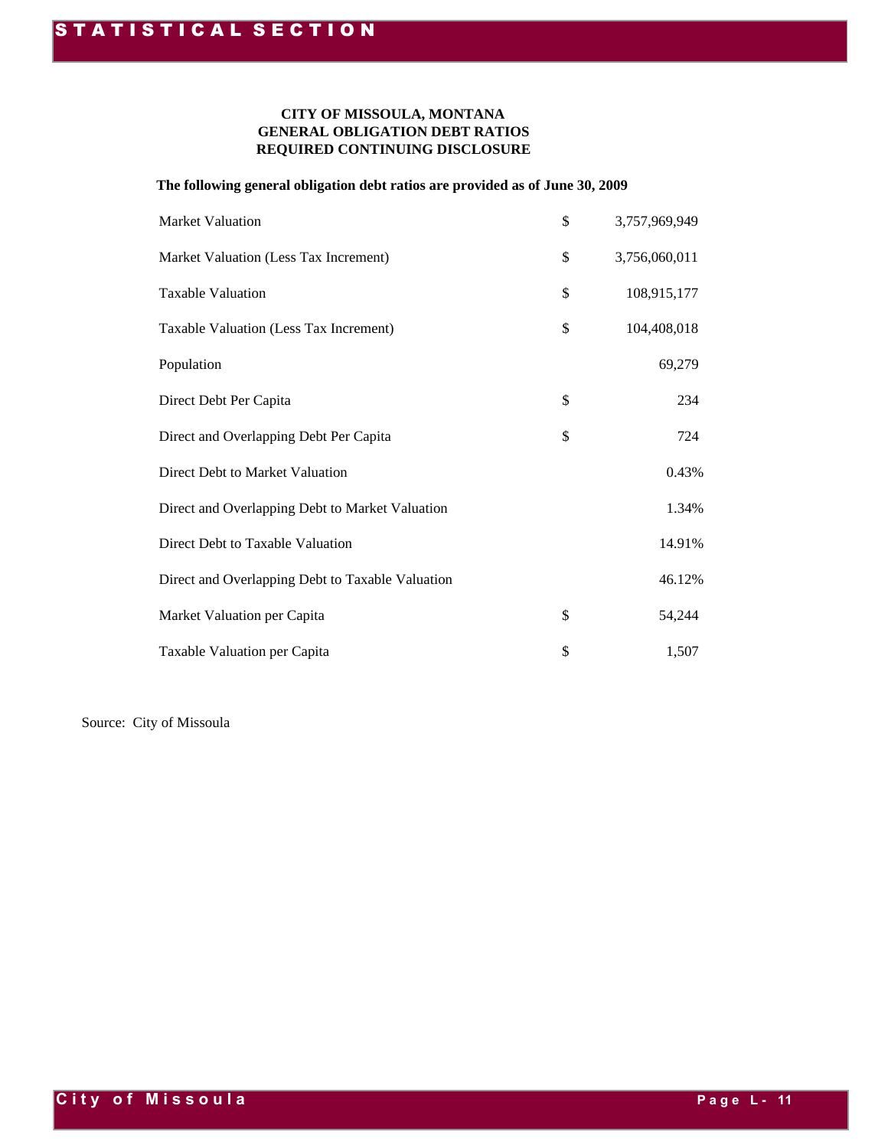#### **GENERAL OBLIGATION DEBT RATIOS REQUIRED CONTINUING DISCLOSURE CITY OF MISSOULA, MONTANA**

#### **The following general obligation debt ratios are provided as of June 30, 2009**

| <b>Market Valuation</b>                          | \$<br>3,757,969,949 |
|--------------------------------------------------|---------------------|
| Market Valuation (Less Tax Increment)            | \$<br>3,756,060,011 |
| <b>Taxable Valuation</b>                         | \$<br>108,915,177   |
| Taxable Valuation (Less Tax Increment)           | \$<br>104,408,018   |
| Population                                       | 69,279              |
| Direct Debt Per Capita                           | \$<br>234           |
| Direct and Overlapping Debt Per Capita           | \$<br>724           |
| Direct Debt to Market Valuation                  | 0.43%               |
| Direct and Overlapping Debt to Market Valuation  | 1.34%               |
| Direct Debt to Taxable Valuation                 | 14.91%              |
| Direct and Overlapping Debt to Taxable Valuation | 46.12%              |
| Market Valuation per Capita                      | \$<br>54,244        |
| Taxable Valuation per Capita                     | \$<br>1,507         |

Source: City of Missoula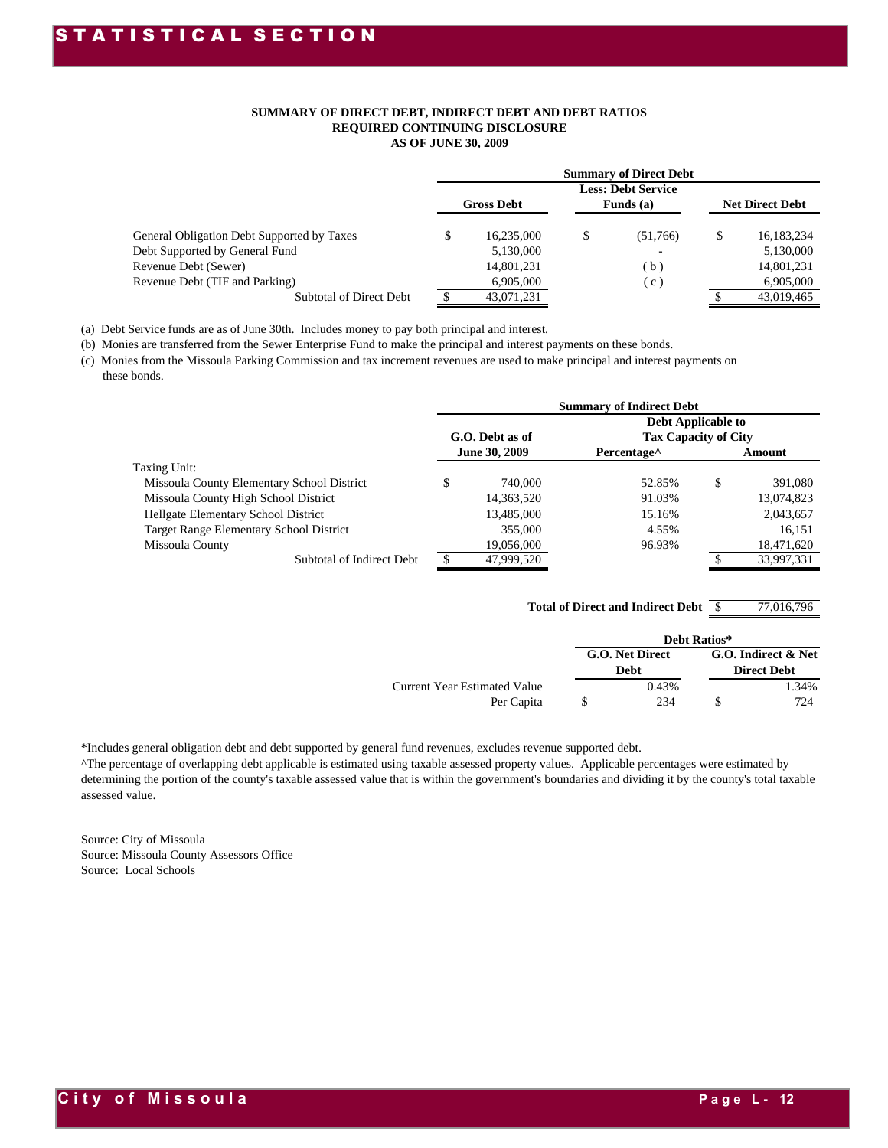#### **SUMMARY OF DIRECT DEBT, INDIRECT DEBT AND DEBT RATIOS REQUIRED CONTINUING DISCLOSURE AS OF JUNE 30, 2009**

|                                            |                   |   | <b>Summary of Direct Debt</b> |                        |
|--------------------------------------------|-------------------|---|-------------------------------|------------------------|
|                                            |                   |   | <b>Less: Debt Service</b>     |                        |
|                                            | <b>Gross Debt</b> |   | Funds $(a)$                   | <b>Net Direct Debt</b> |
|                                            |                   |   |                               |                        |
| General Obligation Debt Supported by Taxes | \$<br>16.235.000  | S | (51.766)                      | \$<br>16,183,234       |
| Debt Supported by General Fund             | 5,130,000         |   | $\overline{\phantom{0}}$      | 5,130,000              |
| Revenue Debt (Sewer)                       | 14,801,231        |   | $\mathbf{b}$                  | 14,801,231             |
| Revenue Debt (TIF and Parking)             | 6.905.000         |   | $\mathbf{c}$                  | 6,905,000              |
| Subtotal of Direct Debt                    | 43,071,231        |   |                               | 43.019.465             |

(a) Debt Service funds are as of June 30th. Includes money to pay both principal and interest.

(b) Monies are transferred from the Sewer Enterprise Fund to make the principal and interest payments on these bonds.

(c) Monies from the Missoula Parking Commission and tax increment revenues are used to make principal and interest payments on these bonds.

|                                                |                      | <b>Summary of Indirect Debt</b>           |               |
|------------------------------------------------|----------------------|-------------------------------------------|---------------|
|                                                |                      | <b>Debt Applicable to</b>                 |               |
|                                                | G.O. Debt as of      | <b>Tax Capacity of City</b>               |               |
|                                                | <b>June 30, 2009</b> | Percentage <sup><math>\wedge</math></sup> | Amount        |
| Taxing Unit:                                   |                      |                                           |               |
| Missoula County Elementary School District     | \$<br>740,000        | 52.85%                                    | \$<br>391.080 |
| Missoula County High School District           | 14,363,520           | 91.03%                                    | 13,074,823    |
| Hellgate Elementary School District            | 13,485,000           | 15.16%                                    | 2,043,657     |
| <b>Target Range Elementary School District</b> | 355,000              | 4.55%                                     | 16,151        |
| Missoula County                                | 19,056,000           | 96.93%                                    | 18,471,620    |
| Subtotal of Indirect Debt                      | 47,999,520           |                                           | 33.997.331    |

\$ 77,016,796 **Total of Direct and Indirect Debt**

|                                            |                         | Debt Ratios* |                                           |
|--------------------------------------------|-------------------------|--------------|-------------------------------------------|
|                                            | G.O. Net Direct<br>Debt |              | G.O. Indirect & Net<br><b>Direct Debt</b> |
| Current Year Estimated Value<br>Per Capita | 0.43%<br>234            |              | 1.34%<br>724                              |

\*Includes general obligation debt and debt supported by general fund revenues, excludes revenue supported debt.

^The percentage of overlapping debt applicable is estimated using taxable assessed property values. Applicable percentages were estimated by determining the portion of the county's taxable assessed value that is within the government's boundaries and dividing it by the county's total taxable assessed value.

Source: City of Missoula Source: Missoula County Assessors Office Source: Local Schools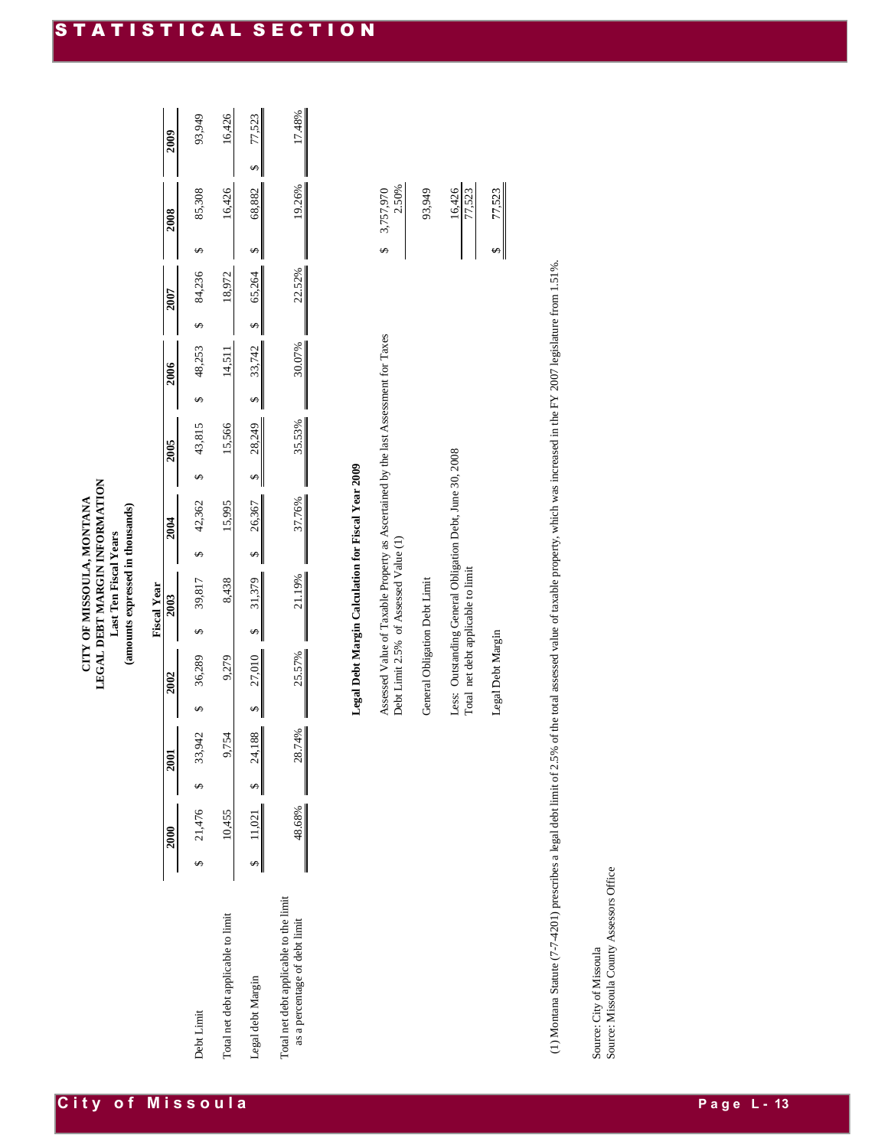|                                                                         |                               |        |        | <b>Fiscal Year</b> |        |        |        |        |        |        |
|-------------------------------------------------------------------------|-------------------------------|--------|--------|--------------------|--------|--------|--------|--------|--------|--------|
|                                                                         | 2000                          | 2001   |        | 2003               |        | 2005   | 2006   | 2007   | 2008   | 2009   |
| Debt Limit                                                              | $$21,476$ \$33,               | 942    | 36,289 | 39,817             | 42,362 | 43,815 | 48,253 | 84,236 | 85,308 | 93,949 |
| Total net debt applicable to limit                                      | 10,455                        | 9.754  | 9,279  | 8,438              | 15,995 | 15,566 | 14,51  | 18,972 | 16,426 | 16,426 |
| Legal debt Margin                                                       | $\frac{$11,021}{4}$ \$ 24,188 |        | 27,010 | 31,379             | 26,367 | 28,249 | 33,742 | 65,264 | 68,882 | 77,523 |
| Total net debt applicable to the limit<br>as a percentage of debt limit | 48.68%                        | 28.74% | 25.57% | 21.19%             | 37.76% | 35.53% | 30.07% | 22.52% | 19.26% | 17.48% |

# Legal Debt Margin Calculation for Fiscal Year 2009 **Legal Debt Margin Calculation for Fiscal Year 2009**

| Assessed Value of Taxable Property as Ascertained by the last Assessment for Taxes<br>Debt Limit 2.5% of Assessed Value (1)                                                     | 2.50%<br>3,757,970 |
|---------------------------------------------------------------------------------------------------------------------------------------------------------------------------------|--------------------|
| General Obligation Debt Limit                                                                                                                                                   | 93,949             |
| Less: Outstanding General Obligation Debt, June 30, 2008<br>Total net debt applicable to limit                                                                                  | 16,426<br>77,523   |
| Legal Debt Margin                                                                                                                                                               | 77,523             |
| 1) Montana Statute (7-7-4201) prescribes a legal debt limit of 2.5% of the total assessed value of taxable property, which was increased in the FY 2007 legislature from 1.51%. |                    |

(1) Montana Statute (7-7-4201) prescribes a legal debt limit of 2.5% of the total assessed value of taxable property, which was increased in the FY 2007 legislature from 1.51%. as increased in the FY 2007 legislature from 1.51%.

Source: City of Missoula<br>Source: Missoula County Assessors Office Source: Missoula County Assessors Office Source: City of Missoula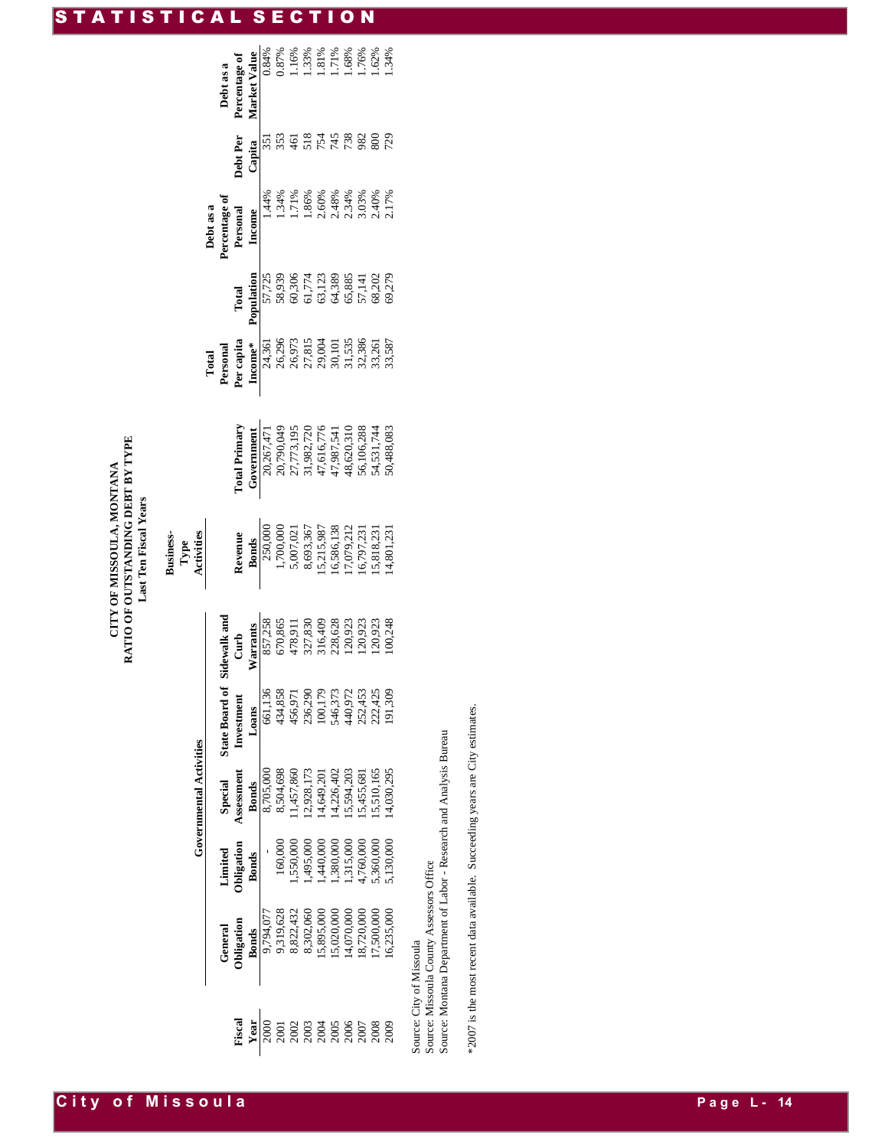## CITY OF MISSOULA, MONTANA<br>RATIO OF OUTSTANDING DEBT BY TYPE **RATIO OF OUTSTANDING DEBT BY TYPE CITY OF MISSOULA, MONTANA** Last Ten Fiscal Years **Last Ten Fiscal Years**

**Business-Type** 

**City of Missoula** 

|                                                                                           |                                                                                                                        |                                                                                                                                                       | <b>Governmental Activities</b>                                                                                               |                        |                                                                                                                                | Activities                                                                                                                                                  |                                                                                                                                                                                                                                                                                                                                                                                                                                       |                                                                                                                                                                                                                                                                                                                                             |                                                                                                                                          |                                                                                                                                                                                                                                                                   |                                |                                                                                      |
|-------------------------------------------------------------------------------------------|------------------------------------------------------------------------------------------------------------------------|-------------------------------------------------------------------------------------------------------------------------------------------------------|------------------------------------------------------------------------------------------------------------------------------|------------------------|--------------------------------------------------------------------------------------------------------------------------------|-------------------------------------------------------------------------------------------------------------------------------------------------------------|---------------------------------------------------------------------------------------------------------------------------------------------------------------------------------------------------------------------------------------------------------------------------------------------------------------------------------------------------------------------------------------------------------------------------------------|---------------------------------------------------------------------------------------------------------------------------------------------------------------------------------------------------------------------------------------------------------------------------------------------------------------------------------------------|------------------------------------------------------------------------------------------------------------------------------------------|-------------------------------------------------------------------------------------------------------------------------------------------------------------------------------------------------------------------------------------------------------------------|--------------------------------|--------------------------------------------------------------------------------------|
|                                                                                           |                                                                                                                        |                                                                                                                                                       |                                                                                                                              |                        |                                                                                                                                |                                                                                                                                                             |                                                                                                                                                                                                                                                                                                                                                                                                                                       |                                                                                                                                                                                                                                                                                                                                             |                                                                                                                                          |                                                                                                                                                                                                                                                                   |                                |                                                                                      |
|                                                                                           |                                                                                                                        | Limited                                                                                                                                               |                                                                                                                              | State Board of         | videwalk an                                                                                                                    |                                                                                                                                                             |                                                                                                                                                                                                                                                                                                                                                                                                                                       | Fotal<br><b>Personal</b><br><b>Personal</b><br><b>Personal</b><br><b>Personal</b><br><b>Personal</b><br><b>Personally</b><br><b>Personally</b><br><b>Personally</b><br><b>Personally</b><br><b>Personally</b><br><b>Personally</b><br><b>Personally</b><br><b>Personally</b><br><b>Personally</b><br><b>Personally</b><br><b>Personally</b> |                                                                                                                                          | Debt as a<br>Percentage of                                                                                                                                                                                                                                        |                                | Debt as a<br>Percentage of                                                           |
|                                                                                           | General<br>Obligation<br>Bonds                                                                                         | bligation                                                                                                                                             | Special<br>Assessment                                                                                                        | Investmen <sup>*</sup> |                                                                                                                                |                                                                                                                                                             |                                                                                                                                                                                                                                                                                                                                                                                                                                       |                                                                                                                                                                                                                                                                                                                                             |                                                                                                                                          |                                                                                                                                                                                                                                                                   |                                |                                                                                      |
| Fiscal<br>Year                                                                            |                                                                                                                        | <b>Bonds</b>                                                                                                                                          | <b>Bonds</b>                                                                                                                 | Loans                  |                                                                                                                                |                                                                                                                                                             |                                                                                                                                                                                                                                                                                                                                                                                                                                       |                                                                                                                                                                                                                                                                                                                                             |                                                                                                                                          | Personal<br>Income                                                                                                                                                                                                                                                | Debt Per<br>Capita             |                                                                                      |
|                                                                                           |                                                                                                                        |                                                                                                                                                       |                                                                                                                              |                        |                                                                                                                                |                                                                                                                                                             |                                                                                                                                                                                                                                                                                                                                                                                                                                       |                                                                                                                                                                                                                                                                                                                                             |                                                                                                                                          |                                                                                                                                                                                                                                                                   |                                |                                                                                      |
|                                                                                           |                                                                                                                        |                                                                                                                                                       |                                                                                                                              |                        |                                                                                                                                |                                                                                                                                                             |                                                                                                                                                                                                                                                                                                                                                                                                                                       |                                                                                                                                                                                                                                                                                                                                             |                                                                                                                                          |                                                                                                                                                                                                                                                                   |                                |                                                                                      |
|                                                                                           |                                                                                                                        |                                                                                                                                                       |                                                                                                                              |                        |                                                                                                                                |                                                                                                                                                             |                                                                                                                                                                                                                                                                                                                                                                                                                                       |                                                                                                                                                                                                                                                                                                                                             |                                                                                                                                          |                                                                                                                                                                                                                                                                   |                                |                                                                                      |
| <u>0</u><br>0 0 0 0 0 0 0 0 0 0 0 0<br>កំពុង កំពុង កំពុង កំពុង<br>កំពុង កំពុង កំពុង កំពុង | 9,794,077<br>9,319,623<br>8,822,432<br>8,822,000<br>8,302,000<br>1.5,200,000<br>14,720,000<br>10,325,000<br>17,500,000 | $\begin{array}{l} 160,000\\ 1,455,0000\\ 1,456,000\\ 1,445,000\\ 1,380,000\\ 1,315,000\\ 4,760,000\\ 5,360,000\\ 5,130,000\\ 5,130,000\\ \end{array}$ |                                                                                                                              |                        | Curb<br>Narrants<br>NST,258<br>857,258<br>670,865<br>478,311<br>120,923<br>120,923<br>120,923<br>120,923<br>120,923<br>120,923 |                                                                                                                                                             |                                                                                                                                                                                                                                                                                                                                                                                                                                       |                                                                                                                                                                                                                                                                                                                                             | Total<br><b>Population</b><br>ST, 725<br>SS, 939, 95<br>SS, 939, 95<br>SS, 939, 95<br>G & 55<br>SS, 279<br>SS, 279<br>SS, 279<br>SS, 279 | $\begin{array}{l} 1.34\%\\ 1.71\%\\ 8.60\%\\ 2.60\%\\ 2.48\%\\ 2.54\%\\ 2.60\%\\ 2.7\%\\ 2.7\%\\ 2.17\%\\ 2.17\%\\ 2.17\%\\ 2.17\%\\ 2.17\%\\ 2.17\%\\ 2.17\%\\ 2.17\%\\ 2.17\%\\ 2.17\%\\ 2.17\%\\ 2.17\%\\ 2.17\%\\ 2.17\%\\ 2.17\%\\ 2.17\%\\ 2.17\%\\ 2.17\%$ | <b>6224688025</b><br>625468802 | Market Value<br>0.84%<br>0.87%<br>0.87%<br>1.16%<br>1.17%<br>1.76%<br>1.62%<br>1.62% |
|                                                                                           |                                                                                                                        |                                                                                                                                                       |                                                                                                                              |                        |                                                                                                                                |                                                                                                                                                             |                                                                                                                                                                                                                                                                                                                                                                                                                                       |                                                                                                                                                                                                                                                                                                                                             |                                                                                                                                          |                                                                                                                                                                                                                                                                   |                                |                                                                                      |
|                                                                                           |                                                                                                                        |                                                                                                                                                       |                                                                                                                              |                        |                                                                                                                                |                                                                                                                                                             |                                                                                                                                                                                                                                                                                                                                                                                                                                       |                                                                                                                                                                                                                                                                                                                                             |                                                                                                                                          |                                                                                                                                                                                                                                                                   |                                |                                                                                      |
|                                                                                           |                                                                                                                        |                                                                                                                                                       |                                                                                                                              |                        |                                                                                                                                |                                                                                                                                                             |                                                                                                                                                                                                                                                                                                                                                                                                                                       |                                                                                                                                                                                                                                                                                                                                             |                                                                                                                                          |                                                                                                                                                                                                                                                                   |                                |                                                                                      |
|                                                                                           |                                                                                                                        |                                                                                                                                                       |                                                                                                                              |                        |                                                                                                                                |                                                                                                                                                             |                                                                                                                                                                                                                                                                                                                                                                                                                                       |                                                                                                                                                                                                                                                                                                                                             |                                                                                                                                          |                                                                                                                                                                                                                                                                   |                                |                                                                                      |
|                                                                                           |                                                                                                                        |                                                                                                                                                       |                                                                                                                              |                        |                                                                                                                                |                                                                                                                                                             |                                                                                                                                                                                                                                                                                                                                                                                                                                       |                                                                                                                                                                                                                                                                                                                                             |                                                                                                                                          |                                                                                                                                                                                                                                                                   |                                |                                                                                      |
|                                                                                           |                                                                                                                        |                                                                                                                                                       | 8,705,000<br>8,504,698<br>8,504,698,173<br>11,457,860<br>11,649,203,803<br>14,594,203,055<br>15,504,554,55,681<br>15,510,165 |                        |                                                                                                                                | <b>Revenue</b><br><b>Bonds</b><br><b>Dands</b><br>1,700,000<br>1,700,000<br>5,609,3,87<br>16,799,121<br>16,799,121<br>16,799,123<br>15,818,231<br>15,812,31 | $\begin{array}{l} \textbf{[col } \textbf{[rel]}\textbf{[col] } \textbf{[col } \textbf{[col } \textbf{[col } \textbf{[col } \textbf{[col } \textbf{[col } \textbf{[col } \textbf{[col } \textbf{[col } \textbf{[col } \textbf{[col } \textbf{[col } \textbf{[col } \textbf{[col } \textbf{[col } \textbf{[col } \textbf{[col } \textbf{[col } \textbf{[col } \textbf{[col } \textbf{[col } \textbf{[col } \textbf{[col } \textbf{[col$ |                                                                                                                                                                                                                                                                                                                                             |                                                                                                                                          |                                                                                                                                                                                                                                                                   |                                |                                                                                      |
|                                                                                           |                                                                                                                        |                                                                                                                                                       |                                                                                                                              |                        |                                                                                                                                |                                                                                                                                                             |                                                                                                                                                                                                                                                                                                                                                                                                                                       |                                                                                                                                                                                                                                                                                                                                             |                                                                                                                                          |                                                                                                                                                                                                                                                                   |                                |                                                                                      |

Source: City of Missoula

Source: City of Missoula<br>Source: Missoula County Assessors Office<br>Source: Montana Department of Labor - Research and Analysis Bureau Source: Montana Department of Labor - Research and Analysis Bureau Source: Missoula County Assessors Office

\*2007 is the most recent data available. Succeeding years are City estimates. \*2007 is the most recent data available. Succeeding years are City estimates.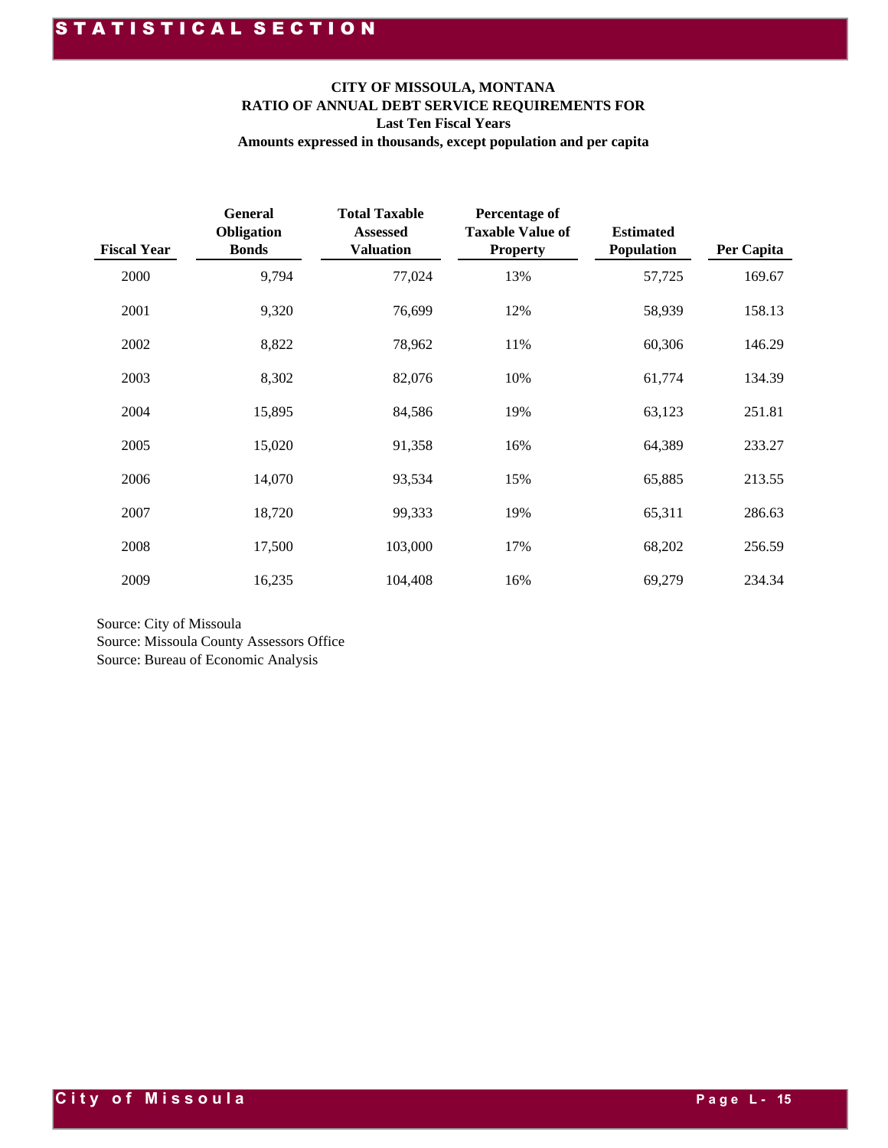#### **CITY OF MISSOULA, MONTANA RATIO OF ANNUAL DEBT SERVICE REQUIREMENTS FOR Last Ten Fiscal Years Amounts expressed in thousands, except population and per capita**

| <b>Fiscal Year</b> | <b>General</b><br>Obligation<br><b>Bonds</b> | <b>Total Taxable</b><br><b>Assessed</b><br><b>Valuation</b> | <b>Percentage of</b><br><b>Taxable Value of</b><br><b>Property</b> | <b>Estimated</b><br><b>Population</b> | Per Capita |
|--------------------|----------------------------------------------|-------------------------------------------------------------|--------------------------------------------------------------------|---------------------------------------|------------|
| 2000               | 9,794                                        | 77,024                                                      | 13%                                                                | 57,725                                | 169.67     |
| 2001               | 9,320                                        | 76,699                                                      | 12%                                                                | 58,939                                | 158.13     |
| 2002               | 8,822                                        | 78,962                                                      | 11%                                                                | 60,306                                | 146.29     |
| 2003               | 8,302                                        | 82,076                                                      | 10%                                                                | 61,774                                | 134.39     |
| 2004               | 15,895                                       | 84,586                                                      | 19%                                                                | 63,123                                | 251.81     |
| 2005               | 15,020                                       | 91,358                                                      | 16%                                                                | 64,389                                | 233.27     |
| 2006               | 14,070                                       | 93,534                                                      | 15%                                                                | 65,885                                | 213.55     |
| 2007               | 18,720                                       | 99,333                                                      | 19%                                                                | 65,311                                | 286.63     |
| 2008               | 17,500                                       | 103,000                                                     | 17%                                                                | 68,202                                | 256.59     |
| 2009               | 16,235                                       | 104,408                                                     | 16%                                                                | 69,279                                | 234.34     |

Source: City of Missoula Source: Missoula County Assessors Office Source: Bureau of Economic Analysis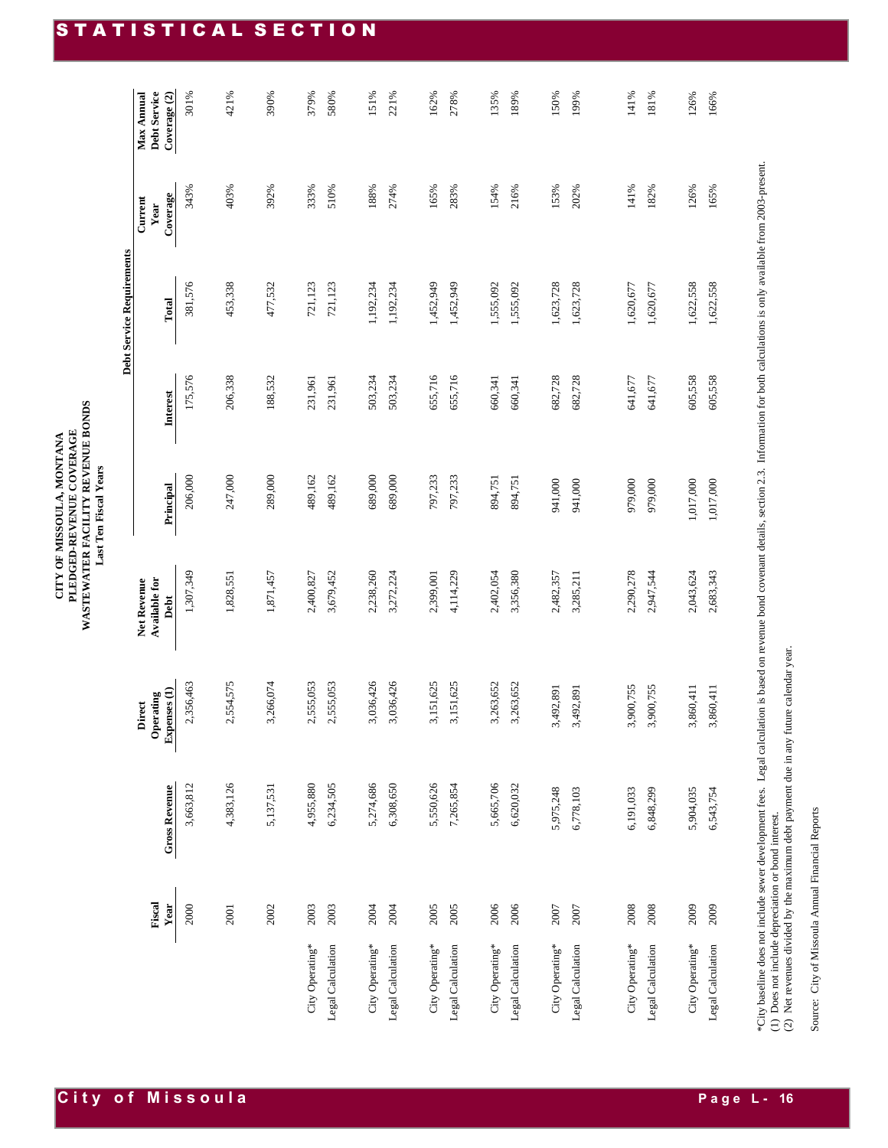**Debt Service Requirements**

Debt Service Requirements

|                   | Fiscal<br>Year | <b>Gross Revenue</b> | Expenses (1)<br>Operating<br>Direct | Net Revenue<br>Available for<br>Debt | Principal | Interest | Total     | Coverage<br>Current<br>Year | Debt Service<br>Max Annual<br>Coverage (2) |
|-------------------|----------------|----------------------|-------------------------------------|--------------------------------------|-----------|----------|-----------|-----------------------------|--------------------------------------------|
|                   | 2000           | 3,663,812            | 2,356,463                           | 1,307,349                            | 206,000   | 175,576  | 381,576   | 343%                        | 301%                                       |
|                   | 2001           | 4,383,126            | 2,554,575                           | 1,828,551                            | 247,000   | 206,338  | 453,338   | 403%                        | 421%                                       |
|                   | 2002           | 5,137,531            | 3,266,074                           | 1,871,457                            | 289,000   | 188,532  | 477,532   | 392%                        | 390%                                       |
| City Operating*   | 2003           | 4,955,880            | 2,555,053                           | 2,400,827                            | 489,162   | 231,961  | 721,123   | 333%                        | 379%                                       |
| Legal Calculation | 2003           | 6,234,505            | 2,555,053                           | 3,679,452                            | 489,162   | 231,961  | 721,123   | 510%                        | 580%                                       |
| City Operating*   | 2004           | 5,274,686            | 3,036,426                           | 2,238,260                            | 689,000   | 503,234  | 1,192,234 | 188%                        | 151%                                       |
| Legal Calculation | 2004           | 6,308,650            | 3,036,426                           | 3,272,224                            | 689,000   | 503,234  | 1,192,234 | 274%                        | 221%                                       |
| City Operating*   | 2005           | 5,550,626            | 3,151,625                           | 2,399,001                            | 797,233   | 655,716  | 1,452,949 | 165%                        | 162%                                       |
| Legal Calculation | 2005           | 7,265,854            | 3,151,625                           | 4,114,229                            | 797,233   | 655,716  | 1,452,949 | 283%                        | 278%                                       |
| City Operating*   | 2006           | 5,665,706            | 3,263,652                           | 2,402,054                            | 894,751   | 660,341  | 1,555,092 | 154%                        | 135%                                       |
| Legal Calculation | 2006           | 6,620,032            | 3,263,652                           | 3,356,380                            | 894,751   | 660,341  | 1,555,092 | 216%                        | 189%                                       |
| City Operating*   | 2007           | 5,975,248            | 3,492,891                           | 2,482,357                            | 941,000   | 682,728  | 1,623,728 | 153%                        | 150%                                       |
| Legal Calculation | 2007           | 6,778,103            | 3,492,891                           | 3,285,211                            | 941,000   | 682,728  | 1,623,728 | 202%                        | 199%                                       |
|                   |                |                      |                                     |                                      |           |          |           |                             |                                            |
| City Operating*   | 2008           | 6,191,033            | 3,900,755                           | 2,290,278                            | 979,000   | 641,677  | 1,620,677 | 141%                        | 141%                                       |
| Legal Calculation | 2008           | 6,848,299            | 3,900,755                           | 2,947,544                            | 979,000   | 641,677  | 1,620,677 | 182%                        | 181%                                       |
| City Operating*   | 2009           | 5,904,035            | 3,860,411                           | 2,043,624                            | 1,017,000 | 605,558  | 1,622,558 | 126%                        | 126%                                       |
| Legal Calculation | 2009           | 6,543,754            | 3,860,411                           | 2,683,343                            | 1,017,000 | 605,558  | 1,622,558 | 165%                        | 166%                                       |

\*City baseline does not include sewer development fees. Legal calculation is based on revenue bond covenant details, section 2.3. Information for both calculations is only available from 2003-present.<br>(1) Does not include \*City baseline does not include sewer development fees. Legal calculation is based on revenue bond covenant details, section 2.3. Information for both calculations is only available from 2003-present. (2) Net revenues divided by the maximum debt payment due in any future calendar year. (1) Does not include depreciation or bond interest.

Source: City of Missoula Annual Financial Reports Source: City of Missoula Annual Financial Reports

#### STATISTICAL SECTION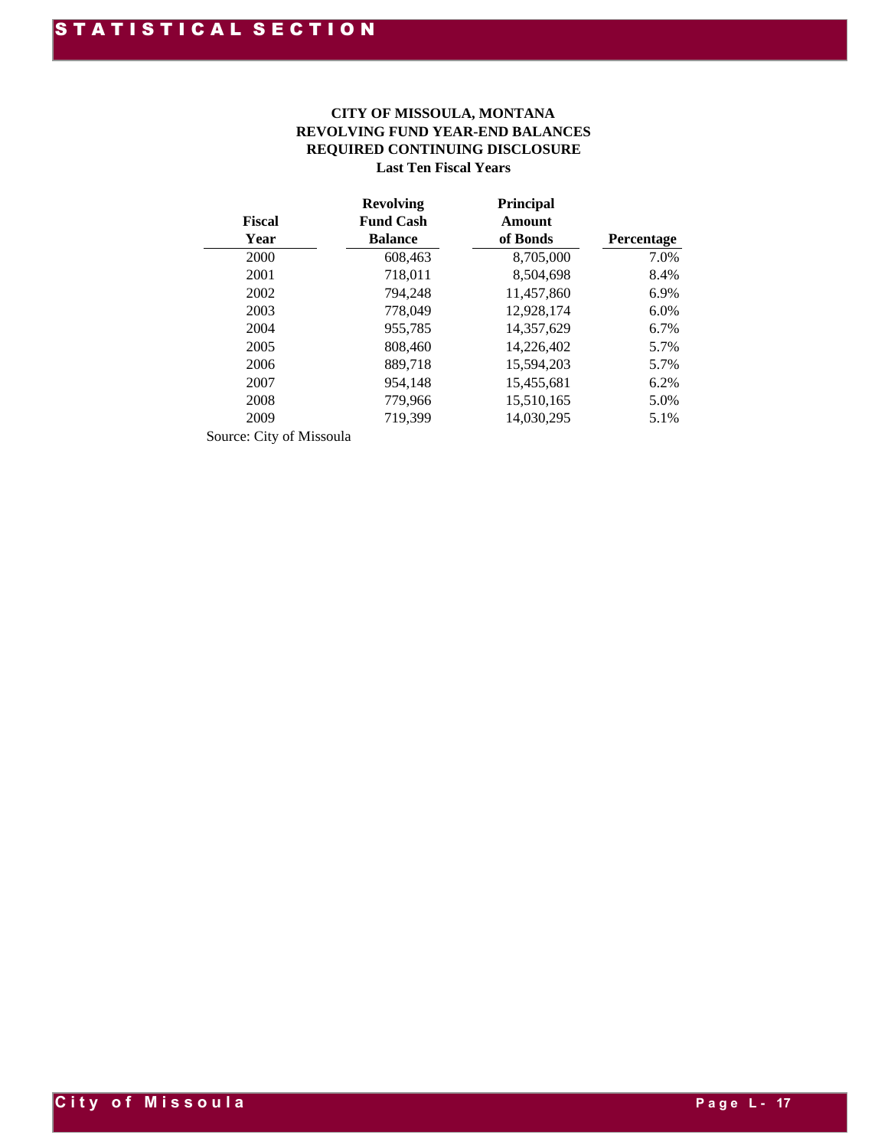#### **REVOLVING FUND YEAR-END BALANCES Last Ten Fiscal Years CITY OF MISSOULA, MONTANA REQUIRED CONTINUING DISCLOSURE**

|               | <b>Revolving</b> | <b>Principal</b> |            |
|---------------|------------------|------------------|------------|
| <b>Fiscal</b> | <b>Fund Cash</b> | Amount           |            |
| Year          | <b>Balance</b>   | of Bonds         | Percentage |
| 2000          | 608,463          | 8,705,000        | 7.0%       |
| 2001          | 718,011          | 8.504.698        | 8.4%       |
| 2002          | 794,248          | 11,457,860       | 6.9%       |
| 2003          | 778,049          | 12,928,174       | 6.0%       |
| 2004          | 955,785          | 14,357,629       | 6.7%       |
| 2005          | 808,460          | 14,226,402       | 5.7%       |
| 2006          | 889,718          | 15,594,203       | 5.7%       |
| 2007          | 954,148          | 15,455,681       | 6.2%       |
| 2008          | 779,966          | 15,510,165       | 5.0%       |
| 2009          | 719,399          | 14,030,295       | 5.1%       |
|               |                  |                  |            |

Source: City of Missoula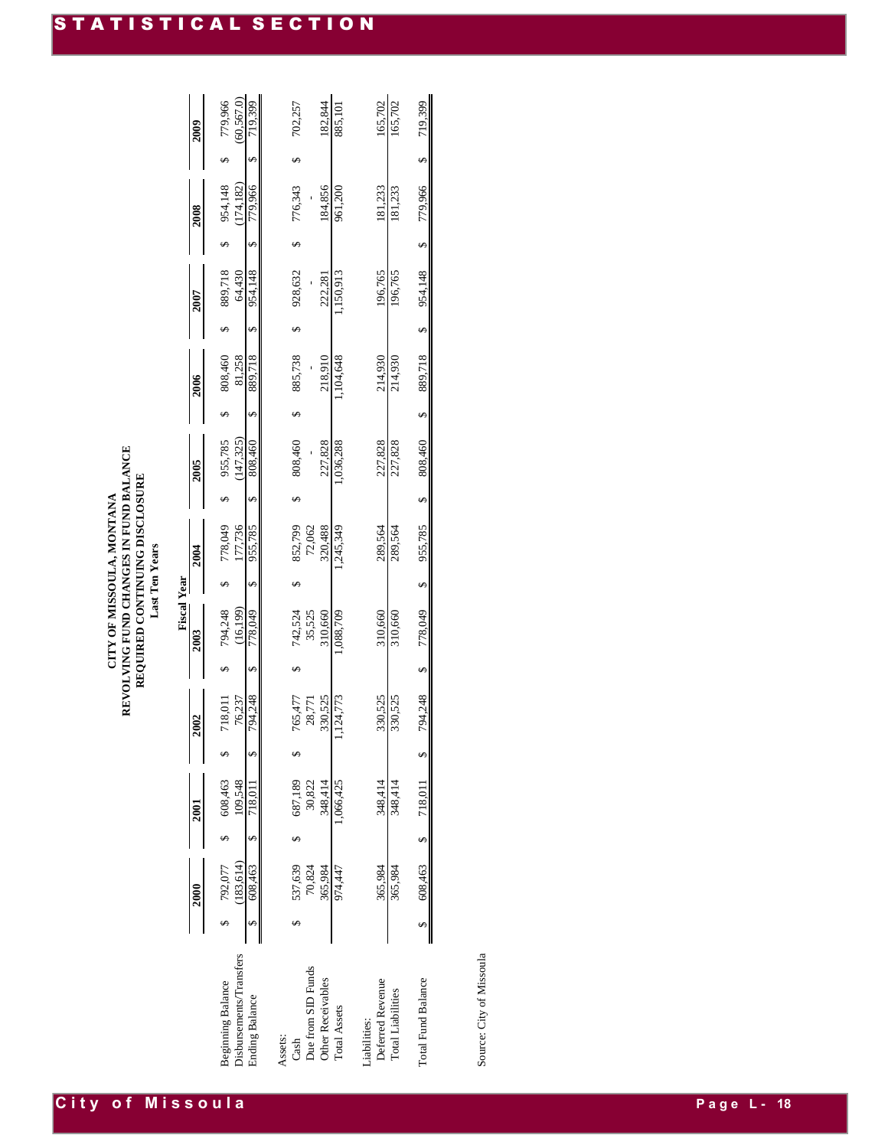|                           |                    |           |          |   | <b>Fiscal Year</b> |          |           |   |          |                   |          |                   |          |                   |          |   |          |
|---------------------------|--------------------|-----------|----------|---|--------------------|----------|-----------|---|----------|-------------------|----------|-------------------|----------|-------------------|----------|---|----------|
|                           | 2000               | 2001      | 2002     |   | 2003               |          | 2004      |   | 2005     |                   | 2006     |                   | 2007     |                   | 2008     |   | 2009     |
| Beginning Balance         | 792,077            | 608,463   | 718,011  |   | 794,248            |          | 778,049   |   | 955,785  |                   | 808,460  |                   | 889,718  |                   | 954,148  |   | 779,966  |
| )isbursements/Transfers   | (183.614)          | 109.548   | 76,237   |   | (16, 199)          |          | 177,736   |   | 147,325) |                   | 81,258   |                   | 64,430   |                   | 174,182) |   | 60.567.0 |
| Inding Balance            | 608,463            | 718,011   | 794.248  | S | 778,049            | S        | 955,785   | ∽ | 808,460  | S                 | 889,718  | S                 | 954,148  | S                 | 779.966  | S | 719.399  |
| Assets:                   |                    |           |          |   |                    |          |           |   |          |                   |          |                   |          |                   |          |   |          |
| Cash                      | 537,639            | 687,189   | 765,477  |   | 742,524            |          | 852,799   |   | 808,460  |                   | 885,738  |                   | 928,632  |                   | 776,343  |   | 702,257  |
| Due from SID Funds        | 70,824             | 30,822    | 28,771   |   | 35,525             |          | 72,062    |   |          |                   |          |                   |          |                   |          |   |          |
| Other Receivables         | 365,984            | 348,414   | 330,525  |   | 310,660            |          | 320,488   |   | 227,828  |                   | 218,910  |                   | 222,281  |                   | 184,856  |   | 182,844  |
| Total Assets              | 974,447            | 1,066,425 | ,124,773 |   | 088,709            |          | 1,245,349 |   | ,036,288 |                   | ,104,648 |                   | ,150,913 |                   | 961,200  |   | 885,101  |
| <i>iabilities:</i>        |                    |           |          |   |                    |          |           |   |          |                   |          |                   |          |                   |          |   |          |
| Deferred Revenue          | 365,984            | 348,414   | 330,525  |   | 310,660            |          | 289,564   |   | 227,828  |                   | 214,930  |                   | 196,765  |                   | 181,233  |   | 165,702  |
| <b>Total Liabilities</b>  | 365,984            | 348,414   | 330,525  |   | 310,660            |          | 289,564   |   | 227,828  |                   | 214,930  |                   | 196,765  |                   | 181,233  |   | 165,702  |
| <b>Total Fund Balance</b> | 608,463 \$ 718,011 |           | 794,248  | Ø | 778,049            | $\Theta$ | 955,785   | Ø | 808,460  | $\leftrightarrow$ | 889,718  | $\leftrightarrow$ | 954,148  | $\leftrightarrow$ | 779,966  | Ø | 719,399  |
|                           |                    |           |          |   |                    |          |           |   |          |                   |          |                   |          |                   |          |   |          |

Source: City of Missoula Source: City of Missoula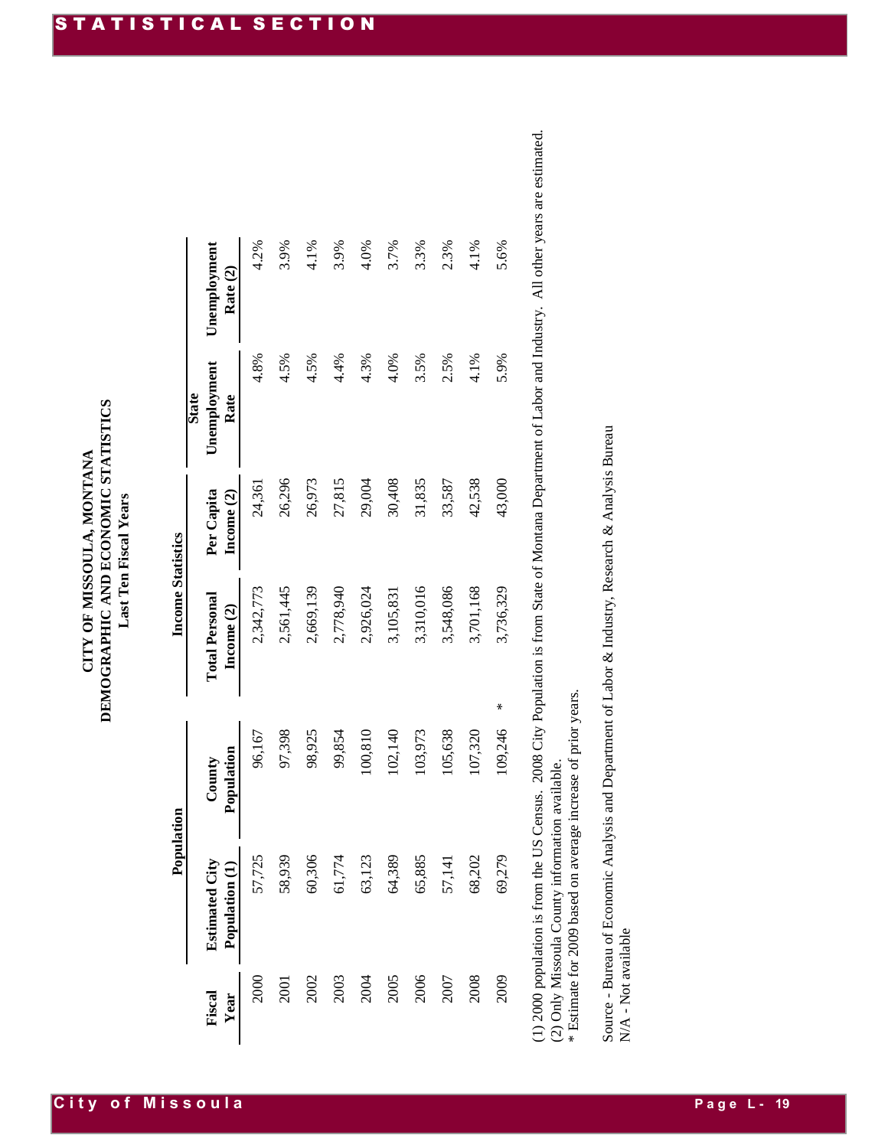## **CITY OF MISSOULA, MONTANA DEMOGRAPHIC AND ECONOMIC STATISTICS Last Ten Fiscal Years**

| 4.2%<br>3.9%<br>4.1%<br>3.9%<br>4.0%<br>3.7%<br>3.3%<br>2.3%<br>4.1%<br>Unemployment<br>Rate (2)<br>4.5%<br>3.5%<br>4.8%<br>4.5%<br>4.4%<br>4.3%<br>4.0%<br>2.5%<br>4.1%<br>Unemployment<br><b>State</b><br>Rate<br>26,296<br>30,408<br>31,835<br>42,538<br>26,973<br>27,815<br>29,004<br>33,587<br>24,361<br>Per Capita<br>Income (2)<br>3,310,016<br>3,548,086<br>2,561,445<br>2,669,139<br>2,778,940<br>3,701,168<br>2,342,773<br>2,926,024<br>3,105,831<br><b>Total Personal</b><br>Income (2)<br>100,810<br>97,398<br>98,925<br>102,140<br>103,973<br>105,638<br>107,320<br>99,854<br>96,167<br>Population<br>County<br>58,939<br>60,306<br>65,885<br>57,725<br>61,774<br>63,123<br>64,389<br>68,202<br>57,141<br><b>Estimated City</b><br>Population (1)<br>2000<br>Fiscal<br>Year |              |                                                               |        |      |                                                                                                                                                           |
|------------------------------------------------------------------------------------------------------------------------------------------------------------------------------------------------------------------------------------------------------------------------------------------------------------------------------------------------------------------------------------------------------------------------------------------------------------------------------------------------------------------------------------------------------------------------------------------------------------------------------------------------------------------------------------------------------------------------------------------------------------------------------------------|--------------|---------------------------------------------------------------|--------|------|-----------------------------------------------------------------------------------------------------------------------------------------------------------|
|                                                                                                                                                                                                                                                                                                                                                                                                                                                                                                                                                                                                                                                                                                                                                                                          |              |                                                               |        |      |                                                                                                                                                           |
| 2001                                                                                                                                                                                                                                                                                                                                                                                                                                                                                                                                                                                                                                                                                                                                                                                     |              |                                                               |        |      |                                                                                                                                                           |
| 2002                                                                                                                                                                                                                                                                                                                                                                                                                                                                                                                                                                                                                                                                                                                                                                                     |              |                                                               |        |      |                                                                                                                                                           |
| 2003                                                                                                                                                                                                                                                                                                                                                                                                                                                                                                                                                                                                                                                                                                                                                                                     |              |                                                               |        |      |                                                                                                                                                           |
| 2004                                                                                                                                                                                                                                                                                                                                                                                                                                                                                                                                                                                                                                                                                                                                                                                     |              |                                                               |        |      |                                                                                                                                                           |
| 2006<br>2005<br>2008<br>2007                                                                                                                                                                                                                                                                                                                                                                                                                                                                                                                                                                                                                                                                                                                                                             |              |                                                               |        |      |                                                                                                                                                           |
|                                                                                                                                                                                                                                                                                                                                                                                                                                                                                                                                                                                                                                                                                                                                                                                          |              |                                                               |        |      |                                                                                                                                                           |
|                                                                                                                                                                                                                                                                                                                                                                                                                                                                                                                                                                                                                                                                                                                                                                                          |              |                                                               |        |      |                                                                                                                                                           |
|                                                                                                                                                                                                                                                                                                                                                                                                                                                                                                                                                                                                                                                                                                                                                                                          |              |                                                               |        |      |                                                                                                                                                           |
|                                                                                                                                                                                                                                                                                                                                                                                                                                                                                                                                                                                                                                                                                                                                                                                          |              |                                                               |        |      |                                                                                                                                                           |
| 69,279<br>2009                                                                                                                                                                                                                                                                                                                                                                                                                                                                                                                                                                                                                                                                                                                                                                           | ⋇<br>109,246 | 3,736,329                                                     | 43,000 | 5.9% | 5.6%                                                                                                                                                      |
| (2) Only Missoula County information available.                                                                                                                                                                                                                                                                                                                                                                                                                                                                                                                                                                                                                                                                                                                                          |              | * Estimate for 2009 based on average increase of prior years. |        |      | (1) 2000 population is from the US Census. 2008 City Population is from State of Montana Department of Labor and Industry. All other years are estimated. |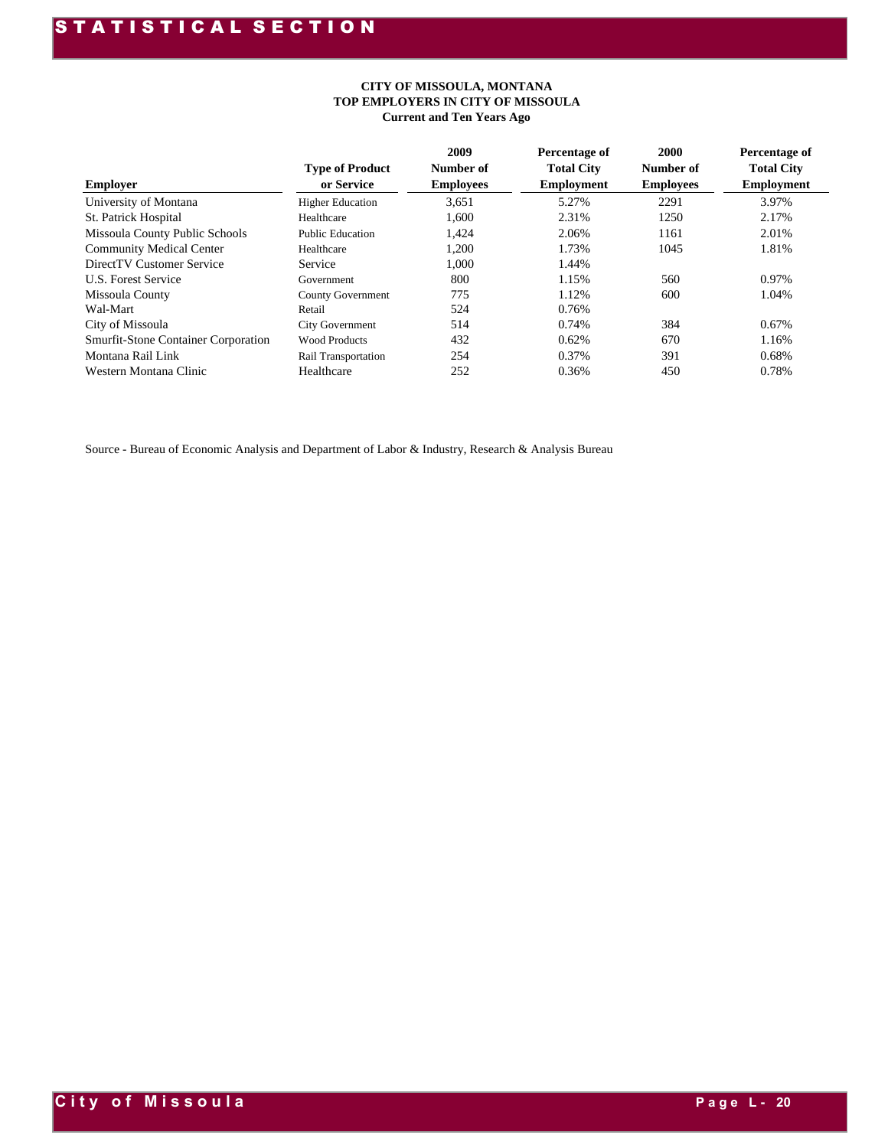#### **CITY OF MISSOULA, MONTANA TOP EMPLOYERS IN CITY OF MISSOULA Current and Ten Years Ago**

| <b>Employer</b>                            | <b>Type of Product</b><br>or Service | 2009<br>Number of<br><b>Employees</b> | Percentage of<br><b>Total City</b><br><b>Employment</b> | 2000<br>Number of<br><b>Employees</b> | Percentage of<br><b>Total City</b><br><b>Employment</b> |
|--------------------------------------------|--------------------------------------|---------------------------------------|---------------------------------------------------------|---------------------------------------|---------------------------------------------------------|
| University of Montana                      | <b>Higher Education</b>              | 3.651                                 | 5.27%                                                   | 2291                                  | 3.97%                                                   |
| <b>St. Patrick Hospital</b>                | Healthcare                           | 1.600                                 | 2.31%                                                   | 1250                                  | 2.17%                                                   |
| Missoula County Public Schools             | <b>Public Education</b>              | 1,424                                 | 2.06%                                                   | 1161                                  | 2.01%                                                   |
| <b>Community Medical Center</b>            | Healthcare                           | 1,200                                 | 1.73%                                                   | 1045                                  | 1.81%                                                   |
| DirectTV Customer Service                  | Service                              | 1.000                                 | 1.44%                                                   |                                       |                                                         |
| <b>U.S. Forest Service</b>                 | Government                           | 800                                   | 1.15%                                                   | 560                                   | 0.97%                                                   |
| Missoula County                            | <b>County Government</b>             | 775                                   | 1.12%                                                   | 600                                   | 1.04%                                                   |
| Wal-Mart                                   | Retail                               | 524                                   | 0.76%                                                   |                                       |                                                         |
| City of Missoula                           | <b>City Government</b>               | 514                                   | 0.74%                                                   | 384                                   | 0.67%                                                   |
| <b>Smurfit-Stone Container Corporation</b> | <b>Wood Products</b>                 | 432                                   | 0.62%                                                   | 670                                   | 1.16%                                                   |
| Montana Rail Link                          | Rail Transportation                  | 254                                   | 0.37%                                                   | 391                                   | 0.68%                                                   |
| Western Montana Clinic                     | Healthcare                           | 252                                   | 0.36%                                                   | 450                                   | 0.78%                                                   |

Source - Bureau of Economic Analysis and Department of Labor & Industry, Research & Analysis Bureau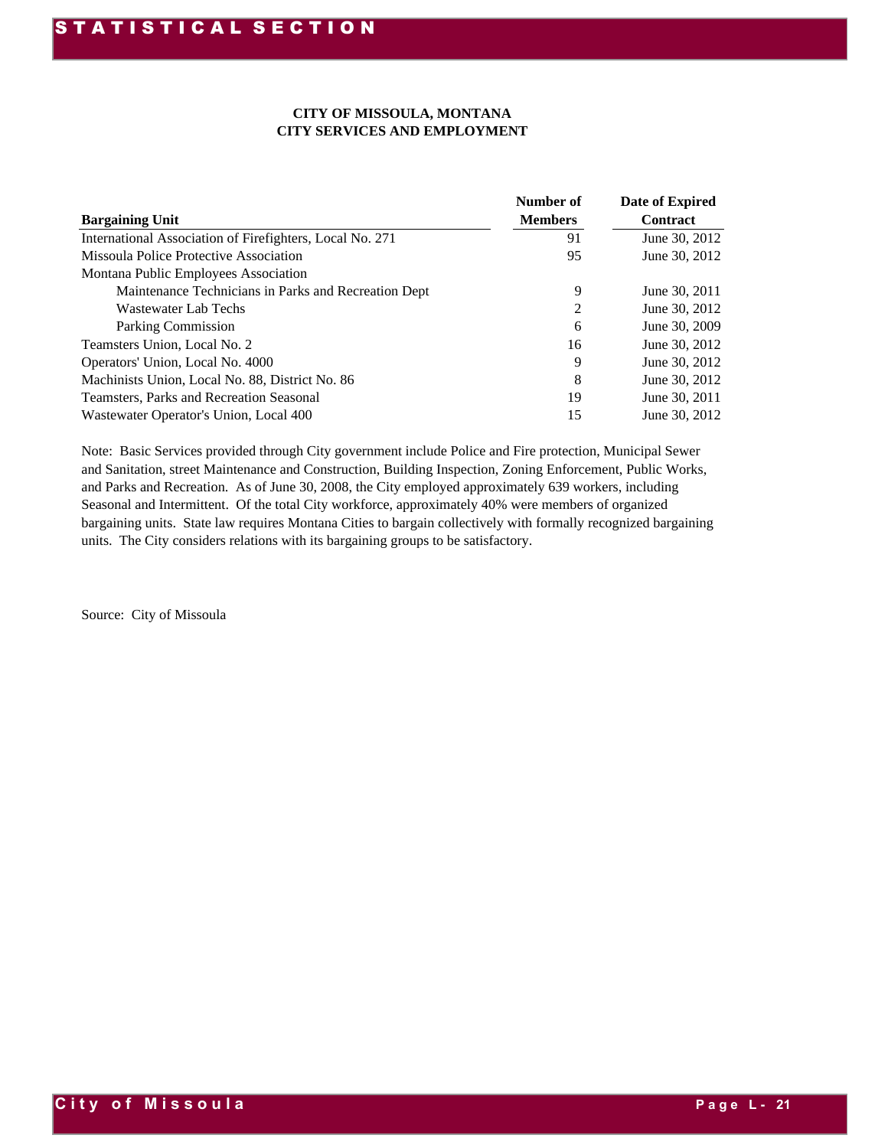#### **CITY OF MISSOULA, MONTANA CITY SERVICES AND EMPLOYMENT**

|                                                                                    | CITY OF MISSOULA, MONTANA<br><b>CITY SERVICES AND EMPLOYMENT</b> |                                    |
|------------------------------------------------------------------------------------|------------------------------------------------------------------|------------------------------------|
| <b>Bargaining Unit</b>                                                             | Number of<br><b>Members</b>                                      | Date of Expired<br><b>Contract</b> |
| International Association of Firefighters, Local No. 271                           | 91                                                               | June 30, 2012                      |
| Missoula Police Protective Association                                             | 95                                                               | June 30, 2012                      |
| Montana Public Employees Association                                               |                                                                  |                                    |
| Maintenance Technicians in Parks and Recreation Dept                               | 9                                                                | June 30, 2011                      |
| <b>Wastewater Lab Techs</b>                                                        | 2                                                                | June 30, 2012                      |
| Parking Commission                                                                 | 6                                                                | June 30, 2009                      |
| Teamsters Union, Local No. 2                                                       | 16                                                               | June 30, 2012                      |
| Operators' Union, Local No. 4000                                                   | 9                                                                | June 30, 2012                      |
| Machinists Union, Local No. 88, District No. 86                                    | 8                                                                | June 30, 2012                      |
| Teamsters, Parks and Recreation Seasonal<br>Wastewater Operator's Union, Local 400 | 19<br>15                                                         | June 30, 2011<br>June 30, 2012     |
| Source: City of Missoula                                                           |                                                                  |                                    |
|                                                                                    |                                                                  |                                    |
|                                                                                    |                                                                  |                                    |
|                                                                                    |                                                                  |                                    |
|                                                                                    |                                                                  |                                    |
|                                                                                    |                                                                  |                                    |
|                                                                                    |                                                                  |                                    |
|                                                                                    |                                                                  |                                    |
|                                                                                    |                                                                  |                                    |
|                                                                                    |                                                                  |                                    |
|                                                                                    |                                                                  |                                    |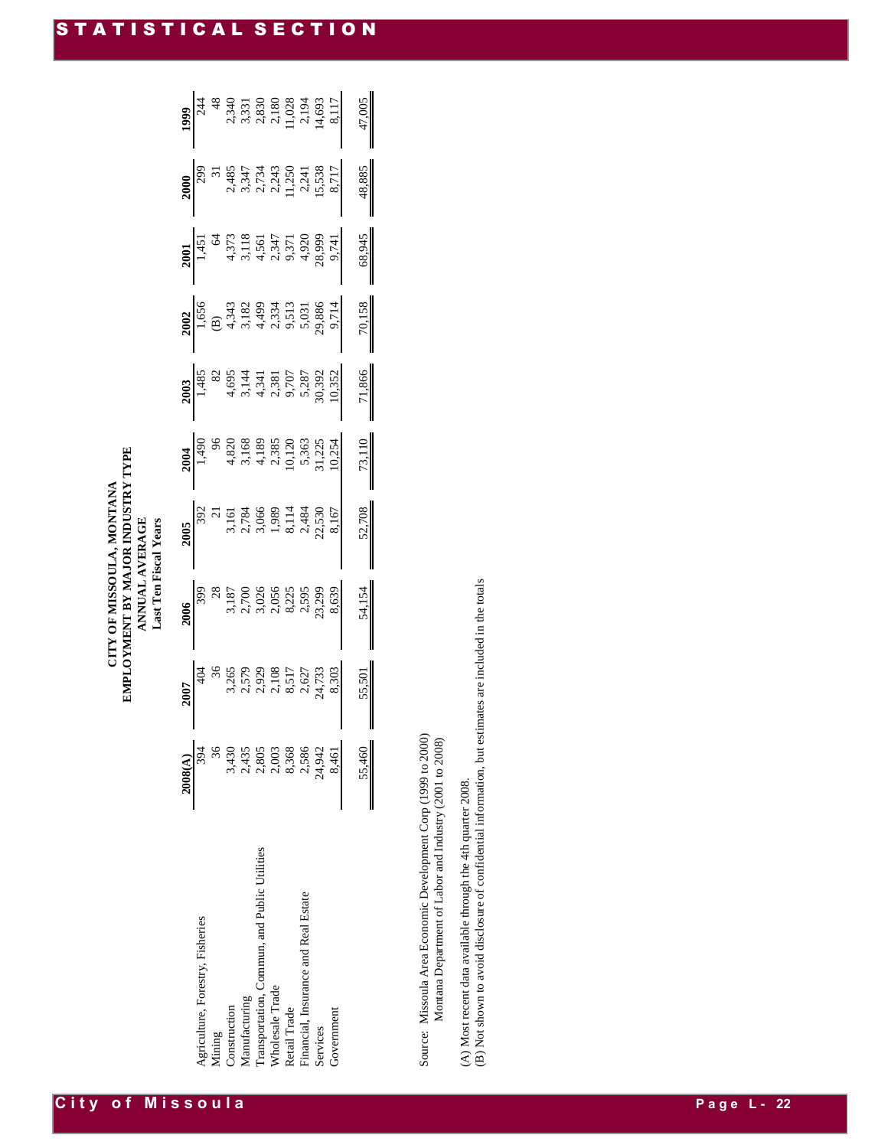|  | City of Missoula |  |  |  |  |  |
|--|------------------|--|--|--|--|--|
|  |                  |  |  |  |  |  |

| <b>Last Ten Fiscal Years</b> |
|------------------------------|
|                              |

| 2008(A) |                                            |                                                                                                                                                                                                                                                        |                                                                    |                    |                                                                                                                                                                                                                                                                                                                                                                                                                                                                                              |                                                                                                                                                                                                                                                                                                              |                                                                                                                                                                                                                                                                                                                                      |                    |                                                                                                                                                                                             |
|---------|--------------------------------------------|--------------------------------------------------------------------------------------------------------------------------------------------------------------------------------------------------------------------------------------------------------|--------------------------------------------------------------------|--------------------|----------------------------------------------------------------------------------------------------------------------------------------------------------------------------------------------------------------------------------------------------------------------------------------------------------------------------------------------------------------------------------------------------------------------------------------------------------------------------------------------|--------------------------------------------------------------------------------------------------------------------------------------------------------------------------------------------------------------------------------------------------------------------------------------------------------------|--------------------------------------------------------------------------------------------------------------------------------------------------------------------------------------------------------------------------------------------------------------------------------------------------------------------------------------|--------------------|---------------------------------------------------------------------------------------------------------------------------------------------------------------------------------------------|
| 394     |                                            |                                                                                                                                                                                                                                                        |                                                                    |                    |                                                                                                                                                                                                                                                                                                                                                                                                                                                                                              |                                                                                                                                                                                                                                                                                                              |                                                                                                                                                                                                                                                                                                                                      |                    |                                                                                                                                                                                             |
|         |                                            |                                                                                                                                                                                                                                                        |                                                                    |                    |                                                                                                                                                                                                                                                                                                                                                                                                                                                                                              |                                                                                                                                                                                                                                                                                                              |                                                                                                                                                                                                                                                                                                                                      |                    |                                                                                                                                                                                             |
|         |                                            |                                                                                                                                                                                                                                                        |                                                                    |                    |                                                                                                                                                                                                                                                                                                                                                                                                                                                                                              |                                                                                                                                                                                                                                                                                                              |                                                                                                                                                                                                                                                                                                                                      |                    |                                                                                                                                                                                             |
|         |                                            |                                                                                                                                                                                                                                                        |                                                                    |                    |                                                                                                                                                                                                                                                                                                                                                                                                                                                                                              |                                                                                                                                                                                                                                                                                                              |                                                                                                                                                                                                                                                                                                                                      |                    |                                                                                                                                                                                             |
|         |                                            |                                                                                                                                                                                                                                                        |                                                                    |                    |                                                                                                                                                                                                                                                                                                                                                                                                                                                                                              |                                                                                                                                                                                                                                                                                                              |                                                                                                                                                                                                                                                                                                                                      |                    |                                                                                                                                                                                             |
|         |                                            |                                                                                                                                                                                                                                                        |                                                                    |                    |                                                                                                                                                                                                                                                                                                                                                                                                                                                                                              |                                                                                                                                                                                                                                                                                                              |                                                                                                                                                                                                                                                                                                                                      |                    |                                                                                                                                                                                             |
|         |                                            |                                                                                                                                                                                                                                                        |                                                                    |                    |                                                                                                                                                                                                                                                                                                                                                                                                                                                                                              |                                                                                                                                                                                                                                                                                                              |                                                                                                                                                                                                                                                                                                                                      |                    |                                                                                                                                                                                             |
|         |                                            |                                                                                                                                                                                                                                                        |                                                                    |                    |                                                                                                                                                                                                                                                                                                                                                                                                                                                                                              |                                                                                                                                                                                                                                                                                                              |                                                                                                                                                                                                                                                                                                                                      |                    |                                                                                                                                                                                             |
|         |                                            |                                                                                                                                                                                                                                                        |                                                                    |                    |                                                                                                                                                                                                                                                                                                                                                                                                                                                                                              |                                                                                                                                                                                                                                                                                                              |                                                                                                                                                                                                                                                                                                                                      |                    |                                                                                                                                                                                             |
|         |                                            |                                                                                                                                                                                                                                                        |                                                                    |                    |                                                                                                                                                                                                                                                                                                                                                                                                                                                                                              |                                                                                                                                                                                                                                                                                                              |                                                                                                                                                                                                                                                                                                                                      |                    | $\begin{array}{r} \n 1999 \\  \hline\n 244 \\  48 \\  2,349 \\  3,331 \\  1,331 \\  2,830 \\  2,180 \\  1,028 \\  1,4,693 \\  1,17 \\  1,028 \\  1,4,693 \\  8,117 \\  8,117\n \end{array}$ |
| 55,460  | 55,50                                      | 54,154                                                                                                                                                                                                                                                 | 52,708                                                             | $\frac{73,110}{2}$ | 71,866                                                                                                                                                                                                                                                                                                                                                                                                                                                                                       | $\frac{70,158}{\ }$                                                                                                                                                                                                                                                                                          | 68,945                                                                                                                                                                                                                                                                                                                               | $\frac{48,885}{1}$ | 47,005                                                                                                                                                                                      |
|         | 44356688644<br>44386688644<br>644366644456 | $\begin{array}{r} \n 2007 \\  \hline\n 404 \\  \hline\n 3,265 \\  \hline\n 3,2579 \\  \hline\n 2,379 \\  \hline\n 2,108 \\  \hline\n 3,517 \\  \hline\n 4,733 \\  \hline\n 5,57 \\  \hline\n 6,27 \\  \hline\n 7,627 \\  \hline\n 8,303\n \end{array}$ | <b>2006</b><br>399<br>3187<br>3187<br>3187<br>3288<br>3398<br>3398 |                    | $\begin{array}{r} \textbf{2004} \\ 1,490 \\ 96 \\ 4,820 \\ 4,189 \\ 1,168 \\ 2,385 \\ 10,120 \\ 5,363 \\ \textbf{31,225} \\ 10,125 \\ \textbf{31,225} \\ 10,254 \\ \end{array}$<br>$\begin{array}{r} \n \textbf{2005} \\  \hline\n 392 \\  \textbf{3151} \\  3,161 \\  \textbf{2,784} \\  3,066 \\  \textbf{3,066} \\  1,989 \\  \textbf{3114} \\  3,144 \\  \textbf{32,530} \\  2,484 \\  \textbf{23,50} \\  2,484 \\  \textbf{23,50} \\  2,485 \\  \textbf{24,80} \\  2,530\n \end{array}$ | $\begin{array}{r rrrr} \hline 2003 \\ \hline 1,485 \\ 82 & 8 \\ 4,695 & 4,341 \\ 4,341 & 2,381 \\ 5,287 & 5,287 \\ 9,707 & 5,287 \\ 5,287 & 5,282 \\ 5,287 & 5,282 \\ 10,352 & 10 \\ 10,352 & 10 \\ 10 & 10 \\ 10 & 10 \\ 10 & 10 \\ 10 & 10 \\ 10 & 10 \\ 10 & 10 \\ 10 & 10 \\ 10 & 10 \\ 10 & 10 \\ 10 &$ | $\begin{array}{r} \n 2002 \\  1,656 \\  \hline\n 1,656 \\  1,343 \\  4,343 \\  5,182 \\  4,499 \\  5,031 \\  5,031 \\  5,031 \\  2,886 \\  2,384 \\  2,334 \\  5,031 \\  5,031 \\  5,031 \\  5,031 \\  5,031 \\  5,031 \\  5,031 \\  5,031 \\  5,031 \\  5,031 \\  5,031 \\  5,031 \\  5,031 \\  5,031 \\  5,031 \\  5,031 \\  5,03$ |                    | 2000<br>299<br>31 34 35<br>2, 34 35<br>3, 34 35<br>3, 538<br>2, 11, 25<br>2, 15, 538<br>8, 717                                                                                              |

Source: Missoula Area Economic Development Corp (1999 to 2000)<br>Montana Department of Labor and Industry (2001 to 2008) Source: Missoula Area Economic Development Corp (1999 to 2000) Montana Department of Labor and Industry (2001 to 2008)

(A) Most recent data available through the 4th quarter 2008.

(A) Most recent data available through the 4th quarter 2008.<br>(B) Not shown to avoid disclosure of confidential information, but estimates are included in the totals (B) Not shown to avoid disclosure of confidential information, but estimates are included in the totals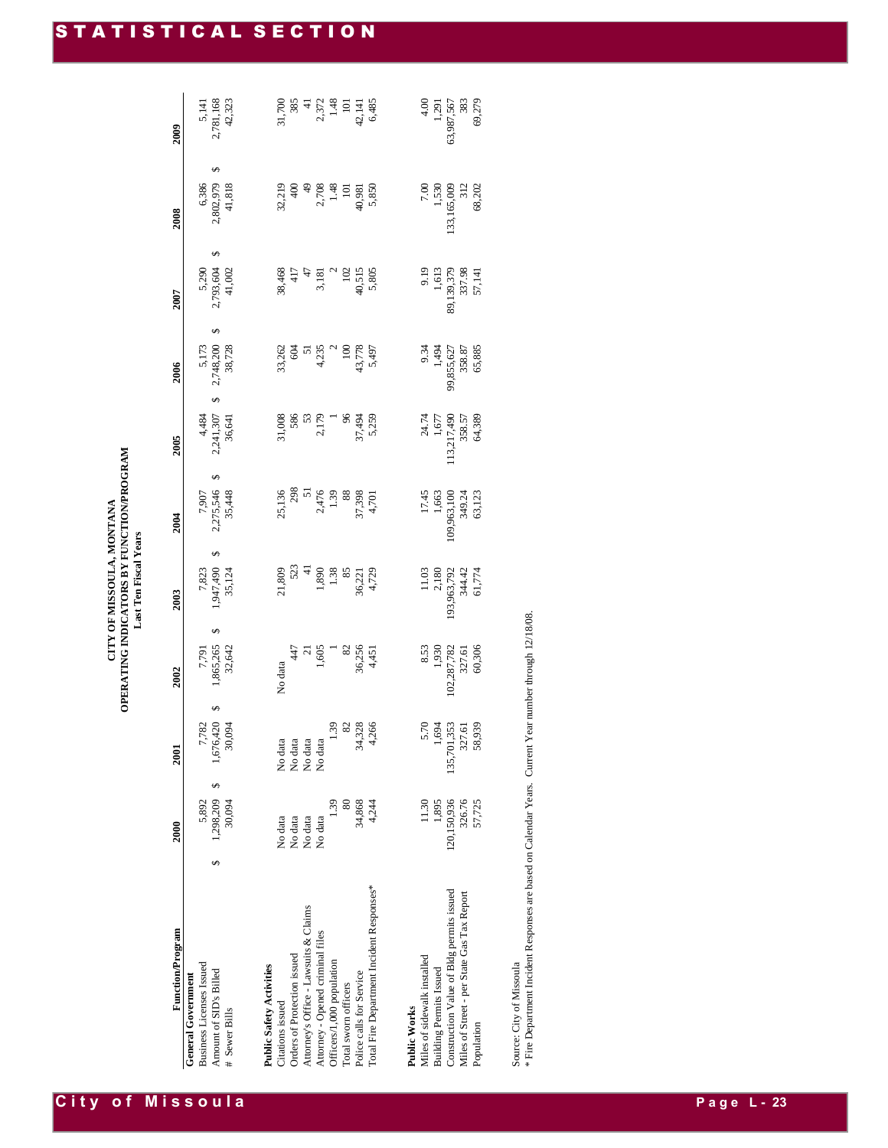| 2,781,168<br>42,323<br>31,700<br>385<br>1.48<br>6,485<br>4.00<br>383<br>69,279<br>63,987,567<br>5,141<br>2,372<br>1,291<br>$\frac{1}{4}$<br>$\Xi$<br>42,141<br>2009<br>S<br>2,802,979<br>41,818<br>1,530<br>133,165,009<br>6,386<br>400<br>2,708<br>1.48<br>5,850<br>7.00<br>32,219<br>$\frac{4}{3}$<br>40,981<br>312<br>68,202<br>$\overline{a}$<br>2008<br>S<br>2,793,604<br>89,139,379<br>5,290<br>41,002<br>38,468<br>40,515<br>9.19<br>1,613<br>337.98<br>417<br>$\mathbf 2$<br>5,805<br>47<br>102<br>57,141<br>3,181<br>2007<br>S,<br>2,748,200<br>38,728<br>43,778<br>5,173<br>33,262<br>604<br>4,235<br>$\overline{100}$<br>9.34<br>1,494<br>99,855,627<br>65,885<br>5,497<br>358.87<br>51<br>2006<br>S,<br>113,217,490<br>4,484<br>2,241,307<br>31,008<br>586<br>2,179<br>96<br>5,259<br>53<br>37,494<br>24.74<br>64,389<br>36,641<br>358.57<br>1,677<br>2005<br>S<br>298<br>2,275,546<br>51<br>35,448<br>109,963,100<br>25,136<br>2,476<br>1.39<br>88<br>37,398<br>349.24<br>4,701<br>17.45<br>1,663<br>7,907<br>63,123<br>2004<br>S<br>523<br>$\frac{1}{4}$<br>1,947,490<br>35,124<br>21,809<br>1,890<br>1.38<br>2,180<br>193,963,792<br>61,774<br>7,823<br>85<br>4,729<br>11.03<br>344.42<br>36,221<br>2003<br>S,<br>1,865,265<br>102,287,782<br>60,306<br>32,642<br>36,256<br>8.53<br>1,930<br>327.61<br>7,791<br>447<br>1,605<br>82<br>4,451<br>$\overline{z}$<br>No data<br>2002<br>S<br>1,676,420<br>34,328<br>135,701,353<br>30,094<br>1.39<br>82<br>4,266<br>5.70<br>58,939<br>7,782<br>1,694<br>327.61<br>No data<br>No data<br>No data<br>No data<br>2001<br>$\overline{S}$<br>120,150,936<br>1,298,209<br>80<br>34,868<br>1,895<br>326.76<br>30,094<br>1.39<br>11.30<br>57,725<br>5,892<br>4,244<br>No data<br>No data<br>No data<br>No data<br>2000<br>S<br>Total Fire Department Incident Responses*<br>Construction Value of Bldg permits issued<br>Miles of Street - per State Gas Tax Report<br>Attorney's Office - Lawsuits & Claims<br><b>Function/Program</b><br>Attorney - Opened criminal files<br>Orders of Protection issued<br>Officers/1,000 population<br>Building Permits Issued<br>Police calls for Service<br>Total sworn officers<br>Citations issued<br>Population |                                                                                                  |  | OPERATING INDICATORS BY FUNCTION/PROGRAM | Last Ten Fiscal Years |  |  |  |
|-------------------------------------------------------------------------------------------------------------------------------------------------------------------------------------------------------------------------------------------------------------------------------------------------------------------------------------------------------------------------------------------------------------------------------------------------------------------------------------------------------------------------------------------------------------------------------------------------------------------------------------------------------------------------------------------------------------------------------------------------------------------------------------------------------------------------------------------------------------------------------------------------------------------------------------------------------------------------------------------------------------------------------------------------------------------------------------------------------------------------------------------------------------------------------------------------------------------------------------------------------------------------------------------------------------------------------------------------------------------------------------------------------------------------------------------------------------------------------------------------------------------------------------------------------------------------------------------------------------------------------------------------------------------------------------------------------------------------------------------------------------------------------------------------------------------------------------------------------------------------------------------------------------------------------------------------------------------------------------------------------------------------------------------------------------------------------------------------------------------------------------------------------------------------------------------------------------|--------------------------------------------------------------------------------------------------|--|------------------------------------------|-----------------------|--|--|--|
|                                                                                                                                                                                                                                                                                                                                                                                                                                                                                                                                                                                                                                                                                                                                                                                                                                                                                                                                                                                                                                                                                                                                                                                                                                                                                                                                                                                                                                                                                                                                                                                                                                                                                                                                                                                                                                                                                                                                                                                                                                                                                                                                                                                                             |                                                                                                  |  |                                          |                       |  |  |  |
|                                                                                                                                                                                                                                                                                                                                                                                                                                                                                                                                                                                                                                                                                                                                                                                                                                                                                                                                                                                                                                                                                                                                                                                                                                                                                                                                                                                                                                                                                                                                                                                                                                                                                                                                                                                                                                                                                                                                                                                                                                                                                                                                                                                                             | <b>Business Licenses Issued</b><br>Amount of SID's Billed $\#$ Sewer Bills<br>General Government |  |                                          |                       |  |  |  |
|                                                                                                                                                                                                                                                                                                                                                                                                                                                                                                                                                                                                                                                                                                                                                                                                                                                                                                                                                                                                                                                                                                                                                                                                                                                                                                                                                                                                                                                                                                                                                                                                                                                                                                                                                                                                                                                                                                                                                                                                                                                                                                                                                                                                             | Public Safety Activities                                                                         |  |                                          |                       |  |  |  |
|                                                                                                                                                                                                                                                                                                                                                                                                                                                                                                                                                                                                                                                                                                                                                                                                                                                                                                                                                                                                                                                                                                                                                                                                                                                                                                                                                                                                                                                                                                                                                                                                                                                                                                                                                                                                                                                                                                                                                                                                                                                                                                                                                                                                             |                                                                                                  |  |                                          |                       |  |  |  |
|                                                                                                                                                                                                                                                                                                                                                                                                                                                                                                                                                                                                                                                                                                                                                                                                                                                                                                                                                                                                                                                                                                                                                                                                                                                                                                                                                                                                                                                                                                                                                                                                                                                                                                                                                                                                                                                                                                                                                                                                                                                                                                                                                                                                             |                                                                                                  |  |                                          |                       |  |  |  |
|                                                                                                                                                                                                                                                                                                                                                                                                                                                                                                                                                                                                                                                                                                                                                                                                                                                                                                                                                                                                                                                                                                                                                                                                                                                                                                                                                                                                                                                                                                                                                                                                                                                                                                                                                                                                                                                                                                                                                                                                                                                                                                                                                                                                             |                                                                                                  |  |                                          |                       |  |  |  |
|                                                                                                                                                                                                                                                                                                                                                                                                                                                                                                                                                                                                                                                                                                                                                                                                                                                                                                                                                                                                                                                                                                                                                                                                                                                                                                                                                                                                                                                                                                                                                                                                                                                                                                                                                                                                                                                                                                                                                                                                                                                                                                                                                                                                             |                                                                                                  |  |                                          |                       |  |  |  |
|                                                                                                                                                                                                                                                                                                                                                                                                                                                                                                                                                                                                                                                                                                                                                                                                                                                                                                                                                                                                                                                                                                                                                                                                                                                                                                                                                                                                                                                                                                                                                                                                                                                                                                                                                                                                                                                                                                                                                                                                                                                                                                                                                                                                             |                                                                                                  |  |                                          |                       |  |  |  |
|                                                                                                                                                                                                                                                                                                                                                                                                                                                                                                                                                                                                                                                                                                                                                                                                                                                                                                                                                                                                                                                                                                                                                                                                                                                                                                                                                                                                                                                                                                                                                                                                                                                                                                                                                                                                                                                                                                                                                                                                                                                                                                                                                                                                             |                                                                                                  |  |                                          |                       |  |  |  |
|                                                                                                                                                                                                                                                                                                                                                                                                                                                                                                                                                                                                                                                                                                                                                                                                                                                                                                                                                                                                                                                                                                                                                                                                                                                                                                                                                                                                                                                                                                                                                                                                                                                                                                                                                                                                                                                                                                                                                                                                                                                                                                                                                                                                             | Miles of sidewalk installed<br>Public Works                                                      |  |                                          |                       |  |  |  |
|                                                                                                                                                                                                                                                                                                                                                                                                                                                                                                                                                                                                                                                                                                                                                                                                                                                                                                                                                                                                                                                                                                                                                                                                                                                                                                                                                                                                                                                                                                                                                                                                                                                                                                                                                                                                                                                                                                                                                                                                                                                                                                                                                                                                             |                                                                                                  |  |                                          |                       |  |  |  |
|                                                                                                                                                                                                                                                                                                                                                                                                                                                                                                                                                                                                                                                                                                                                                                                                                                                                                                                                                                                                                                                                                                                                                                                                                                                                                                                                                                                                                                                                                                                                                                                                                                                                                                                                                                                                                                                                                                                                                                                                                                                                                                                                                                                                             |                                                                                                  |  |                                          |                       |  |  |  |
|                                                                                                                                                                                                                                                                                                                                                                                                                                                                                                                                                                                                                                                                                                                                                                                                                                                                                                                                                                                                                                                                                                                                                                                                                                                                                                                                                                                                                                                                                                                                                                                                                                                                                                                                                                                                                                                                                                                                                                                                                                                                                                                                                                                                             |                                                                                                  |  |                                          |                       |  |  |  |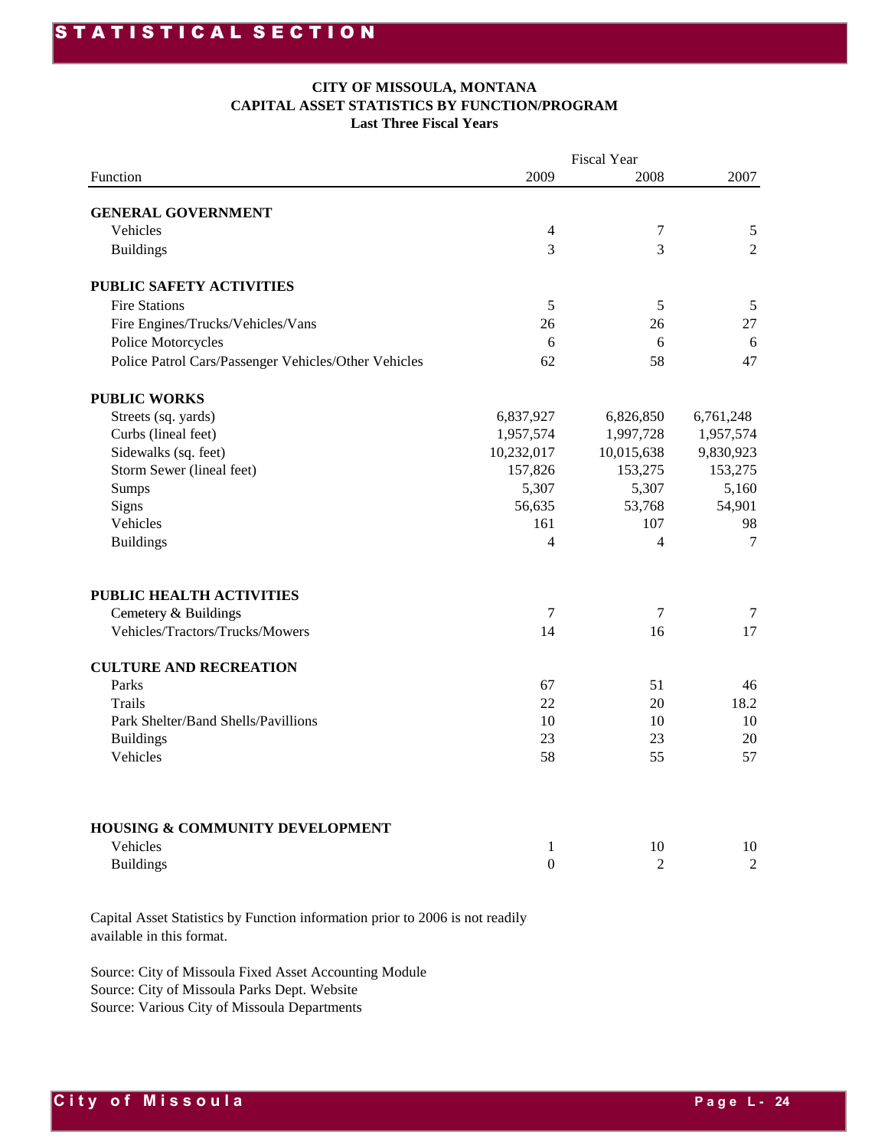#### **CITY OF MISSOULA, MONTANA CAPITAL ASSET STATISTICS BY FUNCTION/PROGRAM Last Three Fiscal Years**

|                                                      |                | <b>Fiscal Year</b> |                |
|------------------------------------------------------|----------------|--------------------|----------------|
| Function                                             | 2009           | 2008               | 2007           |
|                                                      |                |                    |                |
| <b>GENERAL GOVERNMENT</b>                            |                |                    |                |
| Vehicles                                             | 4              | $\boldsymbol{7}$   | $\mathfrak s$  |
| <b>Buildings</b>                                     | 3              | 3                  | $\overline{2}$ |
| PUBLIC SAFETY ACTIVITIES                             |                |                    |                |
| <b>Fire Stations</b>                                 | 5              | 5                  | 5              |
| Fire Engines/Trucks/Vehicles/Vans                    | 26             | 26                 | 27             |
| Police Motorcycles                                   | 6              | 6                  | 6              |
| Police Patrol Cars/Passenger Vehicles/Other Vehicles | 62             | 58                 | 47             |
| <b>PUBLIC WORKS</b>                                  |                |                    |                |
| Streets (sq. yards)                                  | 6,837,927      | 6,826,850          | 6,761,248      |
| Curbs (lineal feet)                                  | 1,957,574      | 1,997,728          | 1,957,574      |
| Sidewalks (sq. feet)                                 | 10,232,017     | 10,015,638         | 9,830,923      |
| Storm Sewer (lineal feet)                            | 157,826        | 153,275            | 153,275        |
| Sumps                                                | 5,307          | 5,307              | 5,160          |
| Signs                                                | 56,635         | 53,768             | 54,901         |
| Vehicles                                             | 161            | 107                | 98             |
| <b>Buildings</b>                                     | 4              | $\overline{4}$     | 7              |
| PUBLIC HEALTH ACTIVITIES                             |                |                    |                |
| Cemetery & Buildings                                 | 7              | 7                  | 7              |
| Vehicles/Tractors/Trucks/Mowers                      | 14             | 16                 | 17             |
|                                                      |                |                    |                |
| <b>CULTURE AND RECREATION</b>                        |                |                    |                |
| Parks                                                | 67             | 51                 | 46             |
| Trails                                               | 22             | 20                 | 18.2           |
| Park Shelter/Band Shells/Pavillions                  | 10             | 10                 | 10             |
| <b>Buildings</b>                                     | 23             | 23                 | 20             |
| Vehicles                                             | 58             | 55                 | 57             |
|                                                      |                |                    |                |
| HOUSING & COMMUNITY DEVELOPMENT                      |                |                    |                |
| Vehicles                                             | $\mathbf{1}$   | 10                 | 10             |
| <b>Buildings</b>                                     | $\overline{0}$ | $\overline{2}$     | $\overline{2}$ |

Capital Asset Statistics by Function information prior to 2006 is not readily available in this format.

Source: City of Missoula Fixed Asset Accounting Module Source: City of Missoula Parks Dept. Website Source: Various City of Missoula Departments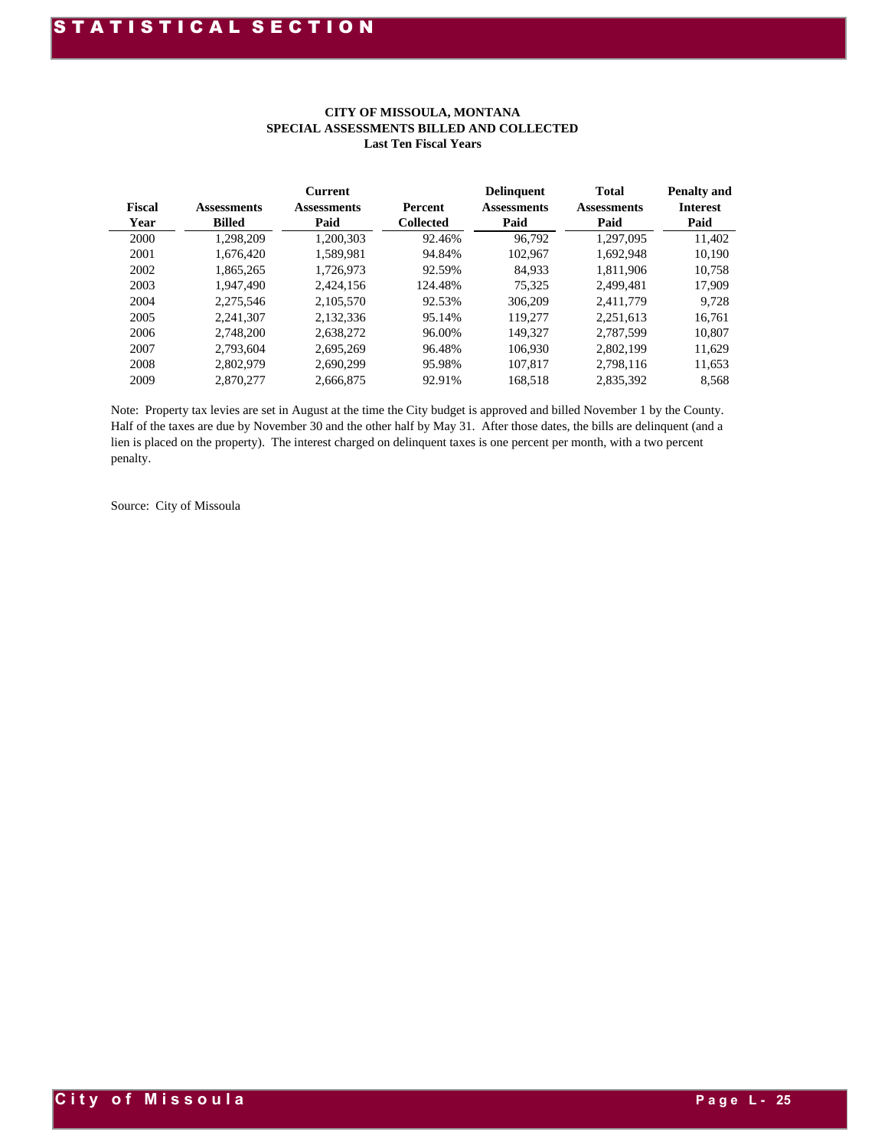| <b>Fiscal</b><br>Year | <b>Assessments</b><br><b>Billed</b> | <b>Current</b><br><b>Assessments</b><br>Paid | <b>Percent</b><br><b>Collected</b> | <b>Delinquent</b><br><b>Assessments</b><br>Paid | <b>Total</b><br><b>Assessments</b><br>Paid | <b>Penalty and</b><br><b>Interest</b><br>Paid |
|-----------------------|-------------------------------------|----------------------------------------------|------------------------------------|-------------------------------------------------|--------------------------------------------|-----------------------------------------------|
| 2000                  | 1.298.209                           | 1,200,303                                    | 92.46%                             | 96.792                                          | 1.297.095                                  | 11,402                                        |
| 2001                  | 1.676.420                           | 1.589.981                                    | 94.84%                             | 102.967                                         | 1.692.948                                  | 10.190                                        |
| 2002                  | 1.865.265                           | 1.726.973                                    | 92.59%                             | 84.933                                          | 1.811.906                                  | 10,758                                        |
| 2003                  | 1.947.490                           | 2.424.156                                    | 124.48%                            | 75.325                                          | 2.499.481                                  | 17,909                                        |
| 2004                  | 2.275.546                           | 2.105.570                                    | 92.53%                             | 306,209                                         | 2.411.779                                  | 9.728                                         |
| 2005                  | 2.241.307                           | 2,132,336                                    | 95.14%                             | 119,277                                         | 2.251.613                                  | 16,761                                        |
| 2006                  | 2.748.200                           | 2.638.272                                    | 96.00%                             | 149.327                                         | 2.787.599                                  | 10,807                                        |
| 2007                  | 2.793.604                           | 2.695.269                                    | 96.48%                             | 106.930                                         | 2.802.199                                  | 11.629                                        |
| 2008                  | 2.802.979                           | 2.690.299                                    | 95.98%                             | 107.817                                         | 2.798.116                                  | 11,653                                        |
| 2009                  | 2,870,277                           | 2,666,875                                    | 92.91%                             | 168,518                                         | 2,835,392                                  | 8,568                                         |

#### **CITY OF MISSOULA, MONTANA SPECIAL ASSESSMENTS BILLED AND COLLECTED Last Ten Fiscal Years**

Note: Property tax levies are set in August at the time the City budget is approved and billed November 1 by the County. Half of the taxes are due by November 30 and the other half by May 31. After those dates, the bills are delinquent (and a lien is placed on the property). The interest charged on delinquent taxes is one percent per month, with a two percent penalty.

Source: City of Missoula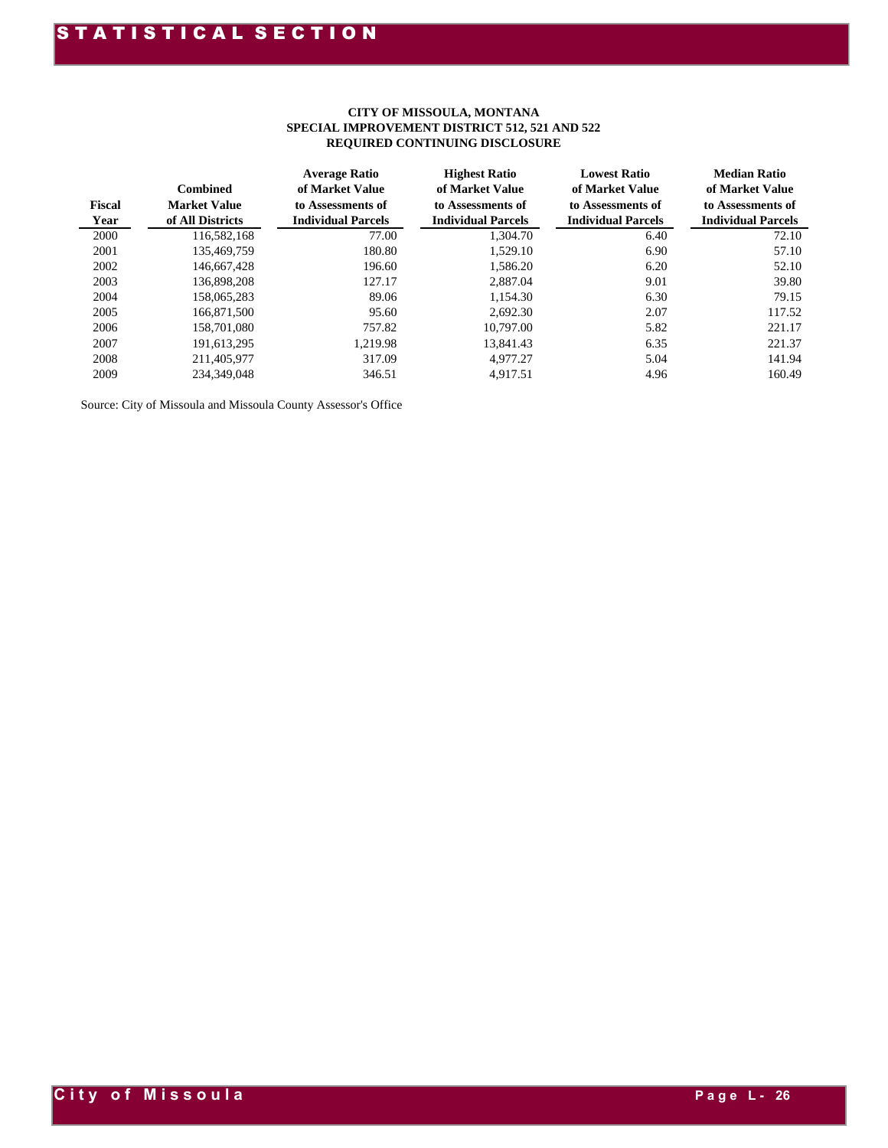#### **CITY OF MISSOULA, MONTANA SPECIAL IMPROVEMENT DISTRICT 512, 521 AND 522 REQUIRED CONTINUING DISCLOSURE**

| <b>Fiscal</b><br>Year | <b>Combined</b><br><b>Market Value</b><br>of All Districts | <b>Average Ratio</b><br>of Market Value<br>to Assessments of<br><b>Individual Parcels</b> | <b>Highest Ratio</b><br>of Market Value<br>to Assessments of<br><b>Individual Parcels</b> | <b>Lowest Ratio</b><br>of Market Value<br>to Assessments of<br><b>Individual Parcels</b> | <b>Median Ratio</b><br>of Market Value<br>to Assessments of<br><b>Individual Parcels</b> |
|-----------------------|------------------------------------------------------------|-------------------------------------------------------------------------------------------|-------------------------------------------------------------------------------------------|------------------------------------------------------------------------------------------|------------------------------------------------------------------------------------------|
| 2000                  | 116,582,168                                                | 77.00                                                                                     | 1,304.70                                                                                  | 6.40                                                                                     | 72.10                                                                                    |
| 2001                  | 135,469,759                                                | 180.80                                                                                    | 1,529.10                                                                                  | 6.90                                                                                     | 57.10                                                                                    |
| 2002                  | 146,667,428                                                | 196.60                                                                                    | 1,586.20                                                                                  | 6.20                                                                                     | 52.10                                                                                    |
| 2003                  | 136,898,208                                                | 127.17                                                                                    | 2,887.04                                                                                  | 9.01                                                                                     | 39.80                                                                                    |
| 2004                  | 158,065,283                                                | 89.06                                                                                     | 1,154.30                                                                                  | 6.30                                                                                     | 79.15                                                                                    |
| 2005                  | 166,871,500                                                | 95.60                                                                                     | 2,692.30                                                                                  | 2.07                                                                                     | 117.52                                                                                   |
| 2006                  | 158,701,080                                                | 757.82                                                                                    | 10,797.00                                                                                 | 5.82                                                                                     | 221.17                                                                                   |
| 2007                  | 191,613,295                                                | 1.219.98                                                                                  | 13.841.43                                                                                 | 6.35                                                                                     | 221.37                                                                                   |
| 2008                  | 211,405,977                                                | 317.09                                                                                    | 4,977.27                                                                                  | 5.04                                                                                     | 141.94                                                                                   |
| 2009                  | 234,349,048                                                | 346.51                                                                                    | 4,917.51                                                                                  | 4.96                                                                                     | 160.49                                                                                   |

Source: City of Missoula and Missoula County Assessor's Office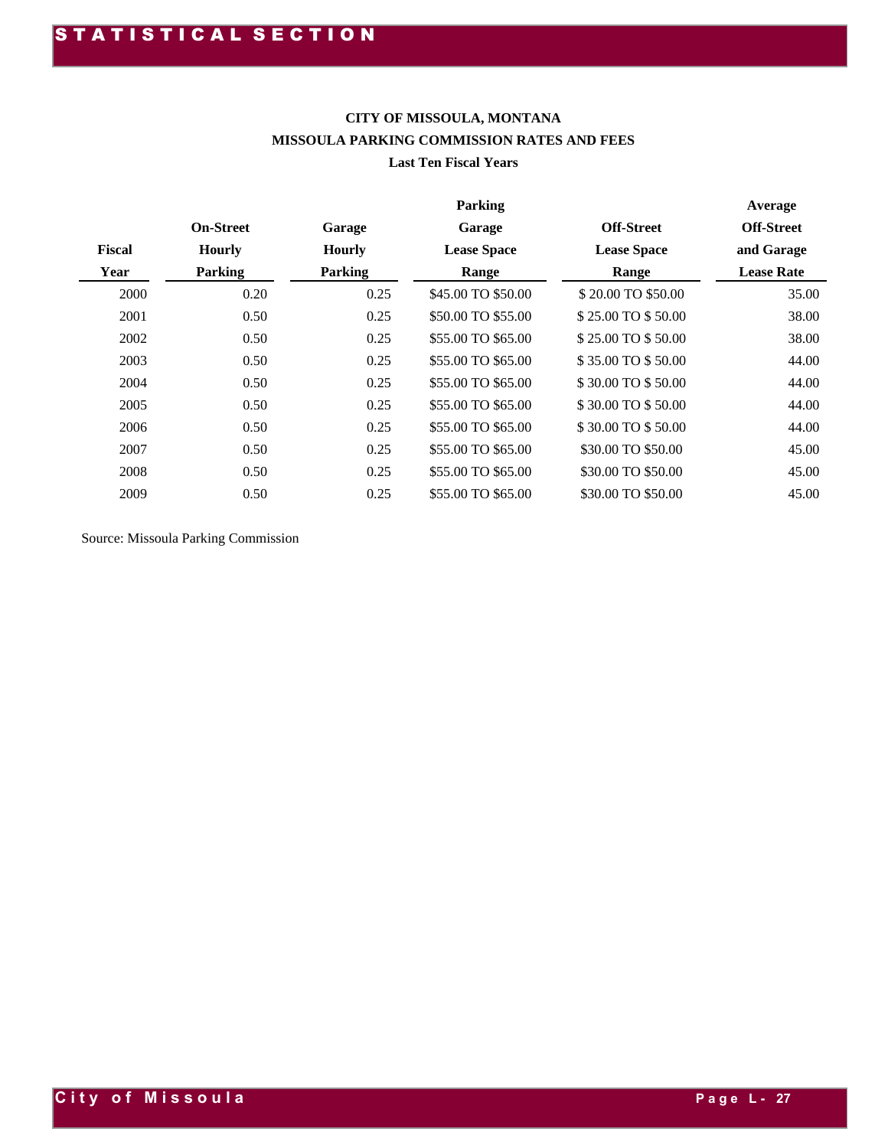#### **CITY OF MISSOULA, MONTANA MISSOULA PARKING COMMISSION RATES AND FEES Last Ten Fiscal Years**

|               |                  |               | <b>Parking</b>     |                    | Average           |
|---------------|------------------|---------------|--------------------|--------------------|-------------------|
|               | <b>On-Street</b> | Garage        | Garage             | <b>Off-Street</b>  | <b>Off-Street</b> |
| <b>Fiscal</b> | <b>Hourly</b>    | <b>Hourly</b> | <b>Lease Space</b> | <b>Lease Space</b> | and Garage        |
| Year          | <b>Parking</b>   | Parking       | Range              | Range              | <b>Lease Rate</b> |
| 2000          | 0.20             | 0.25          | \$45.00 TO \$50.00 | \$20.00 TO \$50.00 | 35.00             |
| 2001          | 0.50             | 0.25          | \$50.00 TO \$55.00 | \$25,00 TO \$50.00 | 38.00             |
| 2002          | 0.50             | 0.25          | \$55.00 TO \$65.00 | \$25.00 TO \$50.00 | 38.00             |
| 2003          | 0.50             | 0.25          | \$55.00 TO \$65.00 | \$35.00 TO \$50.00 | 44.00             |
| 2004          | 0.50             | 0.25          | \$55.00 TO \$65.00 | \$30.00 TO \$50.00 | 44.00             |
| 2005          | 0.50             | 0.25          | \$55.00 TO \$65.00 | \$30.00 TO \$50.00 | 44.00             |
| 2006          | 0.50             | 0.25          | \$55.00 TO \$65.00 | \$30.00 TO \$50.00 | 44.00             |
| 2007          | 0.50             | 0.25          | \$55.00 TO \$65.00 | \$30.00 TO \$50.00 | 45.00             |
| 2008          | 0.50             | 0.25          | \$55.00 TO \$65.00 | \$30.00 TO \$50.00 | 45.00             |
| 2009          | 0.50             | 0.25          | \$55.00 TO \$65.00 | \$30.00 TO \$50.00 | 45.00             |

Source: Missoula Parking Commission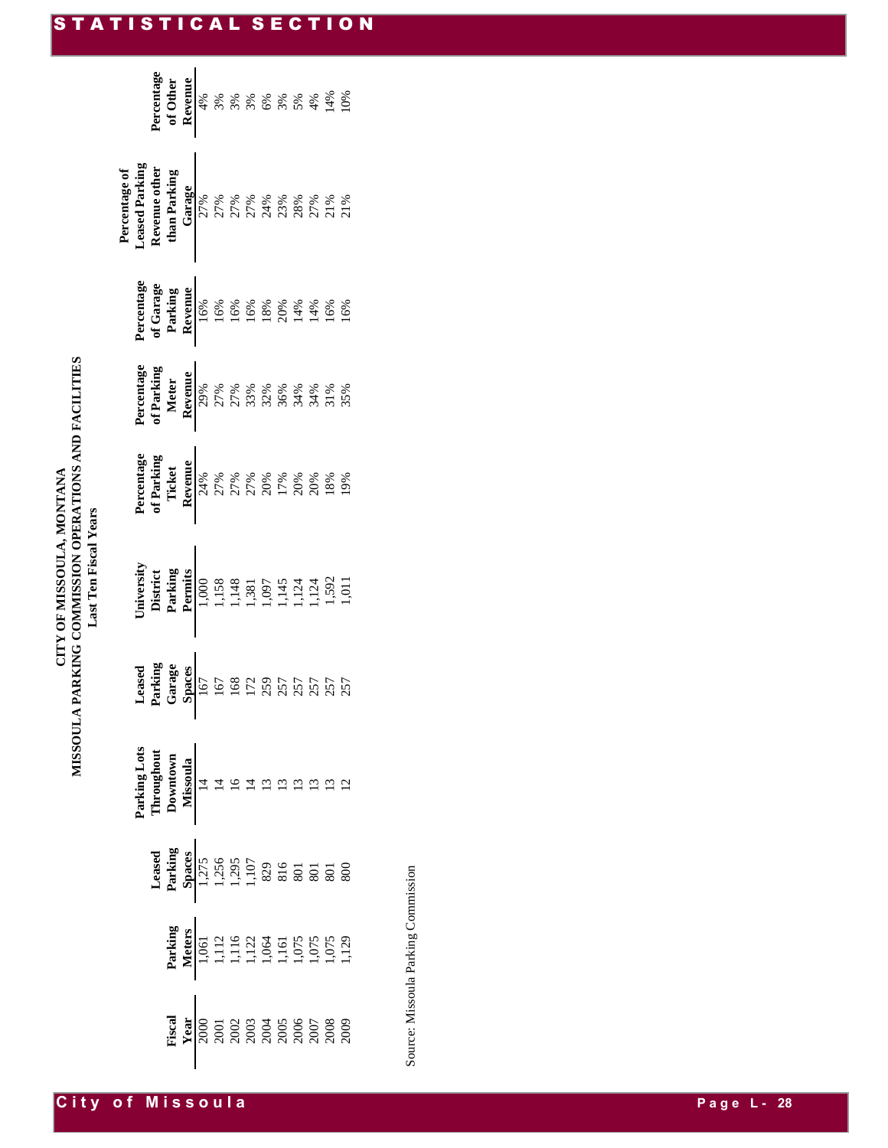| MISSOULA PARKING COMMISSION OPERATIONS AND FACILITIES<br>CITY OF MISSOULA, MONTANA<br>Last Ten Fiscal Years |  |
|-------------------------------------------------------------------------------------------------------------|--|
|-------------------------------------------------------------------------------------------------------------|--|

|                                                                                                                                                                                                                                                                  |  | Percentage<br>of Other<br>A w x x x x x x x x x x<br>A w x x x x x x x x x x<br>H 44<br>H 44<br>H 44<br>H 44<br>H 44<br>H 44<br>H 44<br>H 44<br>H 44<br>H 44<br>H 44<br>H 44<br>H 44<br>H 44<br>H 44<br>H 44<br>H 44<br>H 44<br>H 44<br>H 44<br>H 44<br>H 44<br>H 44<br>H 44<br>H 44<br> |  |                                                                                                                                                                                                                                                                                                                                                                                                            |  |  |  |  |
|------------------------------------------------------------------------------------------------------------------------------------------------------------------------------------------------------------------------------------------------------------------|--|------------------------------------------------------------------------------------------------------------------------------------------------------------------------------------------------------------------------------------------------------------------------------------------|--|------------------------------------------------------------------------------------------------------------------------------------------------------------------------------------------------------------------------------------------------------------------------------------------------------------------------------------------------------------------------------------------------------------|--|--|--|--|
| Percentage of<br>Leased Parking<br>Leased Parking<br>than Parking<br>than Parking<br>$\frac{1}{27\%}$<br>$\frac{1}{27\%}$<br>$\frac{7}{27\%}$<br>$\frac{27\%}{27\%}$<br>$\frac{27\%}{27\%}$<br>$\frac{27\%}{27\%}$<br>$\frac{27\%}{27\%}$<br>$\frac{27\%}{27\%}$ |  |                                                                                                                                                                                                                                                                                          |  |                                                                                                                                                                                                                                                                                                                                                                                                            |  |  |  |  |
|                                                                                                                                                                                                                                                                  |  | Percentage<br>of Garage<br><b>Revenue</b><br><b>Revenue</b><br>$\frac{168}{168}$<br>$\frac{68}{168}$<br>$\frac{68}{168}$<br>$\frac{68}{168}$<br>$\frac{68}{168}$<br>$\frac{68}{168}$<br>$\frac{68}{168}$                                                                                 |  |                                                                                                                                                                                                                                                                                                                                                                                                            |  |  |  |  |
|                                                                                                                                                                                                                                                                  |  |                                                                                                                                                                                                                                                                                          |  |                                                                                                                                                                                                                                                                                                                                                                                                            |  |  |  |  |
|                                                                                                                                                                                                                                                                  |  | <b>Percentage</b><br><b>of Parking<br/> Ticket</b><br><b>Revenue</b><br>$27\%$ $8\%$ $8\%$ $8\%$ $8\%$ $8\%$ $8\%$ $8\%$<br>$17\%$ $20\%$ $8\%$ $8\%$<br>$18\%$ $18\%$                                                                                                                   |  |                                                                                                                                                                                                                                                                                                                                                                                                            |  |  |  |  |
|                                                                                                                                                                                                                                                                  |  | University<br>District<br>Parking<br>Permits<br>1,138<br>1,138<br>1,134<br>1,124<br>1,592<br>1,124<br>1,592<br>1,124<br>1,592                                                                                                                                                            |  |                                                                                                                                                                                                                                                                                                                                                                                                            |  |  |  |  |
|                                                                                                                                                                                                                                                                  |  |                                                                                                                                                                                                                                                                                          |  |                                                                                                                                                                                                                                                                                                                                                                                                            |  |  |  |  |
|                                                                                                                                                                                                                                                                  |  |                                                                                                                                                                                                                                                                                          |  |                                                                                                                                                                                                                                                                                                                                                                                                            |  |  |  |  |
|                                                                                                                                                                                                                                                                  |  |                                                                                                                                                                                                                                                                                          |  |                                                                                                                                                                                                                                                                                                                                                                                                            |  |  |  |  |
|                                                                                                                                                                                                                                                                  |  |                                                                                                                                                                                                                                                                                          |  | <b>Parking<br/> Meters</b><br>1,061<br>1,112<br>1,122<br>1,122<br>1,125<br>1,125<br>1,129<br>1,129<br>1,129                                                                                                                                                                                                                                                                                                |  |  |  |  |
|                                                                                                                                                                                                                                                                  |  |                                                                                                                                                                                                                                                                                          |  | $\begin{array}{c} \text{Kreal} \\ \text{Year} \\ \text{Year} \\ \text{2000} \\ \text{2001} \\ \text{2012} \\ \text{202} \\ \text{203} \\ \text{204} \\ \text{205} \\ \text{206} \\ \text{208} \\ \text{209} \\ \text{2009} \\ \text{2000} \\ \text{2000} \\ \text{2000} \\ \text{2000} \\ \text{2000} \\ \text{2000} \\ \text{2000} \\ \text{2000} \\ \text{2000} \\ \text{2000} \\ \text{2000} \\ \text{$ |  |  |  |  |

Source: Missoula Parking Commission Source: Missoula Parking Commission

#### STATISTICAL SECTION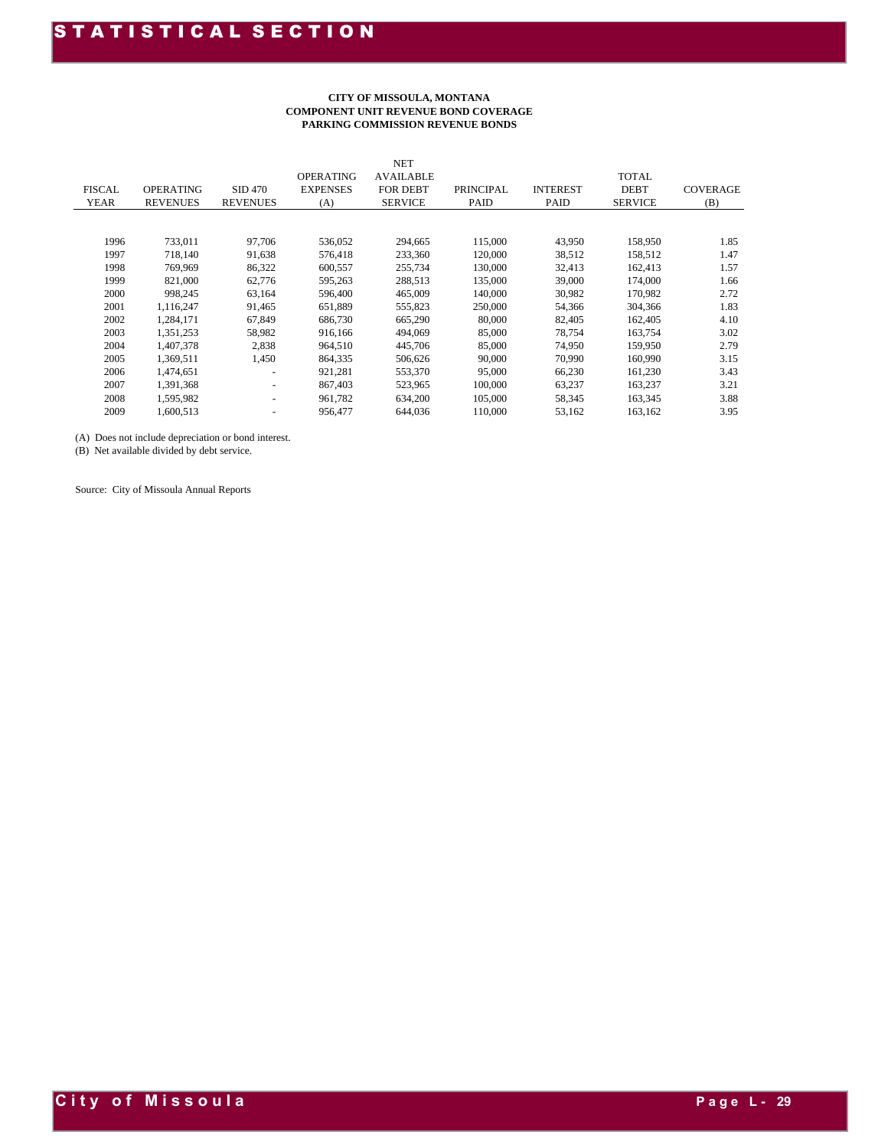#### **CITY OF MISSOULA, MONTANA COMPONENT UNIT REVENUE BOND COVERAGE PARKING COMMISSION REVENUE BONDS**

|               |                  |                          |                  | <b>NET</b>       |                  |                 |                |                 |
|---------------|------------------|--------------------------|------------------|------------------|------------------|-----------------|----------------|-----------------|
|               |                  |                          | <b>OPERATING</b> | <b>AVAILABLE</b> |                  |                 | <b>TOTAL</b>   |                 |
| <b>FISCAL</b> | <b>OPERATING</b> | <b>SID 470</b>           | <b>EXPENSES</b>  | <b>FOR DEBT</b>  | <b>PRINCIPAL</b> | <b>INTEREST</b> | <b>DEBT</b>    | <b>COVERAGE</b> |
| <b>YEAR</b>   | <b>REVENUES</b>  | <b>REVENUES</b>          | (A)              | <b>SERVICE</b>   | PAID             | PAID            | <b>SERVICE</b> | (B)             |
|               |                  |                          |                  |                  |                  |                 |                |                 |
|               |                  |                          |                  |                  |                  |                 |                |                 |
| 1996          | 733,011          | 97,706                   | 536,052          | 294,665          | 115,000          | 43,950          | 158,950        | 1.85            |
| 1997          | 718.140          | 91,638                   | 576.418          | 233,360          | 120,000          | 38,512          | 158,512        | 1.47            |
| 1998          | 769,969          | 86,322                   | 600,557          | 255,734          | 130,000          | 32,413          | 162,413        | 1.57            |
| 1999          | 821,000          | 62,776                   | 595,263          | 288,513          | 135,000          | 39,000          | 174,000        | 1.66            |
| 2000          | 998,245          | 63,164                   | 596,400          | 465,009          | 140,000          | 30,982          | 170,982        | 2.72            |
| 2001          | 1,116,247        | 91,465                   | 651,889          | 555,823          | 250,000          | 54,366          | 304,366        | 1.83            |
| 2002          | 1,284,171        | 67,849                   | 686,730          | 665,290          | 80,000           | 82,405          | 162,405        | 4.10            |
| 2003          | 1,351,253        | 58,982                   | 916,166          | 494,069          | 85,000           | 78.754          | 163,754        | 3.02            |
| 2004          | 1,407,378        | 2,838                    | 964,510          | 445,706          | 85,000           | 74,950          | 159,950        | 2.79            |
| 2005          | 1,369,511        | 1,450                    | 864,335          | 506,626          | 90,000           | 70,990          | 160,990        | 3.15            |
| 2006          | 1,474,651        | ٠                        | 921,281          | 553,370          | 95,000           | 66,230          | 161,230        | 3.43            |
| 2007          | 1,391,368        | $\overline{\phantom{a}}$ | 867,403          | 523,965          | 100,000          | 63,237          | 163,237        | 3.21            |
| 2008          | 1,595,982        | $\overline{\phantom{a}}$ | 961,782          | 634,200          | 105,000          | 58,345          | 163,345        | 3.88            |
| 2009          | 1,600,513        | $\overline{\phantom{a}}$ | 956,477          | 644,036          | 110,000          | 53,162          | 163,162        | 3.95            |

(A) Does not include depreciation or bond interest.

(B) Net available divided by debt service.

Source: City of Missoula Annual Reports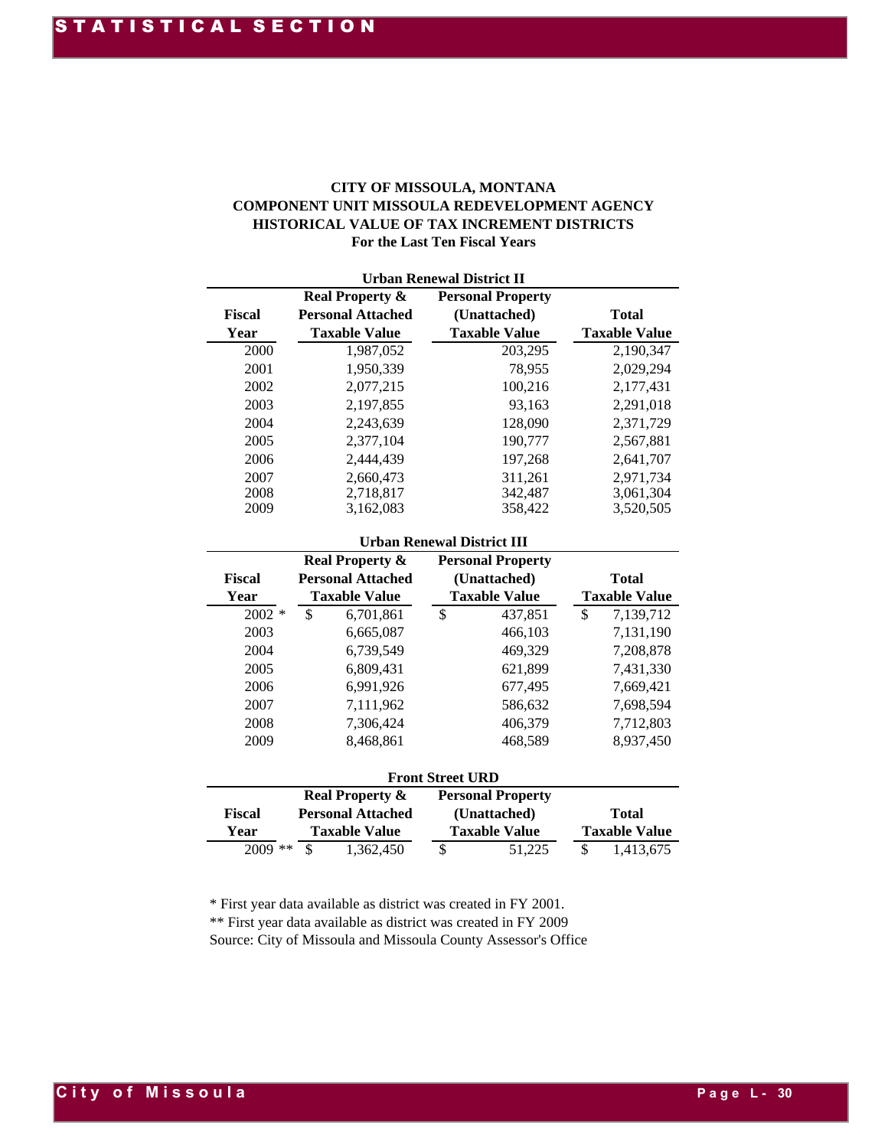#### **CITY OF MISSOULA, MONTANA COMPONENT UNIT MISSOULA REDEVELOPMENT AGENCY HISTORICAL VALUE OF TAX INCREMENT DISTRICTS For the Last Ten Fiscal Years**

|               | <b>Urban Renewal District II</b> |                          |                      |  |  |  |  |  |  |  |
|---------------|----------------------------------|--------------------------|----------------------|--|--|--|--|--|--|--|
|               | <b>Real Property &amp;</b>       | <b>Personal Property</b> |                      |  |  |  |  |  |  |  |
| <b>Fiscal</b> | <b>Personal Attached</b>         | (Unattached)             | <b>Total</b>         |  |  |  |  |  |  |  |
| Year          | <b>Taxable Value</b>             | <b>Taxable Value</b>     | <b>Taxable Value</b> |  |  |  |  |  |  |  |
| 2000          | 1,987,052                        | 203,295                  | 2,190,347            |  |  |  |  |  |  |  |
| 2001          | 1,950,339                        | 78,955                   | 2,029,294            |  |  |  |  |  |  |  |
| 2002          | 2,077,215                        | 100,216                  | 2,177,431            |  |  |  |  |  |  |  |
| 2003          | 2,197,855                        | 93.163                   | 2,291,018            |  |  |  |  |  |  |  |
| 2004          | 2,243,639                        | 128,090                  | 2,371,729            |  |  |  |  |  |  |  |
| 2005          | 2.377.104                        | 190,777                  | 2,567,881            |  |  |  |  |  |  |  |
| 2006          | 2.444.439                        | 197,268                  | 2,641,707            |  |  |  |  |  |  |  |
| 2007          | 2,660,473                        | 311,261                  | 2,971,734            |  |  |  |  |  |  |  |
| 2008          | 2,718,817                        | 342,487                  | 3,061,304            |  |  |  |  |  |  |  |
| 2009          | 3,162,083                        | 358,422                  | 3,520,505            |  |  |  |  |  |  |  |

#### **Urban Renewal District III**

|          |                                                        | HISTORICAL VALUE OF TAX INCREMENT DISTRICTS<br>For the Last Ten Fiscal Years | COMPONENT UNIT MISSOULA REDEVELOPMENT AGENCY |
|----------|--------------------------------------------------------|------------------------------------------------------------------------------|----------------------------------------------|
| Fiscal   | <b>Real Property &amp;</b><br><b>Personal Attached</b> | <b>Urban Renewal District II</b><br><b>Personal Property</b><br>(Unattached) | <b>Total</b>                                 |
| Year     | <b>Taxable Value</b>                                   | <b>Taxable Value</b>                                                         | <b>Taxable Value</b>                         |
| 2000     | 1,987,052                                              | 203,295                                                                      | 2,190,347                                    |
| 2001     | 1,950,339                                              | 78,955                                                                       | 2,029,294                                    |
| 2002     | 2,077,215                                              | 100,216                                                                      | 2,177,431                                    |
| 2003     | 2,197,855                                              | 93,163                                                                       | 2,291,018                                    |
| 2004     | 2,243,639                                              | 128,090                                                                      | 2,371,729                                    |
| 2005     | 2,377,104                                              | 190,777                                                                      | 2,567,881                                    |
| 2006     | 2,444,439                                              | 197,268                                                                      | 2,641,707                                    |
| 2007     | 2,660,473                                              | 311,261                                                                      | 2,971,734                                    |
| 2008     | 2,718,817                                              | 342,487                                                                      | 3,061,304                                    |
| 2009     | 3,162,083                                              | 358,422                                                                      | 3,520,505                                    |
|          |                                                        | <b>Urban Renewal District III</b>                                            |                                              |
|          | <b>Real Property &amp;</b>                             | <b>Personal Property</b>                                                     |                                              |
| Fiscal   | <b>Personal Attached</b>                               | (Unattached)                                                                 | <b>Total</b>                                 |
| Year     | <b>Taxable Value</b>                                   | <b>Taxable Value</b>                                                         | <b>Taxable Value</b>                         |
| $2002 *$ | \$<br>6,701,861                                        | \$<br>437,851                                                                | \$<br>7,139,712                              |
| 2003     | 6,665,087                                              | 466,103                                                                      | 7,131,190                                    |
| 2004     | 6,739,549                                              | 469,329                                                                      | 7,208,878                                    |
| 2005     | 6,809,431                                              | 621,899                                                                      | 7,431,330                                    |
| 2006     | 6,991,926                                              | 677,495                                                                      | 7,669,421                                    |
| 2007     | 7,111,962                                              | 586,632                                                                      | 7,698,594                                    |
| 2008     | 7,306,424                                              | 406,379                                                                      | 7,712,803                                    |
| 2009     | 8,468,861                                              | 468,589                                                                      | 8,937,450                                    |
|          |                                                        | <b>Front Street URD</b>                                                      |                                              |
|          | <b>Real Property &amp;</b>                             | <b>Personal Property</b>                                                     |                                              |
| Fiscal   | <b>Personal Attached</b>                               | (Unattached)                                                                 | <b>Total</b>                                 |
| Year     | <b>Taxable Value</b>                                   | <b>Taxable Value</b>                                                         | <b>Taxable Value</b>                         |
|          | 2009 **                                                | $\boldsymbol{\mathsf{S}}$<br>51,225                                          | \$<br>1,413,675                              |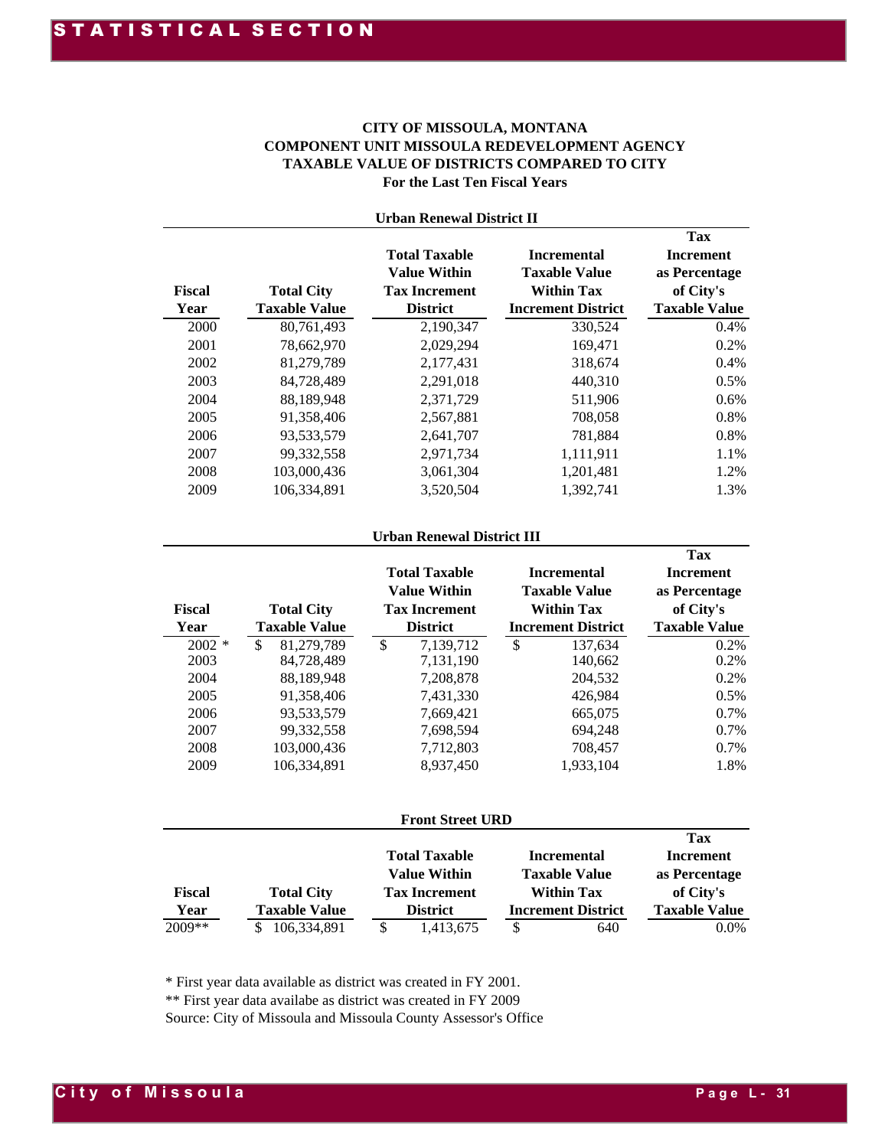#### **For the Last Ten Fiscal Years CITY OF MISSOULA, MONTANA COMPONENT UNIT MISSOULA REDEVELOPMENT AGENCY TAXABLE VALUE OF DISTRICTS COMPARED TO CITY**

|                | <b>Urban Renewal District II</b>          |                                                                                        |                                                                                              |                                                                               |  |  |  |  |  |
|----------------|-------------------------------------------|----------------------------------------------------------------------------------------|----------------------------------------------------------------------------------------------|-------------------------------------------------------------------------------|--|--|--|--|--|
| Fiscal<br>Year | <b>Total City</b><br><b>Taxable Value</b> | <b>Total Taxable</b><br><b>Value Within</b><br><b>Tax Increment</b><br><b>District</b> | <b>Incremental</b><br><b>Taxable Value</b><br><b>Within Tax</b><br><b>Increment District</b> | Tax<br><b>Increment</b><br>as Percentage<br>of City's<br><b>Taxable Value</b> |  |  |  |  |  |
| 2000           | 80,761,493                                | 2,190,347                                                                              | 330,524                                                                                      | $0.4\%$                                                                       |  |  |  |  |  |
| 2001           | 78,662,970                                | 2,029,294                                                                              | 169,471                                                                                      | 0.2%                                                                          |  |  |  |  |  |
| 2002           | 81,279,789                                | 2,177,431                                                                              | 318,674                                                                                      | 0.4%                                                                          |  |  |  |  |  |
| 2003           | 84,728,489                                | 2,291,018                                                                              | 440,310                                                                                      | 0.5%                                                                          |  |  |  |  |  |
| 2004           | 88.189.948                                | 2.371.729                                                                              | 511,906                                                                                      | $0.6\%$                                                                       |  |  |  |  |  |
| 2005           | 91,358,406                                | 2,567,881                                                                              | 708,058                                                                                      | 0.8%                                                                          |  |  |  |  |  |
| 2006           | 93,533,579                                | 2,641,707                                                                              | 781,884                                                                                      | 0.8%                                                                          |  |  |  |  |  |
| 2007           | 99,332,558                                | 2,971,734                                                                              | 1,111,911                                                                                    | 1.1%                                                                          |  |  |  |  |  |
| 2008           | 103,000,436                               | 3,061,304                                                                              | 1,201,481                                                                                    | 1.2%                                                                          |  |  |  |  |  |
| 2009           | 106.334.891                               | 3,520,504                                                                              | 1.392.741                                                                                    | 1.3%                                                                          |  |  |  |  |  |

#### **Urban Renewal District III**

| <b>Fiscal</b><br>Year | <b>Total City</b><br><b>Taxable Value</b> | <b>Total Taxable</b><br><b>Value Within</b><br><b>Tax Increment</b><br><b>District</b> | <b>Incremental</b><br><b>Taxable Value</b><br><b>Within Tax</b><br><b>Increment District</b> | Tax<br><b>Increment</b><br>as Percentage<br>of City's<br><b>Taxable Value</b> |
|-----------------------|-------------------------------------------|----------------------------------------------------------------------------------------|----------------------------------------------------------------------------------------------|-------------------------------------------------------------------------------|
| $2002$ *              | \$<br>81,279,789                          | \$<br>7.139.712                                                                        | \$<br>137.634                                                                                | $0.2\%$                                                                       |
| 2003                  | 84,728,489                                | 7,131,190                                                                              | 140.662                                                                                      | 0.2%                                                                          |
| 2004                  | 88.189.948                                | 7.208.878                                                                              | 204.532                                                                                      | $0.2\%$                                                                       |
| 2005                  | 91.358.406                                | 7.431.330                                                                              | 426.984                                                                                      | 0.5%                                                                          |
| 2006                  | 93,533,579                                | 7,669,421                                                                              | 665,075                                                                                      | $0.7\%$                                                                       |
| 2007                  | 99, 332, 558                              | 7.698.594                                                                              | 694.248                                                                                      | $0.7\%$                                                                       |
| 2008                  | 103,000,436                               | 7,712,803                                                                              | 708,457                                                                                      | $0.7\%$                                                                       |
| 2009                  | 106.334.891                               | 8.937.450                                                                              | 1.933.104                                                                                    | 1.8%                                                                          |

#### **Front Street URD**

|               |                      |   |                      |  |                           | Tax                  |  |
|---------------|----------------------|---|----------------------|--|---------------------------|----------------------|--|
|               |                      |   | <b>Total Taxable</b> |  | <b>Incremental</b>        | Increment            |  |
|               |                      |   | <b>Value Within</b>  |  | <b>Taxable Value</b>      | as Percentage        |  |
| <b>Fiscal</b> | <b>Total City</b>    |   | <b>Tax Increment</b> |  | <b>Within Tax</b>         | of City's            |  |
| Year          | <b>Taxable Value</b> |   | <b>District</b>      |  | <b>Increment District</b> | <b>Taxable Value</b> |  |
| 2009**        | 106,334,891          | S | 1,413,675            |  | 640                       | $0.0\%$              |  |

\* First year data available as district was created in FY 2001.

\*\* First year data availabe as district was created in FY 2009

Source: City of Missoula and Missoula County Assessor's Office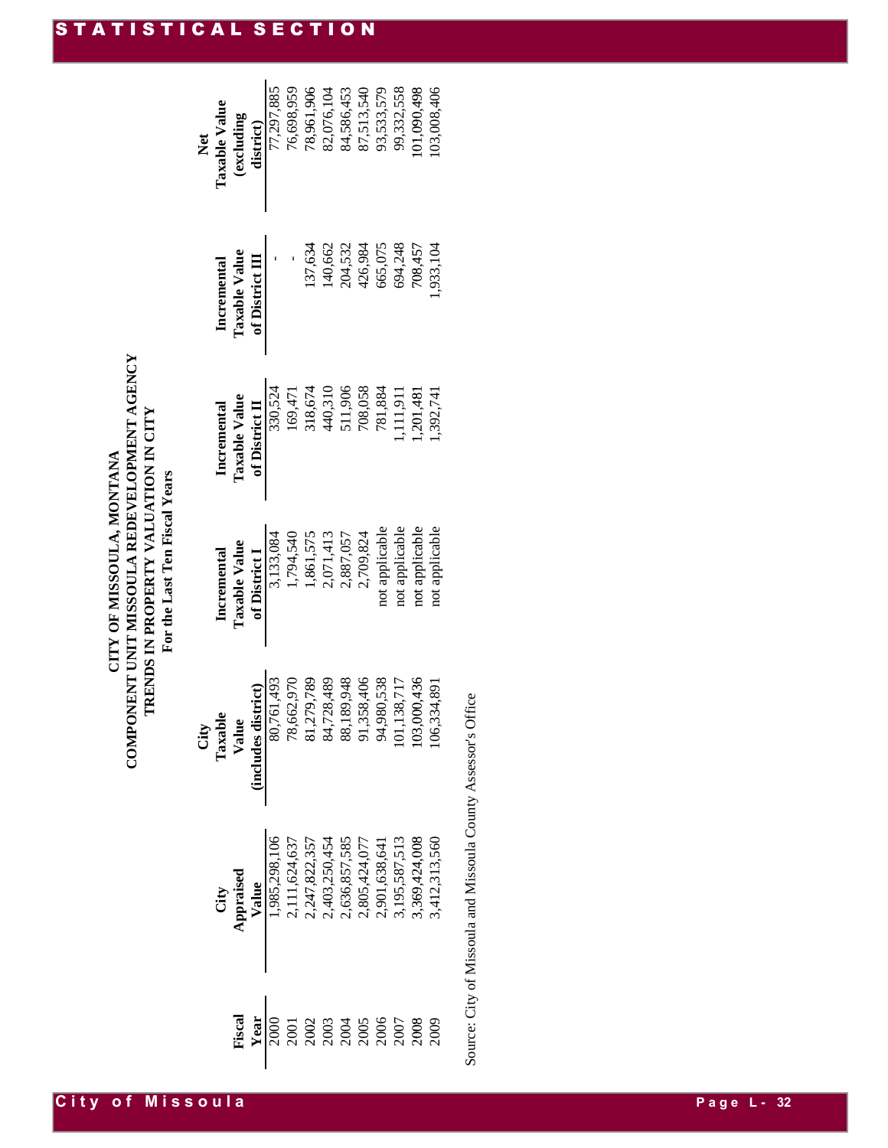## COMPONENT UNIT MISSOULA REDEVELOPMENT AGENCY **COMPONENT UNIT MISSOULA REDEVELOPMENT AGENCY** TRENDS IN PROPERTY VALUATION IN CITY **TRENDS IN PROPERTY VALUATION IN CITY** CITY OF MISSOULA, MONTANA **CITY OF MISSOULA, MONTANA** For the Last Ten Fiscal Years **For the Last Ten Fiscal Years**

| <b>Net</b> | Taxable Value | $\frac{1}{2}$ (excluding     |                   | 77,297,885                              | 76,698,959 | 78,961,906<br>82,076,104 |         | 84,586,453 | 87,513,540<br>93,533,579                                                                                                                                                                                                                                                                                                                                                                                                                                            |         | 99,332,558     | 01,090,498     | 03,008,406                                                                                                                                                                                                    |  |
|------------|---------------|------------------------------|-------------------|-----------------------------------------|------------|--------------------------|---------|------------|---------------------------------------------------------------------------------------------------------------------------------------------------------------------------------------------------------------------------------------------------------------------------------------------------------------------------------------------------------------------------------------------------------------------------------------------------------------------|---------|----------------|----------------|---------------------------------------------------------------------------------------------------------------------------------------------------------------------------------------------------------------|--|
|            |               | Incremental<br>Taxable Value | of District III   |                                         |            | 137,634                  | 140,662 | 204,532    | 426,984                                                                                                                                                                                                                                                                                                                                                                                                                                                             | 665,075 | 694,248        | 708,457        | ,933,104                                                                                                                                                                                                      |  |
|            | Incremental   | Taxable Value                | of District $\Pi$ | 330,524                                 | 169,471    |                          |         |            | 318,674<br>440,310<br>511,906<br>708,058<br>781,884                                                                                                                                                                                                                                                                                                                                                                                                                 |         | ,111,911       | .201,48        | ,392,74                                                                                                                                                                                                       |  |
|            | Incremental   | Taxable Value                |                   | of District I<br>3,133,084<br>1,794,540 |            |                          |         |            | 1,861,575<br>2,071,413<br>2,887,057<br>2,709,824<br>0,709,824                                                                                                                                                                                                                                                                                                                                                                                                       |         | not applicable | not applicable | not applicable                                                                                                                                                                                                |  |
|            |               |                              |                   |                                         |            |                          |         |            | City<br>Taxable<br>Value<br>Value<br>Value<br>18,567,570<br>18,562,970<br>78,662,970<br>18,179,789<br>84,728,489<br>84,728,489<br>89,138,406<br>91,358,406<br>94,980,538<br>101,138,717<br>101,138,717<br>100,436                                                                                                                                                                                                                                                   |         |                |                |                                                                                                                                                                                                               |  |
|            |               |                              |                   |                                         |            |                          |         |            |                                                                                                                                                                                                                                                                                                                                                                                                                                                                     |         |                |                | City<br>Appraised<br>Value<br>Value<br>1,985,298,106<br>1,985,298,106<br>2,111,624,637<br>2,403,250,454<br>2,636,857,585<br>2,805,424,077<br>2,805,424,077<br>3,195,587,513<br>3,195,587,513<br>3,195,587,513 |  |
|            |               |                              |                   |                                         |            |                          |         |            | $\frac{1}{2} \frac{1}{2} \left( \frac{1}{2} \right) \left( \frac{1}{2} \right) \left( \frac{1}{2} \right) \left( \frac{1}{2} \right) \left( \frac{1}{2} \right) \left( \frac{1}{2} \right) \left( \frac{1}{2} \right) \left( \frac{1}{2} \right) \left( \frac{1}{2} \right) \left( \frac{1}{2} \right) \left( \frac{1}{2} \right) \left( \frac{1}{2} \right) \left( \frac{1}{2} \right) \left( \frac{1}{2} \right) \left( \frac{1}{2} \right) \left( \frac{1}{2} \$ |         |                |                |                                                                                                                                                                                                               |  |

Source: City of Missoula and Missoula County Assessor's Office Source: City of Missoula and Missoula County Assessor's Office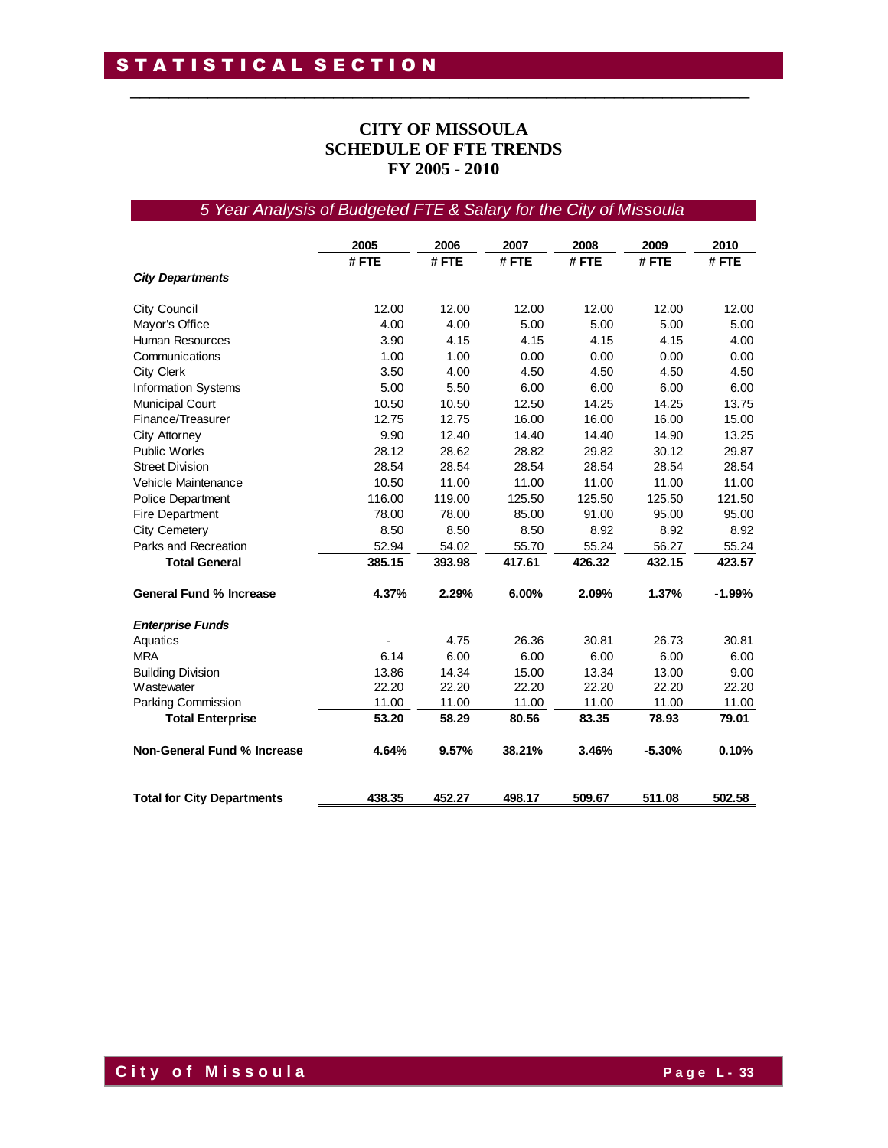#### **CITY OF MISSOULA SCHEDULE OF FTE TRENDS FY 2005 - 2010**

\_\_\_\_\_\_\_\_\_\_\_\_\_\_\_\_\_\_\_\_\_\_\_\_\_\_\_\_\_\_\_\_\_\_\_\_\_\_\_\_\_\_\_\_\_\_\_\_\_\_\_\_\_\_\_\_\_\_\_\_\_\_\_\_

#### *5 Year Analysis of Budgeted FTE & Salary for the City of Missoula*

|                                   | 2005   | 2006   | 2007   | 2008   | 2009     | 2010     |
|-----------------------------------|--------|--------|--------|--------|----------|----------|
|                                   | #FTE   | #FTE   | #FTE   | #FTE   | # FTE    | #FTE     |
| <b>City Departments</b>           |        |        |        |        |          |          |
| <b>City Council</b>               | 12.00  | 12.00  | 12.00  | 12.00  | 12.00    | 12.00    |
| Mayor's Office                    | 4.00   | 4.00   | 5.00   | 5.00   | 5.00     | 5.00     |
| <b>Human Resources</b>            | 3.90   | 4.15   | 4.15   | 4.15   | 4.15     | 4.00     |
| Communications                    | 1.00   | 1.00   | 0.00   | 0.00   | 0.00     | 0.00     |
| City Clerk                        | 3.50   | 4.00   | 4.50   | 4.50   | 4.50     | 4.50     |
| <b>Information Systems</b>        | 5.00   | 5.50   | 6.00   | 6.00   | 6.00     | 6.00     |
| <b>Municipal Court</b>            | 10.50  | 10.50  | 12.50  | 14.25  | 14.25    | 13.75    |
| Finance/Treasurer                 | 12.75  | 12.75  | 16.00  | 16.00  | 16.00    | 15.00    |
| City Attorney                     | 9.90   | 12.40  | 14.40  | 14.40  | 14.90    | 13.25    |
| <b>Public Works</b>               | 28.12  | 28.62  | 28.82  | 29.82  | 30.12    | 29.87    |
| <b>Street Division</b>            | 28.54  | 28.54  | 28.54  | 28.54  | 28.54    | 28.54    |
| Vehicle Maintenance               | 10.50  | 11.00  | 11.00  | 11.00  | 11.00    | 11.00    |
| <b>Police Department</b>          | 116.00 | 119.00 | 125.50 | 125.50 | 125.50   | 121.50   |
| <b>Fire Department</b>            | 78.00  | 78.00  | 85.00  | 91.00  | 95.00    | 95.00    |
| City Cemetery                     | 8.50   | 8.50   | 8.50   | 8.92   | 8.92     | 8.92     |
| Parks and Recreation              | 52.94  | 54.02  | 55.70  | 55.24  | 56.27    | 55.24    |
| <b>Total General</b>              | 385.15 | 393.98 | 417.61 | 426.32 | 432.15   | 423.57   |
| <b>General Fund % Increase</b>    | 4.37%  | 2.29%  | 6.00%  | 2.09%  | 1.37%    | $-1.99%$ |
| <b>Enterprise Funds</b>           |        |        |        |        |          |          |
| Aquatics                          |        | 4.75   | 26.36  | 30.81  | 26.73    | 30.81    |
| <b>MRA</b>                        | 6.14   | 6.00   | 6.00   | 6.00   | 6.00     | 6.00     |
| <b>Building Division</b>          | 13.86  | 14.34  | 15.00  | 13.34  | 13.00    | 9.00     |
| Wastewater                        | 22.20  | 22.20  | 22.20  | 22.20  | 22.20    | 22.20    |
| Parking Commission                | 11.00  | 11.00  | 11.00  | 11.00  | 11.00    | 11.00    |
| <b>Total Enterprise</b>           | 53.20  | 58.29  | 80.56  | 83.35  | 78.93    | 79.01    |
| Non-General Fund % Increase       | 4.64%  | 9.57%  | 38.21% | 3.46%  | $-5.30%$ | 0.10%    |
| <b>Total for City Departments</b> | 438.35 | 452.27 | 498.17 | 509.67 | 511.08   | 502.58   |